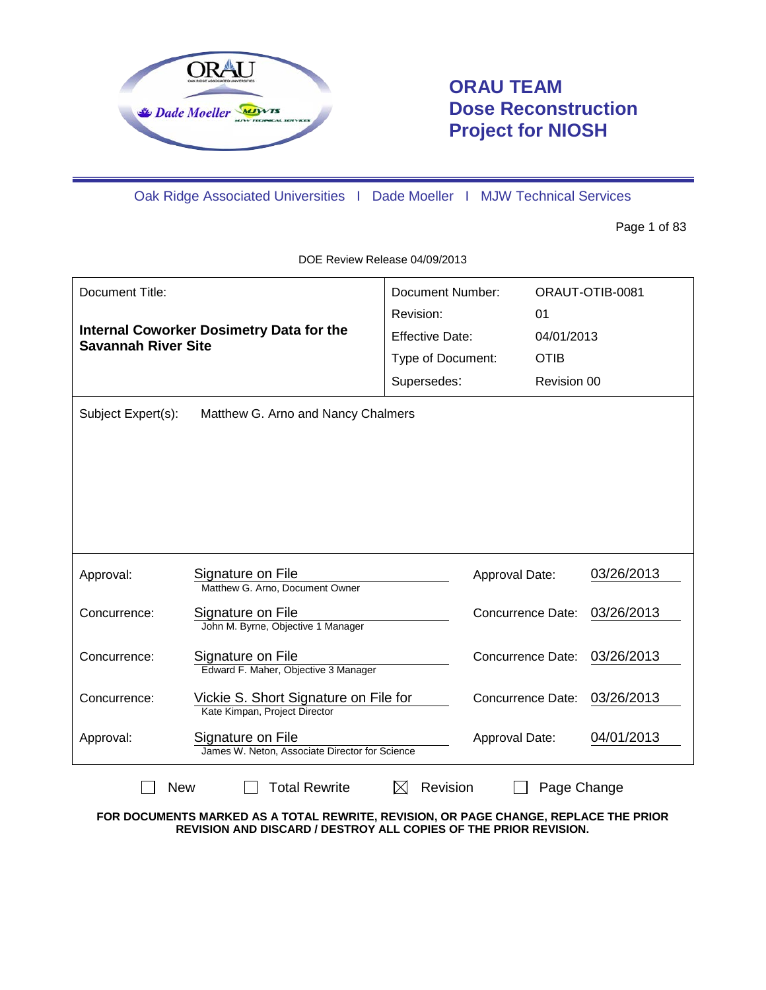

# **ORAU TEAM Dose Reconstruction Project for NIOSH**

Oak Ridge Associated Universities I Dade Moeller I MJW Technical Services

Page 1 of 83

DOE Review Release 04/09/2013

| Document Title:                                                               |                                                                        | Document Number:       |                          | ORAUT-OTIB-0081 |
|-------------------------------------------------------------------------------|------------------------------------------------------------------------|------------------------|--------------------------|-----------------|
| <b>Internal Coworker Dosimetry Data for the</b><br><b>Savannah River Site</b> |                                                                        | Revision:              | 01                       |                 |
|                                                                               |                                                                        | <b>Effective Date:</b> | 04/01/2013               |                 |
|                                                                               |                                                                        | Type of Document:      | <b>OTIB</b>              |                 |
|                                                                               |                                                                        | Supersedes:            | Revision 00              |                 |
| Subject Expert(s):                                                            | Matthew G. Arno and Nancy Chalmers                                     |                        |                          |                 |
|                                                                               |                                                                        |                        |                          |                 |
| Approval:                                                                     | Signature on File<br>Matthew G. Arno, Document Owner                   | Approval Date:         |                          | 03/26/2013      |
| Concurrence:                                                                  | Signature on File<br>John M. Byrne, Objective 1 Manager                |                        | Concurrence Date:        | 03/26/2013      |
| Concurrence:                                                                  | Signature on File<br>Edward F. Maher, Objective 3 Manager              |                        | <b>Concurrence Date:</b> | 03/26/2013      |
| Concurrence:                                                                  | Vickie S. Short Signature on File for<br>Kate Kimpan, Project Director |                        | <b>Concurrence Date:</b> | 03/26/2013      |
| Approval:                                                                     | Signature on File<br>James W. Neton, Associate Director for Science    | Approval Date:         |                          | 04/01/2013      |
| <b>Total Rewrite</b><br>Revision<br><b>New</b><br>Page Change<br>IХI          |                                                                        |                        |                          |                 |

**FOR DOCUMENTS MARKED AS A TOTAL REWRITE, REVISION, OR PAGE CHANGE, REPLACE THE PRIOR REVISION AND DISCARD / DESTROY ALL COPIES OF THE PRIOR REVISION.**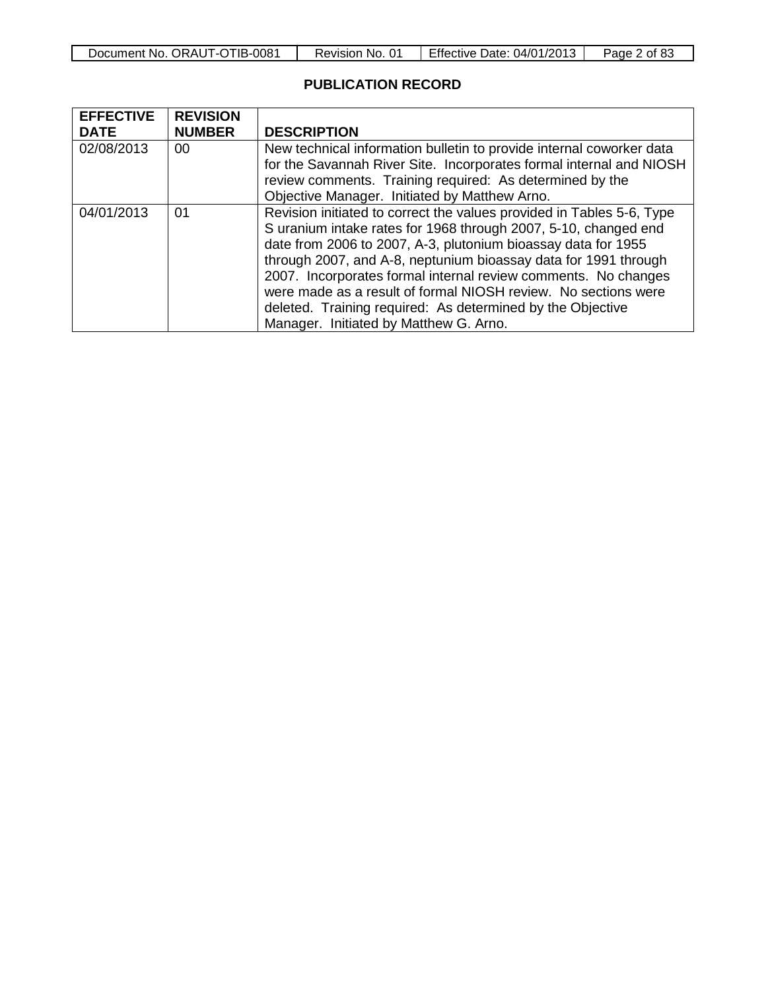| Document No. ORAUT-OTIB-0081 | Revision No. 01 | <b>Effective Date: 04/01/2013</b> | Page 2 of 83 |
|------------------------------|-----------------|-----------------------------------|--------------|
|------------------------------|-----------------|-----------------------------------|--------------|

# **PUBLICATION RECORD**

| <b>EFFECTIVE</b> | <b>REVISION</b> |                                                                                                                                                                                                                                                                                                                                                                                                                                                                                                                          |
|------------------|-----------------|--------------------------------------------------------------------------------------------------------------------------------------------------------------------------------------------------------------------------------------------------------------------------------------------------------------------------------------------------------------------------------------------------------------------------------------------------------------------------------------------------------------------------|
| <b>DATE</b>      | <b>NUMBER</b>   | <b>DESCRIPTION</b>                                                                                                                                                                                                                                                                                                                                                                                                                                                                                                       |
| 02/08/2013       | 00              | New technical information bulletin to provide internal coworker data<br>for the Savannah River Site. Incorporates formal internal and NIOSH<br>review comments. Training required: As determined by the<br>Objective Manager. Initiated by Matthew Arno.                                                                                                                                                                                                                                                                 |
| 04/01/2013       | 01              | Revision initiated to correct the values provided in Tables 5-6, Type<br>S uranium intake rates for 1968 through 2007, 5-10, changed end<br>date from 2006 to 2007, A-3, plutonium bioassay data for 1955<br>through 2007, and A-8, neptunium bioassay data for 1991 through<br>2007. Incorporates formal internal review comments. No changes<br>were made as a result of formal NIOSH review. No sections were<br>deleted. Training required: As determined by the Objective<br>Manager. Initiated by Matthew G. Arno. |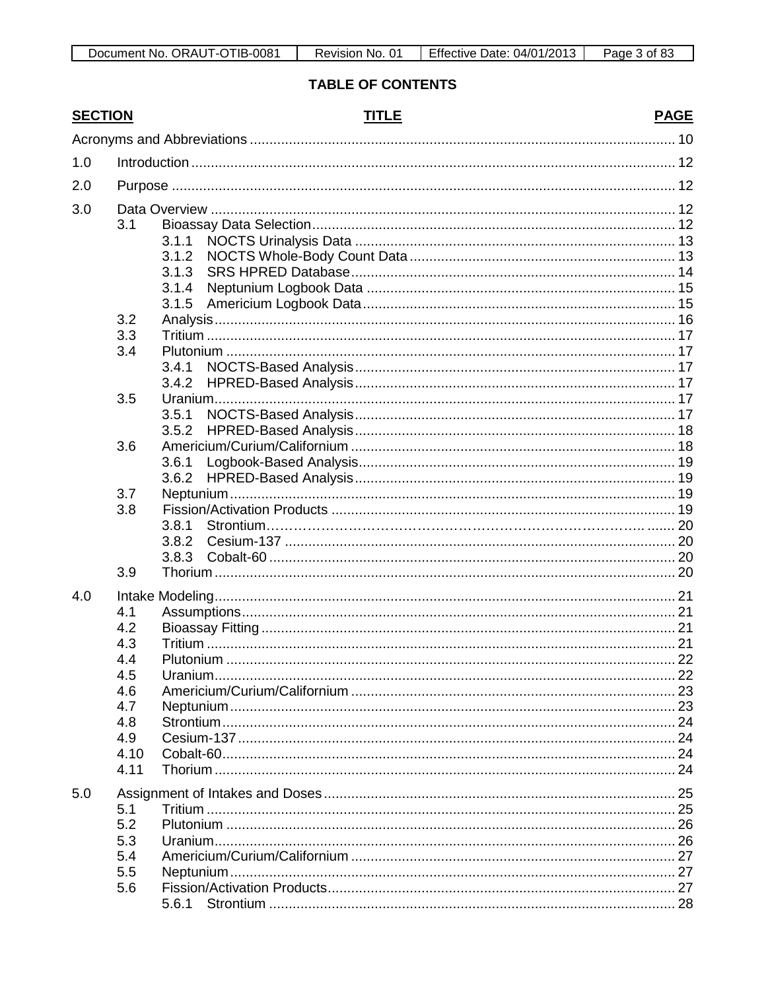# **TABLE OF CONTENTS**

| <b>SECTION</b> |      | <b>TITLE</b>    | <b>PAGE</b> |
|----------------|------|-----------------|-------------|
|                |      |                 |             |
| 1.0            |      |                 |             |
| 2.0            |      |                 |             |
| 3.0            |      |                 |             |
|                | 3.1  |                 |             |
|                |      | 3.1.1           |             |
|                |      | 3.1.2           |             |
|                |      | 3.1.3           |             |
|                |      | 3.1.4           |             |
|                |      | 3.1.5           |             |
|                | 3.2  |                 |             |
|                | 3.3  |                 |             |
|                | 3.4  |                 |             |
|                |      | 3.4.1           |             |
|                |      | 3.4.2           |             |
|                | 3.5  |                 |             |
|                |      | 3.5.1           |             |
|                |      | 3.5.2           | 18          |
|                | 3.6  |                 |             |
|                |      | 3.6.1           |             |
|                |      | 3.6.2           |             |
|                | 3.7  |                 |             |
|                | 3.8  |                 |             |
|                |      | 3.8.1           |             |
|                |      | 3.8.2           |             |
|                |      | 3.8.3           |             |
|                | 3.9  |                 |             |
| 4.0            |      |                 |             |
|                | 4.1  |                 |             |
|                | 4.2  |                 |             |
|                | 4.3  |                 |             |
|                | 4.4  |                 |             |
|                | 4.5  |                 |             |
|                | 4.6  |                 |             |
|                | 4.7  |                 |             |
|                | 4.8  |                 |             |
|                | 4.9  |                 |             |
|                | 4.10 |                 |             |
|                | 4.11 |                 |             |
| 5.0            |      |                 |             |
|                | 5.1  |                 |             |
|                | 5.2  |                 |             |
|                | 5.3  |                 |             |
|                | 5.4  |                 |             |
|                | 5.5  |                 |             |
|                | 5.6  |                 |             |
|                |      | 5.6.1 Strontium | 28          |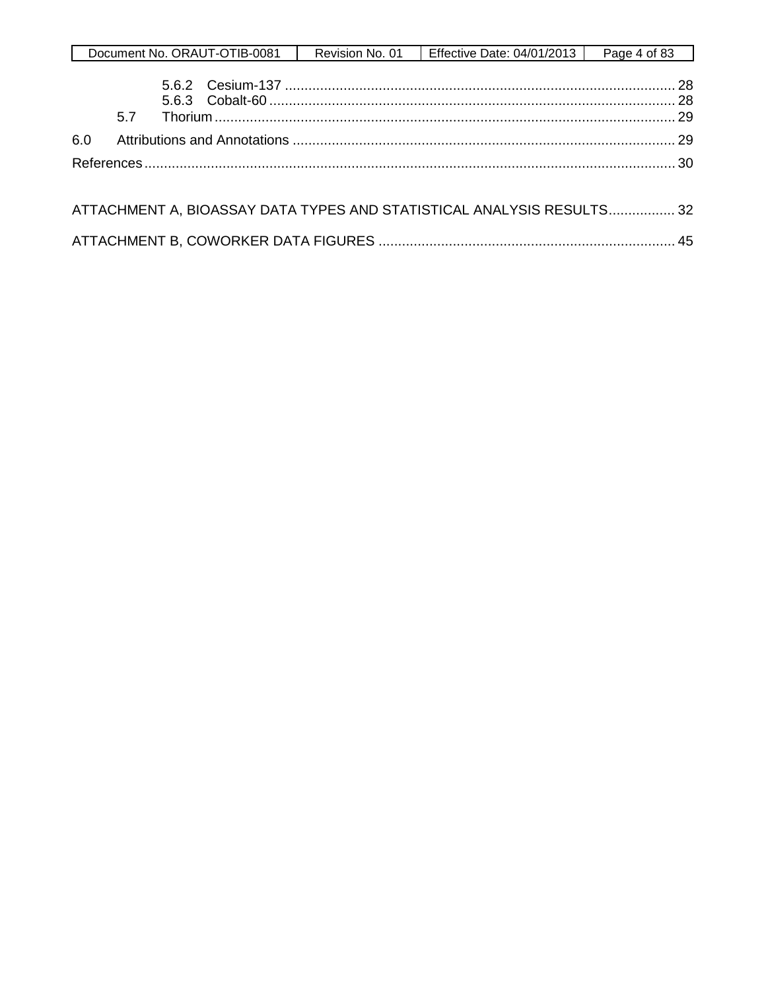|     |     | Document No. ORAUT-OTIB-0081 | Revision No. 01 | Effective Date: 04/01/2013                                            | Page 4 of 83 |
|-----|-----|------------------------------|-----------------|-----------------------------------------------------------------------|--------------|
|     | 5.7 |                              |                 |                                                                       |              |
| 6.0 |     |                              |                 |                                                                       |              |
|     |     |                              |                 |                                                                       |              |
|     |     |                              |                 | ATTACHMENT A, BIOASSAY DATA TYPES AND STATISTICAL ANALYSIS RESULTS 32 |              |
|     |     |                              |                 |                                                                       |              |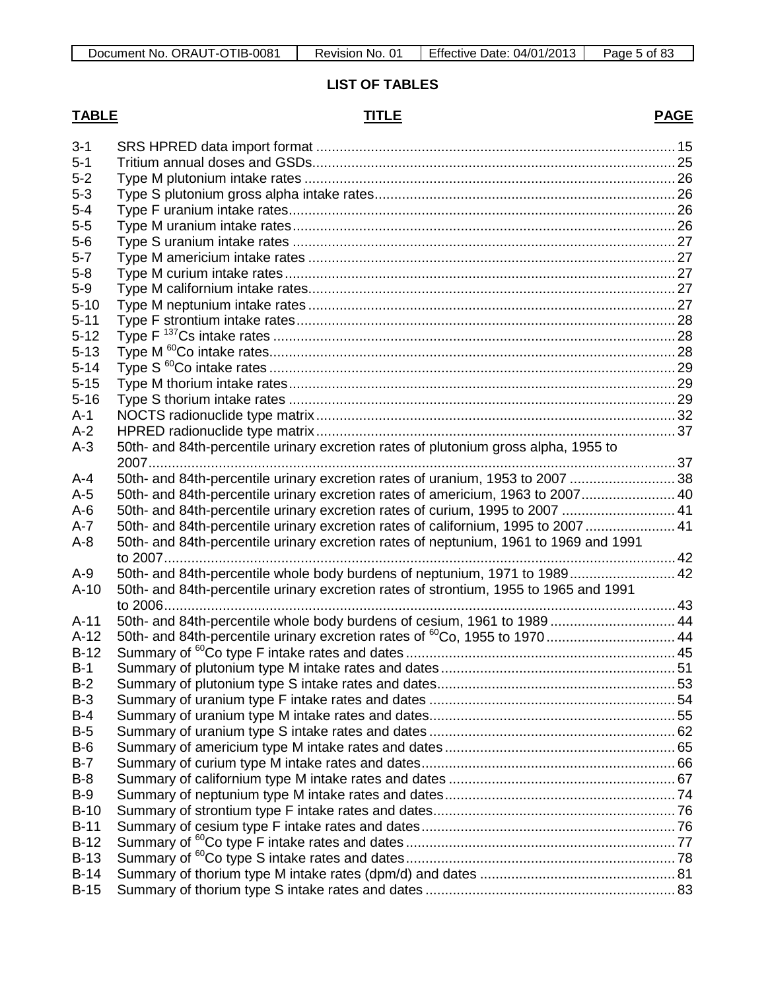# **LIST OF TABLES**

#### **TABLE TITLE PAGE**

|--|

| $3 - 1$  |                                                                                        |  |
|----------|----------------------------------------------------------------------------------------|--|
| $5 - 1$  |                                                                                        |  |
| $5 - 2$  |                                                                                        |  |
| $5 - 3$  |                                                                                        |  |
| $5 - 4$  |                                                                                        |  |
| $5-5$    |                                                                                        |  |
| $5-6$    |                                                                                        |  |
| $5 - 7$  |                                                                                        |  |
| $5 - 8$  |                                                                                        |  |
| $5-9$    |                                                                                        |  |
| $5 - 10$ |                                                                                        |  |
| $5 - 11$ |                                                                                        |  |
| $5 - 12$ |                                                                                        |  |
| $5 - 13$ |                                                                                        |  |
| $5 - 14$ |                                                                                        |  |
| $5 - 15$ |                                                                                        |  |
| $5 - 16$ |                                                                                        |  |
| $A-1$    |                                                                                        |  |
| $A-2$    |                                                                                        |  |
| $A-3$    | 50th- and 84th-percentile urinary excretion rates of plutonium gross alpha, 1955 to    |  |
|          |                                                                                        |  |
| $A-4$    | 50th- and 84th-percentile urinary excretion rates of uranium, 1953 to 2007  38         |  |
| $A-5$    | 50th- and 84th-percentile urinary excretion rates of americium, 1963 to 2007 40        |  |
| $A-6$    | 50th- and 84th-percentile urinary excretion rates of curium, 1995 to 2007  41          |  |
| $A - 7$  | 50th- and 84th-percentile urinary excretion rates of californium, 1995 to 2007  41     |  |
| $A-8$    | 50th- and 84th-percentile urinary excretion rates of neptunium, 1961 to 1969 and 1991  |  |
|          |                                                                                        |  |
| $A-9$    | 50th- and 84th-percentile whole body burdens of neptunium, 1971 to 1989 42             |  |
| $A-10$   | 50th- and 84th-percentile urinary excretion rates of strontium, 1955 to 1965 and 1991  |  |
|          |                                                                                        |  |
| $A-11$   | 50th- and 84th-percentile whole body burdens of cesium, 1961 to 1989  44               |  |
| $A-12$   | 50th- and 84th-percentile urinary excretion rates of <sup>60</sup> Co, 1955 to 1970 44 |  |
| $B-12$   |                                                                                        |  |
| $B-1$    |                                                                                        |  |
| $B-2$    |                                                                                        |  |
| $B-3$    |                                                                                        |  |
| $B-4$    |                                                                                        |  |
| $B-5$    |                                                                                        |  |
| $B-6$    |                                                                                        |  |
| $B-7$    |                                                                                        |  |
| $B-8$    |                                                                                        |  |
| $B-9$    |                                                                                        |  |
| $B-10$   |                                                                                        |  |
| $B-11$   |                                                                                        |  |
| $B-12$   |                                                                                        |  |
| $B-13$   |                                                                                        |  |
| $B-14$   |                                                                                        |  |
| $B-15$   |                                                                                        |  |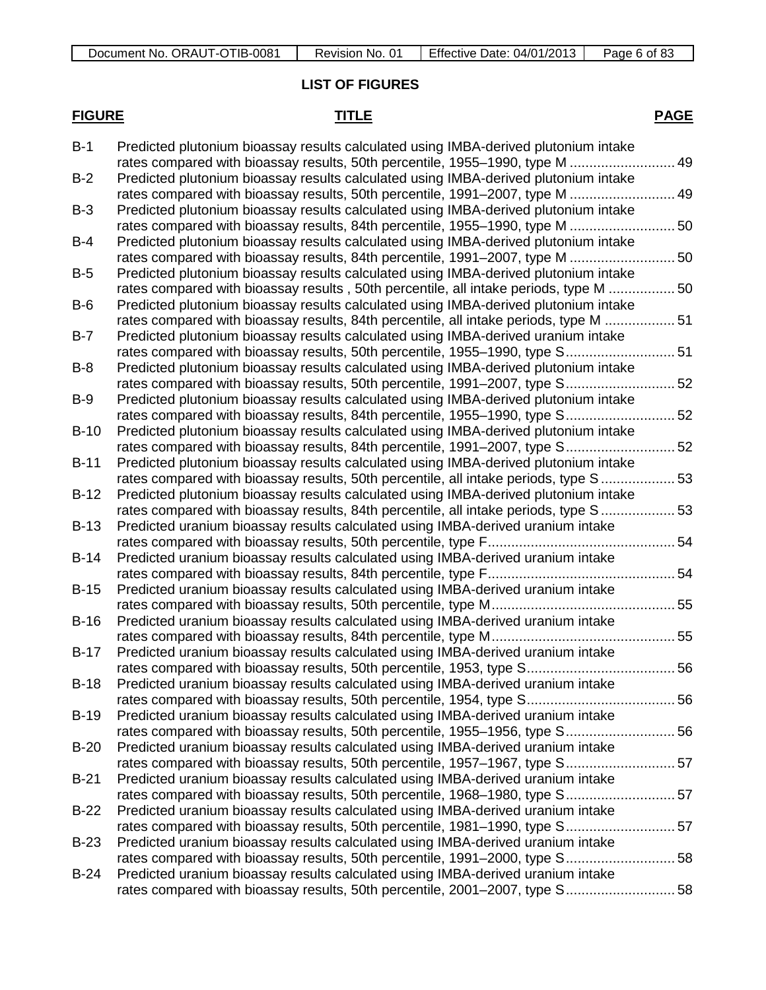# **LIST OF FIGURES**

# **FIGURE TITLE PAGE**

| $B-1$  | Predicted plutonium bioassay results calculated using IMBA-derived plutonium intake   |    |
|--------|---------------------------------------------------------------------------------------|----|
|        | rates compared with bioassay results, 50th percentile, 1955–1990, type M              | 49 |
| $B-2$  | Predicted plutonium bioassay results calculated using IMBA-derived plutonium intake   |    |
|        | rates compared with bioassay results, 50th percentile, 1991–2007, type M              | 49 |
| $B-3$  | Predicted plutonium bioassay results calculated using IMBA-derived plutonium intake   |    |
|        | rates compared with bioassay results, 84th percentile, 1955-1990, type M  50          |    |
| $B-4$  | Predicted plutonium bioassay results calculated using IMBA-derived plutonium intake   |    |
|        | rates compared with bioassay results, 84th percentile, 1991-2007, type M  50          |    |
| $B-5$  | Predicted plutonium bioassay results calculated using IMBA-derived plutonium intake   |    |
|        | rates compared with bioassay results, 50th percentile, all intake periods, type M  50 |    |
| $B-6$  | Predicted plutonium bioassay results calculated using IMBA-derived plutonium intake   |    |
|        | rates compared with bioassay results, 84th percentile, all intake periods, type M  51 |    |
| $B-7$  | Predicted plutonium bioassay results calculated using IMBA-derived uranium intake     |    |
|        | rates compared with bioassay results, 50th percentile, 1955-1990, type S 51           |    |
| $B-8$  | Predicted plutonium bioassay results calculated using IMBA-derived plutonium intake   |    |
|        | rates compared with bioassay results, 50th percentile, 1991-2007, type S 52           |    |
| $B-9$  | Predicted plutonium bioassay results calculated using IMBA-derived plutonium intake   |    |
|        | rates compared with bioassay results, 84th percentile, 1955-1990, type S 52           |    |
| $B-10$ | Predicted plutonium bioassay results calculated using IMBA-derived plutonium intake   |    |
|        | rates compared with bioassay results, 84th percentile, 1991-2007, type S 52           |    |
| $B-11$ | Predicted plutonium bioassay results calculated using IMBA-derived plutonium intake   |    |
|        | rates compared with bioassay results, 50th percentile, all intake periods, type S 53  |    |
| $B-12$ | Predicted plutonium bioassay results calculated using IMBA-derived plutonium intake   |    |
|        | rates compared with bioassay results, 84th percentile, all intake periods, type S  53 |    |
| $B-13$ | Predicted uranium bioassay results calculated using IMBA-derived uranium intake       |    |
|        |                                                                                       |    |
| $B-14$ | Predicted uranium bioassay results calculated using IMBA-derived uranium intake       |    |
|        |                                                                                       |    |
| $B-15$ | Predicted uranium bioassay results calculated using IMBA-derived uranium intake       |    |
|        |                                                                                       |    |
| $B-16$ | Predicted uranium bioassay results calculated using IMBA-derived uranium intake       |    |
|        |                                                                                       |    |
| $B-17$ | Predicted uranium bioassay results calculated using IMBA-derived uranium intake       |    |
|        |                                                                                       |    |
| $B-18$ | Predicted uranium bioassay results calculated using IMBA-derived uranium intake       |    |
|        | 56<br>rates compared with bioassay results, 50th percentile, 1954, type S             |    |
| $B-19$ | Predicted uranium bioassay results calculated using IMBA-derived uranium intake       |    |
|        | rates compared with bioassay results, 50th percentile, 1955–1956, type S 56           |    |
| $B-20$ | Predicted uranium bioassay results calculated using IMBA-derived uranium intake       |    |
|        | rates compared with bioassay results, 50th percentile, 1957–1967, type S 57           |    |
| $B-21$ | Predicted uranium bioassay results calculated using IMBA-derived uranium intake       |    |
|        | rates compared with bioassay results, 50th percentile, 1968–1980, type S 57           |    |
| $B-22$ | Predicted uranium bioassay results calculated using IMBA-derived uranium intake       |    |
|        | rates compared with bioassay results, 50th percentile, 1981–1990, type S 57           |    |
| $B-23$ | Predicted uranium bioassay results calculated using IMBA-derived uranium intake       |    |
|        | rates compared with bioassay results, 50th percentile, 1991-2000, type S 58           |    |
| $B-24$ | Predicted uranium bioassay results calculated using IMBA-derived uranium intake       |    |
|        | rates compared with bioassay results, 50th percentile, 2001–2007, type S 58           |    |
|        |                                                                                       |    |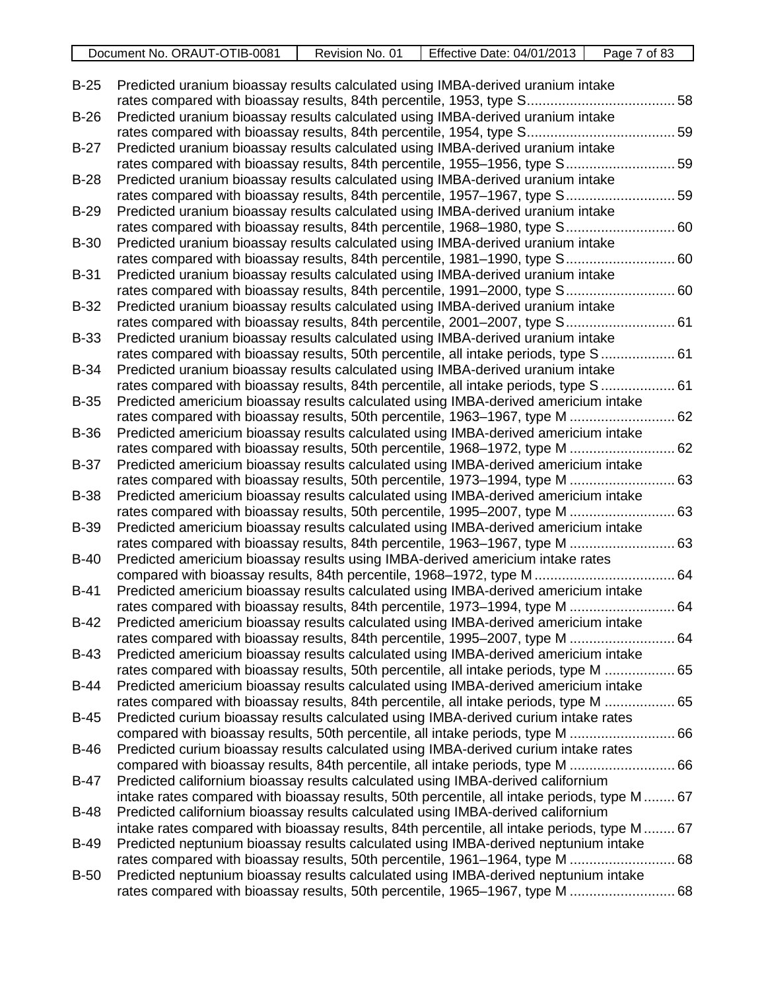| -0081<br>⊺IB-เ<br>ORAUT-C<br>Document No.<br>ີ | No.<br>Revision<br>v | Effective<br>04/01<br>Date: | οt<br>'age<br>റാ |
|------------------------------------------------|----------------------|-----------------------------|------------------|
|                                                |                      |                             |                  |

| $B-25$      | Predicted uranium bioassay results calculated using IMBA-derived uranium intake                                                                                     |  |
|-------------|---------------------------------------------------------------------------------------------------------------------------------------------------------------------|--|
| $B-26$      | Predicted uranium bioassay results calculated using IMBA-derived uranium intake                                                                                     |  |
|             |                                                                                                                                                                     |  |
| $B-27$      | Predicted uranium bioassay results calculated using IMBA-derived uranium intake<br>rates compared with bioassay results, 84th percentile, 1955-1956, type S 59      |  |
| $B-28$      | Predicted uranium bioassay results calculated using IMBA-derived uranium intake                                                                                     |  |
|             | rates compared with bioassay results, 84th percentile, 1957-1967, type S 59                                                                                         |  |
| $B-29$      | Predicted uranium bioassay results calculated using IMBA-derived uranium intake                                                                                     |  |
|             | rates compared with bioassay results, 84th percentile, 1968-1980, type S 60                                                                                         |  |
| <b>B-30</b> | Predicted uranium bioassay results calculated using IMBA-derived uranium intake                                                                                     |  |
|             | rates compared with bioassay results, 84th percentile, 1981-1990, type S 60                                                                                         |  |
| <b>B-31</b> | Predicted uranium bioassay results calculated using IMBA-derived uranium intake                                                                                     |  |
|             | rates compared with bioassay results, 84th percentile, 1991-2000, type S 60                                                                                         |  |
| <b>B-32</b> | Predicted uranium bioassay results calculated using IMBA-derived uranium intake                                                                                     |  |
|             | rates compared with bioassay results, 84th percentile, 2001-2007, type S 61                                                                                         |  |
| <b>B-33</b> | Predicted uranium bioassay results calculated using IMBA-derived uranium intake                                                                                     |  |
|             | rates compared with bioassay results, 50th percentile, all intake periods, type S  61                                                                               |  |
| <b>B-34</b> | Predicted uranium bioassay results calculated using IMBA-derived uranium intake                                                                                     |  |
|             | rates compared with bioassay results, 84th percentile, all intake periods, type S  61                                                                               |  |
| <b>B-35</b> | Predicted americium bioassay results calculated using IMBA-derived americium intake                                                                                 |  |
|             | rates compared with bioassay results, 50th percentile, 1963-1967, type M  62                                                                                        |  |
| <b>B-36</b> | Predicted americium bioassay results calculated using IMBA-derived americium intake                                                                                 |  |
|             | rates compared with bioassay results, 50th percentile, 1968-1972, type M  62                                                                                        |  |
| <b>B-37</b> | Predicted americium bioassay results calculated using IMBA-derived americium intake                                                                                 |  |
|             | rates compared with bioassay results, 50th percentile, 1973-1994, type M  63                                                                                        |  |
| <b>B-38</b> | Predicted americium bioassay results calculated using IMBA-derived americium intake                                                                                 |  |
|             | rates compared with bioassay results, 50th percentile, 1995-2007, type M  63                                                                                        |  |
| <b>B-39</b> | Predicted americium bioassay results calculated using IMBA-derived americium intake                                                                                 |  |
|             | rates compared with bioassay results, 84th percentile, 1963-1967, type M  63                                                                                        |  |
| $B-40$      | Predicted americium bioassay results using IMBA-derived americium intake rates                                                                                      |  |
|             | compared with bioassay results, 84th percentile, 1968-1972, type M 64                                                                                               |  |
| $B-41$      | Predicted americium bioassay results calculated using IMBA-derived americium intake                                                                                 |  |
|             | rates compared with bioassay results, 84th percentile, 1973–1994, type M  64                                                                                        |  |
| $B-42$      | Predicted americium bioassay results calculated using IMBA-derived americium intake                                                                                 |  |
|             | rates compared with bioassay results, 84th percentile, 1995-2007, type M  64                                                                                        |  |
| <b>B-43</b> | Predicted americium bioassay results calculated using IMBA-derived americium intake                                                                                 |  |
|             | rates compared with bioassay results, 50th percentile, all intake periods, type M  65                                                                               |  |
| <b>B-44</b> | Predicted americium bioassay results calculated using IMBA-derived americium intake                                                                                 |  |
|             | rates compared with bioassay results, 84th percentile, all intake periods, type M  65                                                                               |  |
| <b>B-45</b> | Predicted curium bioassay results calculated using IMBA-derived curium intake rates                                                                                 |  |
|             | compared with bioassay results, 50th percentile, all intake periods, type M  66                                                                                     |  |
| <b>B-46</b> | Predicted curium bioassay results calculated using IMBA-derived curium intake rates                                                                                 |  |
|             | compared with bioassay results, 84th percentile, all intake periods, type M  66                                                                                     |  |
| <b>B-47</b> | Predicted californium bioassay results calculated using IMBA-derived californium                                                                                    |  |
|             | intake rates compared with bioassay results, 50th percentile, all intake periods, type M  67                                                                        |  |
| <b>B-48</b> | Predicted californium bioassay results calculated using IMBA-derived californium                                                                                    |  |
|             | intake rates compared with bioassay results, 84th percentile, all intake periods, type M  67                                                                        |  |
| <b>B-49</b> | Predicted neptunium bioassay results calculated using IMBA-derived neptunium intake<br>rates compared with bioassay results, 50th percentile, 1961-1964, type M  68 |  |
| $B-50$      | Predicted neptunium bioassay results calculated using IMBA-derived neptunium intake                                                                                 |  |
|             | rates compared with bioassay results, 50th percentile, 1965-1967, type M  68                                                                                        |  |
|             |                                                                                                                                                                     |  |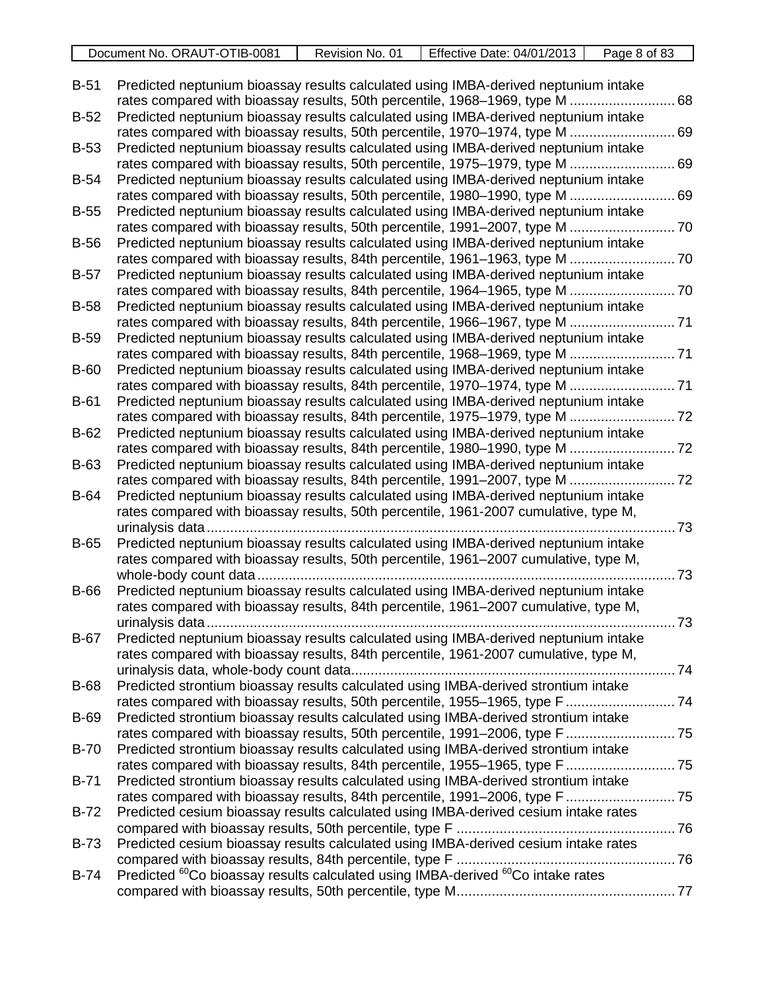| /TIB-008<br>ORAUT-C<br>`No.<br>Document | No.<br>⊀evision | Effective<br>04/01/2013<br>Date: | of 8 <sup>1</sup> د<br>Page |
|-----------------------------------------|-----------------|----------------------------------|-----------------------------|
|                                         |                 |                                  |                             |

| $B-51$      | Predicted neptunium bioassay results calculated using IMBA-derived neptunium intake<br>rates compared with bioassay results, 50th percentile, 1968–1969, type M     | .68        |
|-------------|---------------------------------------------------------------------------------------------------------------------------------------------------------------------|------------|
| $B-52$      | Predicted neptunium bioassay results calculated using IMBA-derived neptunium intake                                                                                 |            |
|             | rates compared with bioassay results, 50th percentile, 1970-1974, type M  69                                                                                        |            |
| $B-53$      | Predicted neptunium bioassay results calculated using IMBA-derived neptunium intake                                                                                 |            |
|             | rates compared with bioassay results, 50th percentile, 1975-1979, type M  69                                                                                        |            |
| $B-54$      | Predicted neptunium bioassay results calculated using IMBA-derived neptunium intake                                                                                 |            |
|             | rates compared with bioassay results, 50th percentile, 1980-1990, type M  69                                                                                        |            |
| $B-55$      | Predicted neptunium bioassay results calculated using IMBA-derived neptunium intake                                                                                 |            |
|             | rates compared with bioassay results, 50th percentile, 1991-2007, type M  70                                                                                        |            |
| $B-56$      | Predicted neptunium bioassay results calculated using IMBA-derived neptunium intake                                                                                 |            |
|             | rates compared with bioassay results, 84th percentile, 1961-1963, type M  70                                                                                        |            |
| $B-57$      | Predicted neptunium bioassay results calculated using IMBA-derived neptunium intake                                                                                 |            |
|             |                                                                                                                                                                     |            |
| <b>B-58</b> | Predicted neptunium bioassay results calculated using IMBA-derived neptunium intake                                                                                 |            |
|             | rates compared with bioassay results, 84th percentile, 1966–1967, type M  71                                                                                        |            |
| <b>B-59</b> | Predicted neptunium bioassay results calculated using IMBA-derived neptunium intake                                                                                 |            |
|             |                                                                                                                                                                     |            |
| $B-60$      | Predicted neptunium bioassay results calculated using IMBA-derived neptunium intake                                                                                 |            |
|             |                                                                                                                                                                     |            |
| $B-61$      | Predicted neptunium bioassay results calculated using IMBA-derived neptunium intake<br>rates compared with bioassay results, 84th percentile, 1975-1979, type M  72 |            |
| $B-62$      | Predicted neptunium bioassay results calculated using IMBA-derived neptunium intake                                                                                 |            |
|             | rates compared with bioassay results, 84th percentile, 1980-1990, type M  72                                                                                        |            |
| B-63        | Predicted neptunium bioassay results calculated using IMBA-derived neptunium intake                                                                                 |            |
|             |                                                                                                                                                                     |            |
| <b>B-64</b> | Predicted neptunium bioassay results calculated using IMBA-derived neptunium intake                                                                                 |            |
|             | rates compared with bioassay results, 50th percentile, 1961-2007 cumulative, type M,                                                                                |            |
|             | urinalysis data                                                                                                                                                     | $\dots$ 73 |
| $B-65$      | Predicted neptunium bioassay results calculated using IMBA-derived neptunium intake                                                                                 |            |
|             | rates compared with bioassay results, 50th percentile, 1961-2007 cumulative, type M,                                                                                |            |
|             |                                                                                                                                                                     | .73        |
| <b>B-66</b> | Predicted neptunium bioassay results calculated using IMBA-derived neptunium intake                                                                                 |            |
|             | rates compared with bioassay results, 84th percentile, 1961-2007 cumulative, type M,                                                                                |            |
|             |                                                                                                                                                                     |            |
| $B-67$      | Predicted neptunium bioassay results calculated using IMBA-derived neptunium intake                                                                                 |            |
|             | rates compared with bioassay results, 84th percentile, 1961-2007 cumulative, type M,                                                                                |            |
|             |                                                                                                                                                                     |            |
| <b>B-68</b> | Predicted strontium bioassay results calculated using IMBA-derived strontium intake                                                                                 |            |
|             | rates compared with bioassay results, 50th percentile, 1955-1965, type F  74                                                                                        |            |
| <b>B-69</b> | Predicted strontium bioassay results calculated using IMBA-derived strontium intake                                                                                 |            |
|             | rates compared with bioassay results, 50th percentile, 1991-2006, type F  75                                                                                        |            |
| <b>B-70</b> | Predicted strontium bioassay results calculated using IMBA-derived strontium intake                                                                                 |            |
|             |                                                                                                                                                                     |            |
| $B-71$      | Predicted strontium bioassay results calculated using IMBA-derived strontium intake                                                                                 |            |
|             |                                                                                                                                                                     |            |
| $B-72$      | Predicted cesium bioassay results calculated using IMBA-derived cesium intake rates                                                                                 |            |
|             |                                                                                                                                                                     |            |
| <b>B-73</b> | Predicted cesium bioassay results calculated using IMBA-derived cesium intake rates                                                                                 |            |
| $B-74$      | Predicted <sup>60</sup> Co bioassay results calculated using IMBA-derived <sup>60</sup> Co intake rates                                                             |            |
|             |                                                                                                                                                                     |            |
|             |                                                                                                                                                                     |            |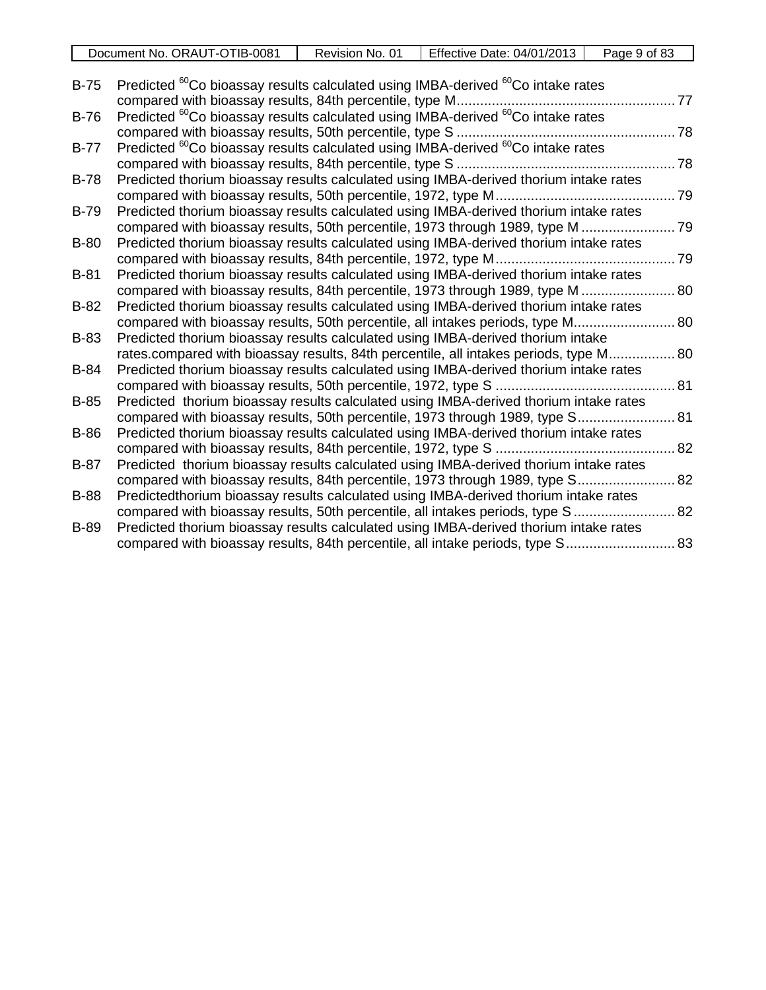| Document No. ORAUT-OTIB-0081 | ≅No.<br>Revision | <b>Effective Date: 04/01/2013</b> | of 83<br>Page 9 |
|------------------------------|------------------|-----------------------------------|-----------------|
|                              |                  |                                   |                 |

| $B-75$      | Predicted <sup>60</sup> Co bioassay results calculated using IMBA-derived <sup>60</sup> Co intake rates |  |
|-------------|---------------------------------------------------------------------------------------------------------|--|
|             |                                                                                                         |  |
| $B-76$      | Predicted <sup>60</sup> Co bioassay results calculated using IMBA-derived <sup>60</sup> Co intake rates |  |
|             |                                                                                                         |  |
| $B-77$      | Predicted <sup>60</sup> Co bioassay results calculated using IMBA-derived <sup>60</sup> Co intake rates |  |
|             |                                                                                                         |  |
| $B-78$      | Predicted thorium bioassay results calculated using IMBA-derived thorium intake rates                   |  |
|             |                                                                                                         |  |
| <b>B-79</b> | Predicted thorium bioassay results calculated using IMBA-derived thorium intake rates                   |  |
|             | compared with bioassay results, 50th percentile, 1973 through 1989, type M  79                          |  |
| <b>B-80</b> | Predicted thorium bioassay results calculated using IMBA-derived thorium intake rates                   |  |
|             |                                                                                                         |  |
| $B-81$      | Predicted thorium bioassay results calculated using IMBA-derived thorium intake rates                   |  |
|             | compared with bioassay results, 84th percentile, 1973 through 1989, type M  80                          |  |
| $B-82$      | Predicted thorium bioassay results calculated using IMBA-derived thorium intake rates                   |  |
|             | compared with bioassay results, 50th percentile, all intakes periods, type M 80                         |  |
| <b>B-83</b> | Predicted thorium bioassay results calculated using IMBA-derived thorium intake                         |  |
|             | rates.compared with bioassay results, 84th percentile, all intakes periods, type M 80                   |  |
| <b>B-84</b> | Predicted thorium bioassay results calculated using IMBA-derived thorium intake rates                   |  |
|             |                                                                                                         |  |
| $B-85$      | Predicted thorium bioassay results calculated using IMBA-derived thorium intake rates                   |  |
|             | compared with bioassay results, 50th percentile, 1973 through 1989, type S 81                           |  |
| <b>B-86</b> | Predicted thorium bioassay results calculated using IMBA-derived thorium intake rates                   |  |
|             |                                                                                                         |  |
| $B-87$      | Predicted thorium bioassay results calculated using IMBA-derived thorium intake rates                   |  |
|             | compared with bioassay results, 84th percentile, 1973 through 1989, type S 82                           |  |
| <b>B-88</b> | Predictedthorium bioassay results calculated using IMBA-derived thorium intake rates                    |  |
|             | compared with bioassay results, 50th percentile, all intakes periods, type S  82                        |  |
| <b>B-89</b> | Predicted thorium bioassay results calculated using IMBA-derived thorium intake rates                   |  |
|             | compared with bioassay results, 84th percentile, all intake periods, type S 83                          |  |
|             |                                                                                                         |  |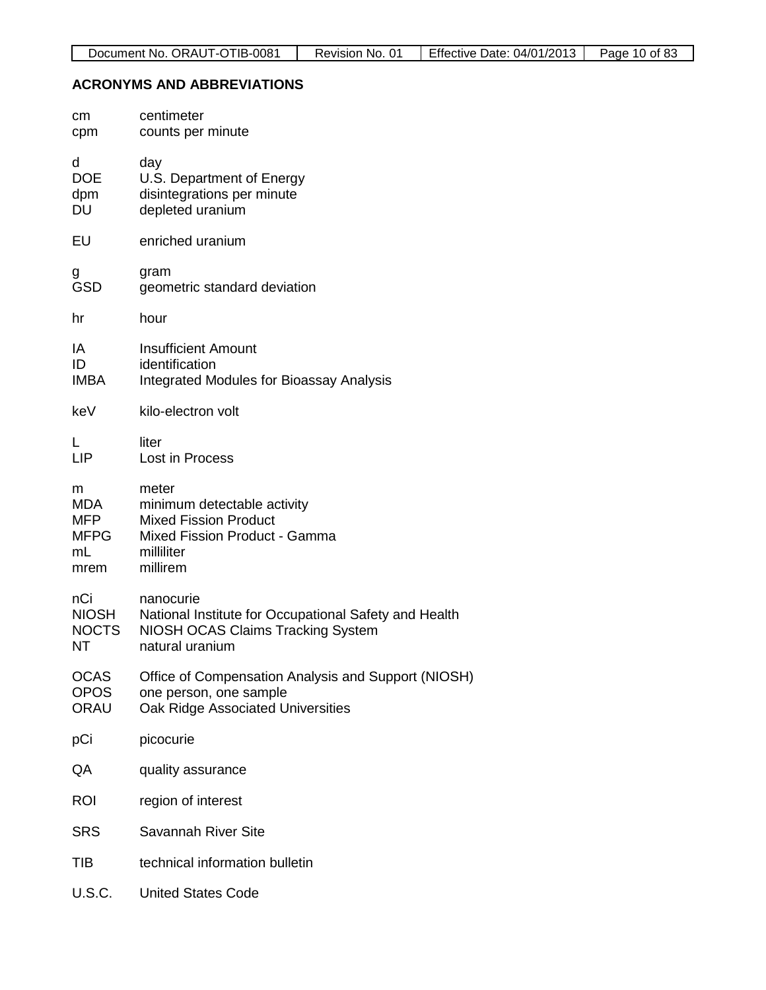# **ACRONYMS AND ABBREVIATIONS**

| cm<br>cpm                                            | centimeter<br>counts per minute                                                                                                   |
|------------------------------------------------------|-----------------------------------------------------------------------------------------------------------------------------------|
| d<br><b>DOE</b><br>dpm<br>DU                         | day<br>U.S. Department of Energy<br>disintegrations per minute<br>depleted uranium                                                |
| EU                                                   | enriched uranium                                                                                                                  |
| g<br><b>GSD</b>                                      | gram<br>geometric standard deviation                                                                                              |
| hr                                                   | hour                                                                                                                              |
| ΙA<br>ID<br><b>IMBA</b>                              | <b>Insufficient Amount</b><br>identification<br><b>Integrated Modules for Bioassay Analysis</b>                                   |
| keV                                                  | kilo-electron volt                                                                                                                |
| L<br><b>LIP</b>                                      | liter<br>Lost in Process                                                                                                          |
| m<br><b>MDA</b><br>MFP.<br><b>MFPG</b><br>mL<br>mrem | meter<br>minimum detectable activity<br><b>Mixed Fission Product</b><br>Mixed Fission Product - Gamma<br>milliliter<br>millirem   |
| nCi<br><b>NIOSH</b><br><b>NOCTS</b><br>ΝT            | nanocurie<br>National Institute for Occupational Safety and Health<br><b>NIOSH OCAS Claims Tracking System</b><br>natural uranium |
| <b>OCAS</b><br><b>OPOS</b><br>ORAU                   | Office of Compensation Analysis and Support (NIOSH)<br>one person, one sample<br>Oak Ridge Associated Universities                |
| pCi                                                  | picocurie                                                                                                                         |
| QA                                                   | quality assurance                                                                                                                 |
| <b>ROI</b>                                           | region of interest                                                                                                                |
| <b>SRS</b>                                           | Savannah River Site                                                                                                               |
| TIB                                                  | technical information bulletin                                                                                                    |
| U.S.C.                                               | <b>United States Code</b>                                                                                                         |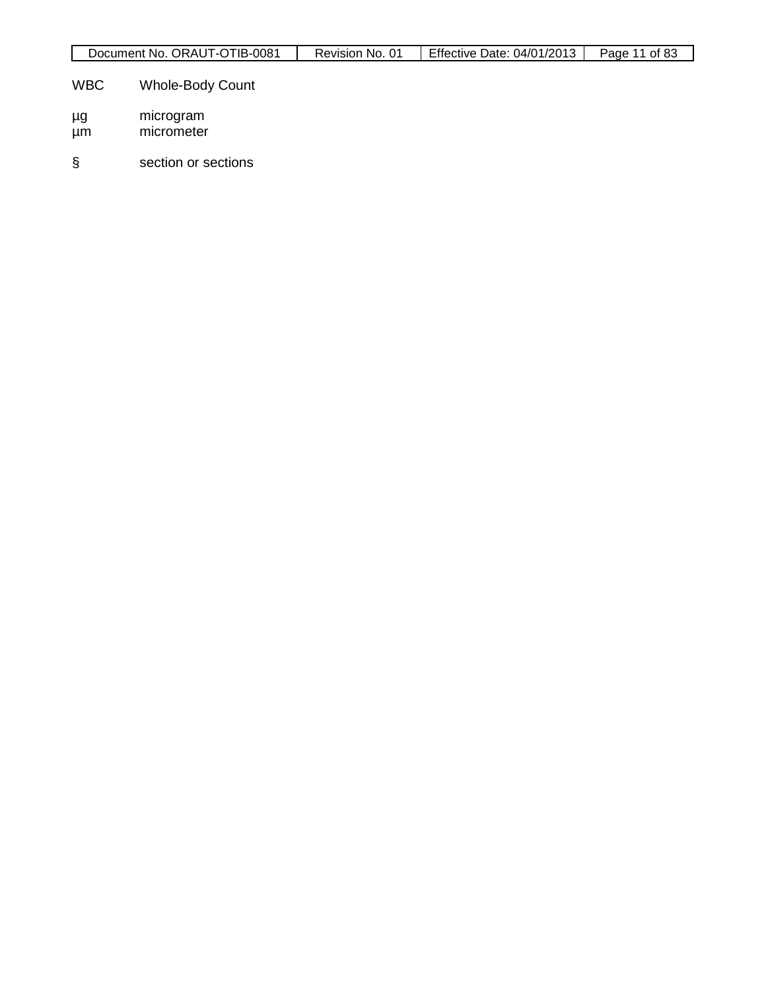| Document No. ORAUT-OTIB-0081 | Revision No. 01 | Effective Date: 04/01/2013 | Page 11 of 83 |
|------------------------------|-----------------|----------------------------|---------------|

# WBC Whole-Body Count

- µg microgram
- µm micrometer
- § section or sections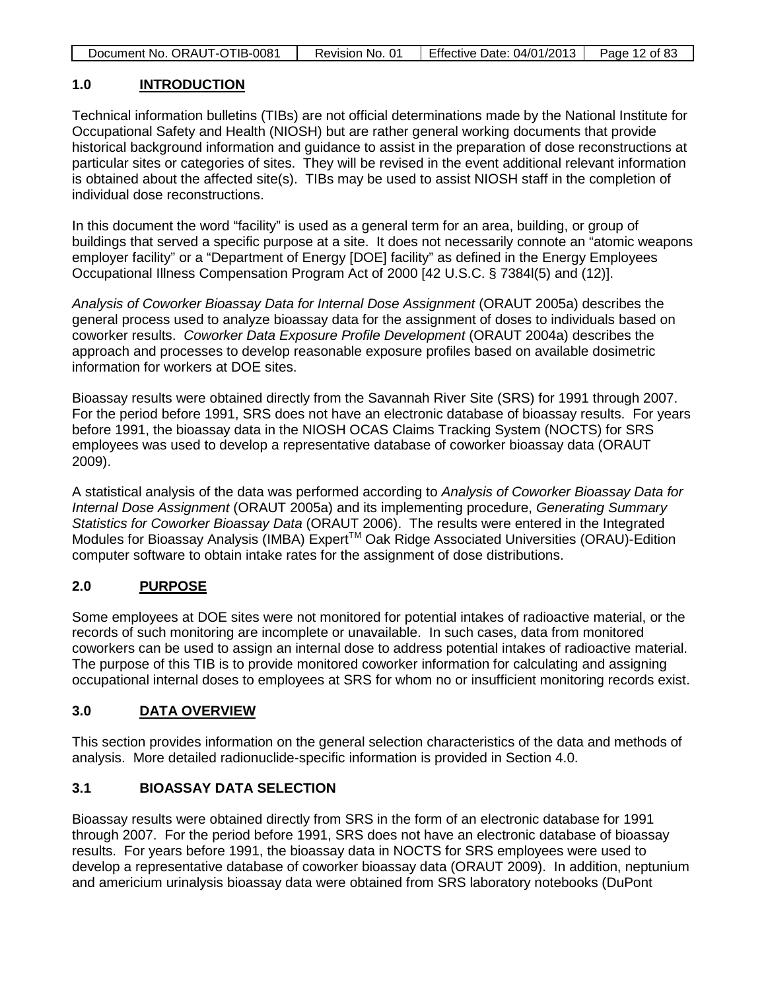| Document No. ORAUT-OTIB-0081 | Revision No. 01 | Effective Date: 04/01/2013 | Page 12 of 83 |
|------------------------------|-----------------|----------------------------|---------------|
|                              |                 |                            |               |

# **1.0 INTRODUCTION**

Technical information bulletins (TIBs) are not official determinations made by the National Institute for Occupational Safety and Health (NIOSH) but are rather general working documents that provide historical background information and guidance to assist in the preparation of dose reconstructions at particular sites or categories of sites. They will be revised in the event additional relevant information is obtained about the affected site(s). TIBs may be used to assist NIOSH staff in the completion of individual dose reconstructions.

In this document the word "facility" is used as a general term for an area, building, or group of buildings that served a specific purpose at a site. It does not necessarily connote an "atomic weapons employer facility" or a "Department of Energy [DOE] facility" as defined in the Energy Employees Occupational Illness Compensation Program Act of 2000 [42 U.S.C. § 7384l(5) and (12)].

*Analysis of Coworker Bioassay Data for Internal Dose Assignment* (ORAUT 2005a) describes the general process used to analyze bioassay data for the assignment of doses to individuals based on coworker results. *Coworker Data Exposure Profile Development* (ORAUT 2004a) describes the approach and processes to develop reasonable exposure profiles based on available dosimetric information for workers at DOE sites.

Bioassay results were obtained directly from the Savannah River Site (SRS) for 1991 through 2007. For the period before 1991, SRS does not have an electronic database of bioassay results. For years before 1991, the bioassay data in the NIOSH OCAS Claims Tracking System (NOCTS) for SRS employees was used to develop a representative database of coworker bioassay data (ORAUT 2009).

A statistical analysis of the data was performed according to *Analysis of Coworker Bioassay Data for Internal Dose Assignment* (ORAUT 2005a) and its implementing procedure, *Generating Summary Statistics for Coworker Bioassay Data* (ORAUT 2006). The results were entered in the Integrated Modules for Bioassay Analysis (IMBA) Expert<sup>™</sup> Oak Ridge Associated Universities (ORAU)-Edition computer software to obtain intake rates for the assignment of dose distributions.

# **2.0 PURPOSE**

Some employees at DOE sites were not monitored for potential intakes of radioactive material, or the records of such monitoring are incomplete or unavailable. In such cases, data from monitored coworkers can be used to assign an internal dose to address potential intakes of radioactive material. The purpose of this TIB is to provide monitored coworker information for calculating and assigning occupational internal doses to employees at SRS for whom no or insufficient monitoring records exist.

# **3.0 DATA OVERVIEW**

This section provides information on the general selection characteristics of the data and methods of analysis. More detailed radionuclide-specific information is provided in Section 4.0.

## **3.1 BIOASSAY DATA SELECTION**

Bioassay results were obtained directly from SRS in the form of an electronic database for 1991 through 2007. For the period before 1991, SRS does not have an electronic database of bioassay results. For years before 1991, the bioassay data in NOCTS for SRS employees were used to develop a representative database of coworker bioassay data (ORAUT 2009). In addition, neptunium and americium urinalysis bioassay data were obtained from SRS laboratory notebooks (DuPont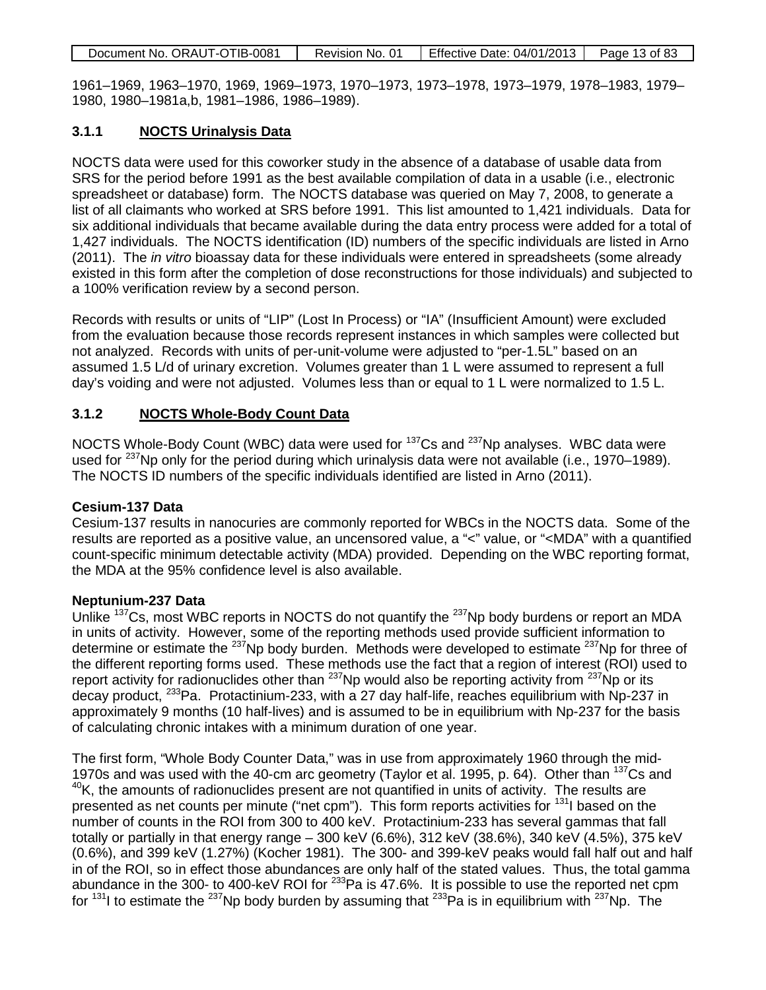|  | Document No. ORAUT-OTIB-0081 | Revision No. 01 | <b>Effective Date: 04/01/2013</b> | Page 13 of 83 |
|--|------------------------------|-----------------|-----------------------------------|---------------|
|--|------------------------------|-----------------|-----------------------------------|---------------|

1961–1969, 1963–1970, 1969, 1969–1973, 1970–1973, 1973–1978, 1973–1979, 1978–1983, 1979– 1980, 1980–1981a,b, 1981–1986, 1986–1989).

# **3.1.1 NOCTS Urinalysis Data**

NOCTS data were used for this coworker study in the absence of a database of usable data from SRS for the period before 1991 as the best available compilation of data in a usable (i.e., electronic spreadsheet or database) form. The NOCTS database was queried on May 7, 2008, to generate a list of all claimants who worked at SRS before 1991. This list amounted to 1,421 individuals. Data for six additional individuals that became available during the data entry process were added for a total of 1,427 individuals. The NOCTS identification (ID) numbers of the specific individuals are listed in Arno (2011). The *in vitro* bioassay data for these individuals were entered in spreadsheets (some already existed in this form after the completion of dose reconstructions for those individuals) and subjected to a 100% verification review by a second person.

Records with results or units of "LIP" (Lost In Process) or "IA" (Insufficient Amount) were excluded from the evaluation because those records represent instances in which samples were collected but not analyzed. Records with units of per-unit-volume were adjusted to "per-1.5L" based on an assumed 1.5 L/d of urinary excretion. Volumes greater than 1 L were assumed to represent a full day's voiding and were not adjusted. Volumes less than or equal to 1 L were normalized to 1.5 L.

# **3.1.2 NOCTS Whole-Body Count Data**

NOCTS Whole-Body Count (WBC) data were used for <sup>137</sup>Cs and <sup>237</sup>Np analyses. WBC data were used for  $^{237}$ Np only for the period during which urinalysis data were not available (i.e., 1970–1989). The NOCTS ID numbers of the specific individuals identified are listed in Arno (2011).

## **Cesium-137 Data**

Cesium-137 results in nanocuries are commonly reported for WBCs in the NOCTS data. Some of the results are reported as a positive value, an uncensored value, a "<" value, or "<MDA" with a quantified count-specific minimum detectable activity (MDA) provided. Depending on the WBC reporting format, the MDA at the 95% confidence level is also available.

## **Neptunium-237 Data**

Unlike <sup>137</sup>Cs, most WBC reports in NOCTS do not quantify the <sup>237</sup>Np body burdens or report an MDA in units of activity. However, some of the reporting methods used provide sufficient information to determine or estimate the  $^{237}$ Np body burden. Methods were developed to estimate  $^{237}$ Np for three of the different reporting forms used. These methods use the fact that a region of interest (ROI) used to report activity for radionuclides other than <sup>237</sup>Np would also be reporting activity from <sup>237</sup>Np or its decay product, 233Pa. Protactinium-233, with a 27 day half-life, reaches equilibrium with Np-237 in approximately 9 months (10 half-lives) and is assumed to be in equilibrium with Np-237 for the basis of calculating chronic intakes with a minimum duration of one year.

The first form, "Whole Body Counter Data," was in use from approximately 1960 through the mid-1970s and was used with the 40-cm arc geometry (Taylor et al. 1995, p. 64). Other than <sup>137</sup>Cs and  $40$ K, the amounts of radionuclides present are not quantified in units of activity. The results are presented as net counts per minute ("net cpm"). This form reports activities for <sup>131</sup>l based on the number of counts in the ROI from 300 to 400 keV. Protactinium-233 has several gammas that fall totally or partially in that energy range – 300 keV (6.6%), 312 keV (38.6%), 340 keV (4.5%), 375 keV (0.6%), and 399 keV (1.27%) (Kocher 1981). The 300- and 399-keV peaks would fall half out and half in of the ROI, so in effect those abundances are only half of the stated values. Thus, the total gamma abundance in the 300- to 400-keV ROI for <sup>233</sup>Pa is 47.6%. It is possible to use the reported net cpm for  $131$  to estimate the  $237$ Np body burden by assuming that  $233$ Pa is in equilibrium with  $237$ Np. The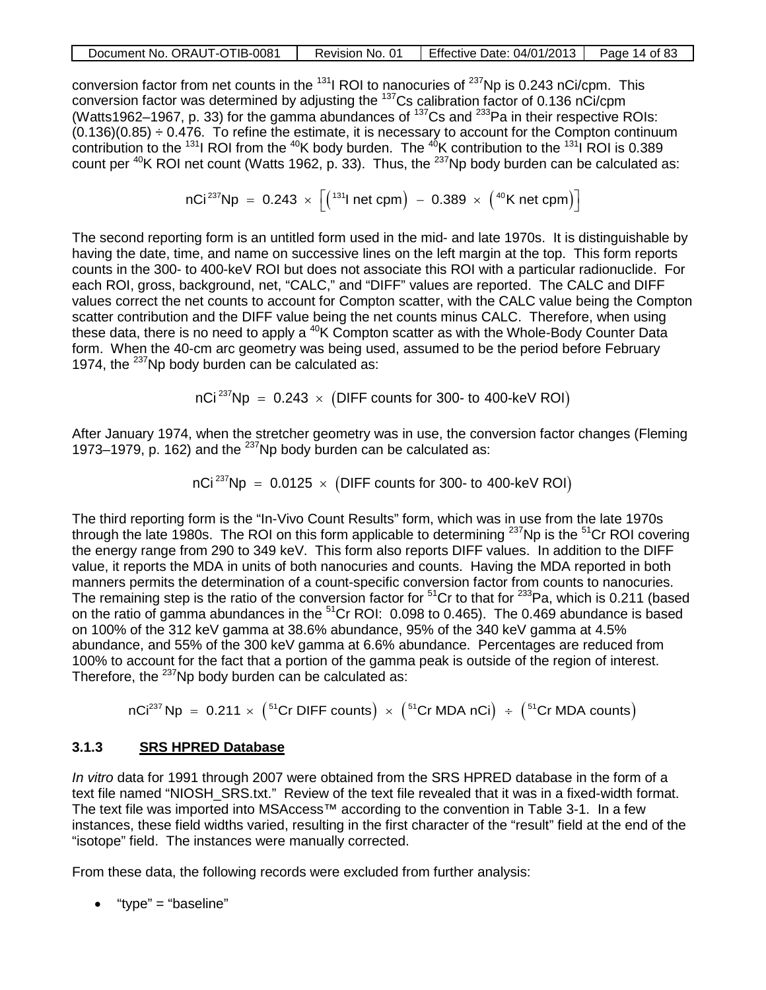| Document No. ORAUT-OTIB-0081 | Revision No. 01 | Effective Date: 04/01/2013 | Page 14 of 83 |
|------------------------------|-----------------|----------------------------|---------------|
|                              |                 |                            |               |

conversion factor from net counts in the  $^{131}$ I ROI to nanocuries of  $^{237}$ Np is 0.243 nCi/cpm. This conversion factor was determined by adjusting the 137Cs calibration factor of 0.136 nCi/cpm (Watts1962–1967, p. 33) for the gamma abundances of 137Cs and 233Pa in their respective ROIs:  $(0.136)(0.85) \div 0.476$ . To refine the estimate, it is necessary to account for the Compton continuum contribution to the  $^{131}$  ROI from the  $^{40}$ K body burden. The  $^{40}$ K contribution to the  $^{131}$  ROI is 0.389 count per  $^{40}$ K ROI net count (Watts 1962, p. 33). Thus, the  $^{237}$ Np body burden can be calculated as:

$$
nCi^{237}Np = 0.243 \times \left[ \left( ^{131}l\;net\;cpm \right) \;-\;0.389 \;\times\; \left( ^{40}K\;net\;cpm \right) \right]
$$

The second reporting form is an untitled form used in the mid- and late 1970s. It is distinguishable by having the date, time, and name on successive lines on the left margin at the top. This form reports counts in the 300- to 400-keV ROI but does not associate this ROI with a particular radionuclide. For each ROI, gross, background, net, "CALC," and "DIFF" values are reported. The CALC and DIFF values correct the net counts to account for Compton scatter, with the CALC value being the Compton scatter contribution and the DIFF value being the net counts minus CALC. Therefore, when using these data, there is no need to apply a  $40K$  Compton scatter as with the Whole-Body Counter Data form. When the 40-cm arc geometry was being used, assumed to be the period before February 1974, the  $^{237}$ Np body burden can be calculated as:

 $nCi^{237}Np = 0.243 \times (DIFF$  counts for 300- to 400-keV ROI

After January 1974, when the stretcher geometry was in use, the conversion factor changes (Fleming 1973–1979, p. 162) and the  $^{237}$ Np body burden can be calculated as:

nCi<sup>237</sup>Np = 0.0125 
$$
\times
$$
 (DIFF counts for 300- to 400-keV ROI)

The third reporting form is the "In-Vivo Count Results" form, which was in use from the late 1970s through the late 1980s. The ROI on this form applicable to determining  $^{237}$ Np is the  $^{51}$ Cr ROI covering the energy range from 290 to 349 keV. This form also reports DIFF values. In addition to the DIFF value, it reports the MDA in units of both nanocuries and counts. Having the MDA reported in both manners permits the determination of a count-specific conversion factor from counts to nanocuries. The remaining step is the ratio of the conversion factor for  $51$ Cr to that for  $233$ Pa, which is 0.211 (based on the ratio of gamma abundances in the <sup>51</sup>Cr ROI: 0.098 to 0.465). The 0.469 abundance is based on 100% of the 312 keV gamma at 38.6% abundance, 95% of the 340 keV gamma at 4.5% abundance, and 55% of the 300 keV gamma at 6.6% abundance. Percentages are reduced from 100% to account for the fact that a portion of the gamma peak is outside of the region of interest. Therefore, the  $^{237}$ Np body burden can be calculated as:

 $nCi^{237}$  Np = 0.211  $\times$  (<sup>51</sup>Cr DIFF counts)  $\times$  (<sup>51</sup>Cr MDA nCi)  $\div$  (<sup>51</sup>Cr MDA counts)

## **3.1.3 SRS HPRED Database**

*In vitro* data for 1991 through 2007 were obtained from the SRS HPRED database in the form of a text file named "NIOSH\_SRS.txt." Review of the text file revealed that it was in a fixed-width format. The text file was imported into MSAccess<sup>™</sup> according to the convention in Table 3-1. In a few instances, these field widths varied, resulting in the first character of the "result" field at the end of the "isotope" field. The instances were manually corrected.

From these data, the following records were excluded from further analysis:

• "type" = "baseline"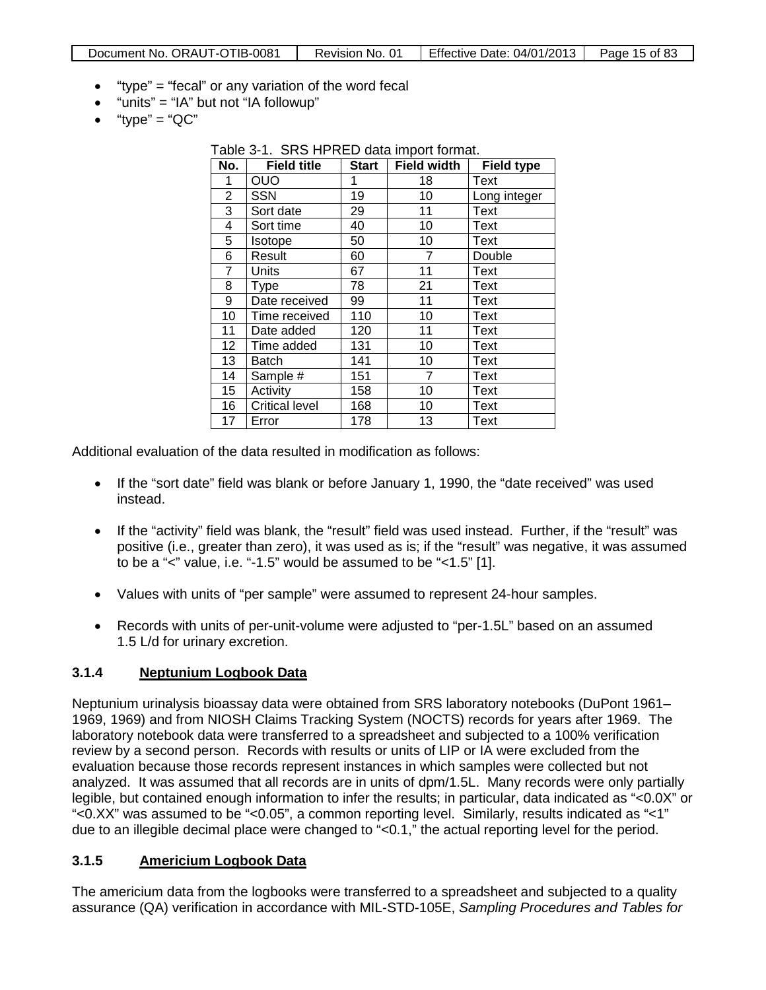- "type" = "fecal" or any variation of the word fecal
- "units" = "IA" but not "IA followup"
- $\bullet$  "type" = "QC"

Table 3-1. SRS HPRED data import format.<br>**No. Field title Fistart Field width No. Field title Start Field width Field type** 1 OUO 1 18 Text 2 SSN 19 10 Long integer 3 Sort date 29 11 Text 4 Sort time 40 10 Text 5 | Isotope | 50 | 10 | Text 6 Result 60 7 Double 7 Units | 67 | 11 | Text 8 Type 178 21 Text 9 Date received | 99 | 11 | Text 10 Time received 110 10 Text 11 Date added 120 11 Text 12 Time added | 131 | 10 | Text 13 Batch 141 | 10 | Text 14 | Sample # | 151 | 7 | Text 15 Activity 158 10 Text 16 | Critical level | 168 | 10 | Text 17 | Error | 178 | 13 | Text

Additional evaluation of the data resulted in modification as follows:

- If the "sort date" field was blank or before January 1, 1990, the "date received" was used instead.
- If the "activity" field was blank, the "result" field was used instead. Further, if the "result" was positive (i.e., greater than zero), it was used as is; if the "result" was negative, it was assumed to be a "<" value, i.e. "-1.5" would be assumed to be "<1.5" [1].
- Values with units of "per sample" were assumed to represent 24-hour samples.
- Records with units of per-unit-volume were adjusted to "per-1.5L" based on an assumed 1.5 L/d for urinary excretion.

## **3.1.4 Neptunium Logbook Data**

Neptunium urinalysis bioassay data were obtained from SRS laboratory notebooks (DuPont 1961– 1969, 1969) and from NIOSH Claims Tracking System (NOCTS) records for years after 1969. The laboratory notebook data were transferred to a spreadsheet and subjected to a 100% verification review by a second person. Records with results or units of LIP or IA were excluded from the evaluation because those records represent instances in which samples were collected but not analyzed. It was assumed that all records are in units of dpm/1.5L. Many records were only partially legible, but contained enough information to infer the results; in particular, data indicated as "<0.0X" or "<0.XX" was assumed to be "<0.05", a common reporting level. Similarly, results indicated as "<1" due to an illegible decimal place were changed to "<0.1," the actual reporting level for the period.

#### **3.1.5 Americium Logbook Data**

The americium data from the logbooks were transferred to a spreadsheet and subjected to a quality assurance (QA) verification in accordance with MIL-STD-105E, *Sampling Procedures and Tables for*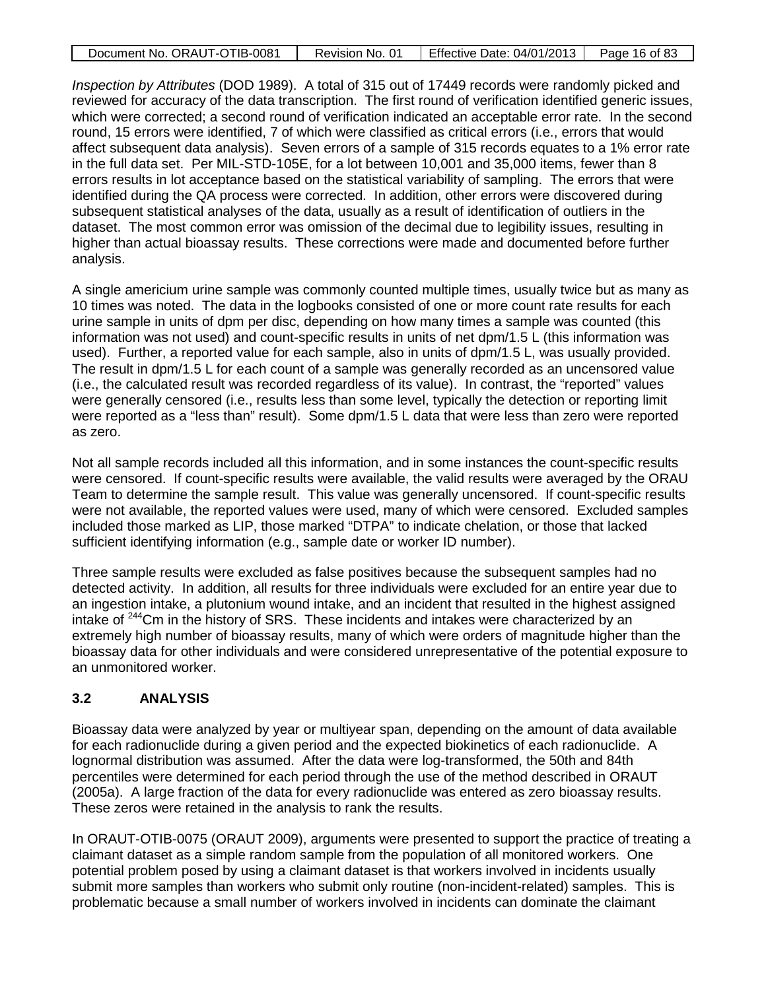| Document No. ORAUT-OTIB-0081 | Revision No. 01 | Effective Date: 04/01/2013 | Page 16 of 83 |
|------------------------------|-----------------|----------------------------|---------------|
|                              |                 |                            |               |

*Inspection by Attributes* (DOD 1989). A total of 315 out of 17449 records were randomly picked and reviewed for accuracy of the data transcription. The first round of verification identified generic issues, which were corrected; a second round of verification indicated an acceptable error rate. In the second round, 15 errors were identified, 7 of which were classified as critical errors (i.e., errors that would affect subsequent data analysis). Seven errors of a sample of 315 records equates to a 1% error rate in the full data set. Per MIL-STD-105E, for a lot between 10,001 and 35,000 items, fewer than 8 errors results in lot acceptance based on the statistical variability of sampling. The errors that were identified during the QA process were corrected. In addition, other errors were discovered during subsequent statistical analyses of the data, usually as a result of identification of outliers in the dataset. The most common error was omission of the decimal due to legibility issues, resulting in higher than actual bioassay results. These corrections were made and documented before further analysis.

A single americium urine sample was commonly counted multiple times, usually twice but as many as 10 times was noted. The data in the logbooks consisted of one or more count rate results for each urine sample in units of dpm per disc, depending on how many times a sample was counted (this information was not used) and count-specific results in units of net dpm/1.5 L (this information was used). Further, a reported value for each sample, also in units of dpm/1.5 L, was usually provided. The result in dpm/1.5 L for each count of a sample was generally recorded as an uncensored value (i.e., the calculated result was recorded regardless of its value). In contrast, the "reported" values were generally censored (i.e., results less than some level, typically the detection or reporting limit were reported as a "less than" result). Some dpm/1.5 L data that were less than zero were reported as zero.

Not all sample records included all this information, and in some instances the count-specific results were censored. If count-specific results were available, the valid results were averaged by the ORAU Team to determine the sample result. This value was generally uncensored. If count-specific results were not available, the reported values were used, many of which were censored. Excluded samples included those marked as LIP, those marked "DTPA" to indicate chelation, or those that lacked sufficient identifying information (e.g., sample date or worker ID number).

Three sample results were excluded as false positives because the subsequent samples had no detected activity. In addition, all results for three individuals were excluded for an entire year due to an ingestion intake, a plutonium wound intake, and an incident that resulted in the highest assigned intake of <sup>244</sup>Cm in the history of SRS. These incidents and intakes were characterized by an extremely high number of bioassay results, many of which were orders of magnitude higher than the bioassay data for other individuals and were considered unrepresentative of the potential exposure to an unmonitored worker.

## **3.2 ANALYSIS**

Bioassay data were analyzed by year or multiyear span, depending on the amount of data available for each radionuclide during a given period and the expected biokinetics of each radionuclide. A lognormal distribution was assumed. After the data were log-transformed, the 50th and 84th percentiles were determined for each period through the use of the method described in ORAUT (2005a). A large fraction of the data for every radionuclide was entered as zero bioassay results. These zeros were retained in the analysis to rank the results.

In ORAUT-OTIB-0075 (ORAUT 2009), arguments were presented to support the practice of treating a claimant dataset as a simple random sample from the population of all monitored workers. One potential problem posed by using a claimant dataset is that workers involved in incidents usually submit more samples than workers who submit only routine (non-incident-related) samples. This is problematic because a small number of workers involved in incidents can dominate the claimant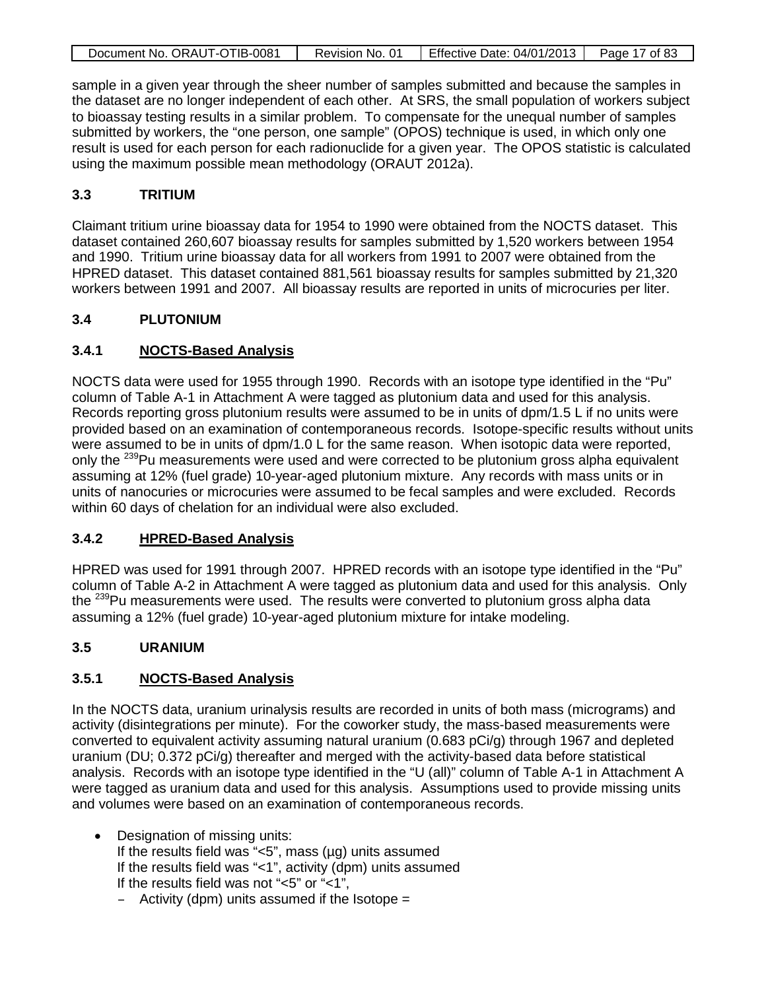| Document No. ORAUT-OTIB-0081 | Revision No. 01 | Effective Date: 04/01/2013   Page 17 of 83 |  |
|------------------------------|-----------------|--------------------------------------------|--|

sample in a given year through the sheer number of samples submitted and because the samples in the dataset are no longer independent of each other. At SRS, the small population of workers subject to bioassay testing results in a similar problem. To compensate for the unequal number of samples submitted by workers, the "one person, one sample" (OPOS) technique is used, in which only one result is used for each person for each radionuclide for a given year. The OPOS statistic is calculated using the maximum possible mean methodology (ORAUT 2012a).

# **3.3 TRITIUM**

Claimant tritium urine bioassay data for 1954 to 1990 were obtained from the NOCTS dataset. This dataset contained 260,607 bioassay results for samples submitted by 1,520 workers between 1954 and 1990. Tritium urine bioassay data for all workers from 1991 to 2007 were obtained from the HPRED dataset. This dataset contained 881,561 bioassay results for samples submitted by 21,320 workers between 1991 and 2007. All bioassay results are reported in units of microcuries per liter.

# **3.4 PLUTONIUM**

# **3.4.1 NOCTS-Based Analysis**

NOCTS data were used for 1955 through 1990. Records with an isotope type identified in the "Pu" column of Table A-1 in Attachment A were tagged as plutonium data and used for this analysis. Records reporting gross plutonium results were assumed to be in units of dpm/1.5 L if no units were provided based on an examination of contemporaneous records. Isotope-specific results without units were assumed to be in units of dpm/1.0 L for the same reason. When isotopic data were reported, only the <sup>239</sup>Pu measurements were used and were corrected to be plutonium gross alpha equivalent assuming at 12% (fuel grade) 10-year-aged plutonium mixture. Any records with mass units or in units of nanocuries or microcuries were assumed to be fecal samples and were excluded. Records within 60 days of chelation for an individual were also excluded.

# **3.4.2 HPRED-Based Analysis**

HPRED was used for 1991 through 2007. HPRED records with an isotope type identified in the "Pu" column of Table A-2 in Attachment A were tagged as plutonium data and used for this analysis. Only the <sup>239</sup>Pu measurements were used. The results were converted to plutonium gross alpha data assuming a 12% (fuel grade) 10-year-aged plutonium mixture for intake modeling.

## **3.5 URANIUM**

# **3.5.1 NOCTS-Based Analysis**

In the NOCTS data, uranium urinalysis results are recorded in units of both mass (micrograms) and activity (disintegrations per minute). For the coworker study, the mass-based measurements were converted to equivalent activity assuming natural uranium (0.683 pCi/g) through 1967 and depleted uranium (DU; 0.372 pCi/g) thereafter and merged with the activity-based data before statistical analysis. Records with an isotope type identified in the "U (all)" column of Table A-1 in Attachment A were tagged as uranium data and used for this analysis. Assumptions used to provide missing units and volumes were based on an examination of contemporaneous records.

- Designation of missing units: If the results field was " $<5$ ", mass ( $\mu$ g) units assumed If the results field was "<1", activity (dpm) units assumed If the results field was not "<5" or "<1",
	- $-$  Activity (dpm) units assumed if the Isotope  $=$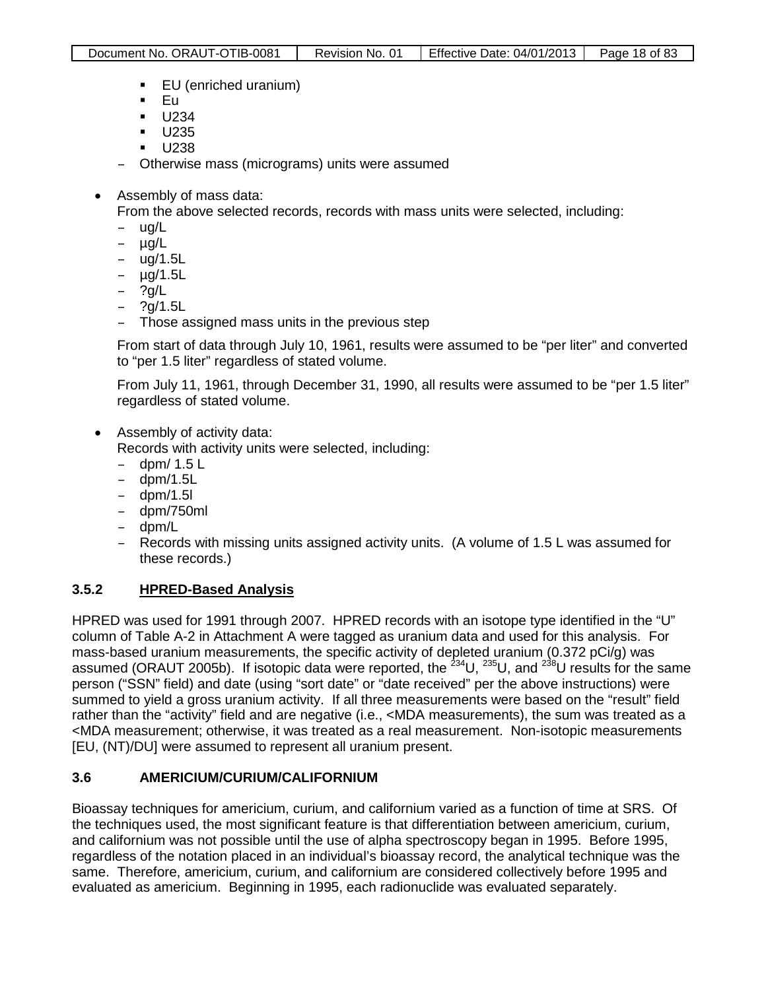- EU (enriched uranium)
- $E$ u
- **U234**
- $\blacksquare$  U235
- $\blacksquare$  U238
- Otherwise mass (micrograms) units were assumed
- Assembly of mass data:

From the above selected records, records with mass units were selected, including:

- ug/L
- µg/L
- ug/1.5L
- µg/1.5L
- ?g/L
- 
- ?g/1.5L Those assigned mass units in the previous step

From start of data through July 10, 1961, results were assumed to be "per liter" and converted to "per 1.5 liter" regardless of stated volume.

From July 11, 1961, through December 31, 1990, all results were assumed to be "per 1.5 liter" regardless of stated volume.

• Assembly of activity data:

Records with activity units were selected, including:

- $-$  dpm/ 1.5 L<br> $-$  dpm/1.5
- dpm/1.5L
- dpm/1.5l
- dpm/750ml
- dpm/L
- Records with missing units assigned activity units. (A volume of 1.5 L was assumed for these records.)

# **3.5.2 HPRED-Based Analysis**

HPRED was used for 1991 through 2007. HPRED records with an isotope type identified in the "U" column of Table A-2 in Attachment A were tagged as uranium data and used for this analysis. For mass-based uranium measurements, the specific activity of depleted uranium (0.372 pCi/g) was assumed (ORAUT 2005b). If isotopic data were reported, the <sup>234</sup>U, <sup>235</sup>U, and <sup>238</sup>U results for the same person ("SSN" field) and date (using "sort date" or "date received" per the above instructions) were summed to yield a gross uranium activity. If all three measurements were based on the "result" field rather than the "activity" field and are negative (i.e., <MDA measurements), the sum was treated as a <MDA measurement; otherwise, it was treated as a real measurement. Non-isotopic measurements [EU, (NT)/DU] were assumed to represent all uranium present.

# **3.6 AMERICIUM/CURIUM/CALIFORNIUM**

Bioassay techniques for americium, curium, and californium varied as a function of time at SRS. Of the techniques used, the most significant feature is that differentiation between americium, curium, and californium was not possible until the use of alpha spectroscopy began in 1995. Before 1995, regardless of the notation placed in an individual's bioassay record, the analytical technique was the same. Therefore, americium, curium, and californium are considered collectively before 1995 and evaluated as americium. Beginning in 1995, each radionuclide was evaluated separately.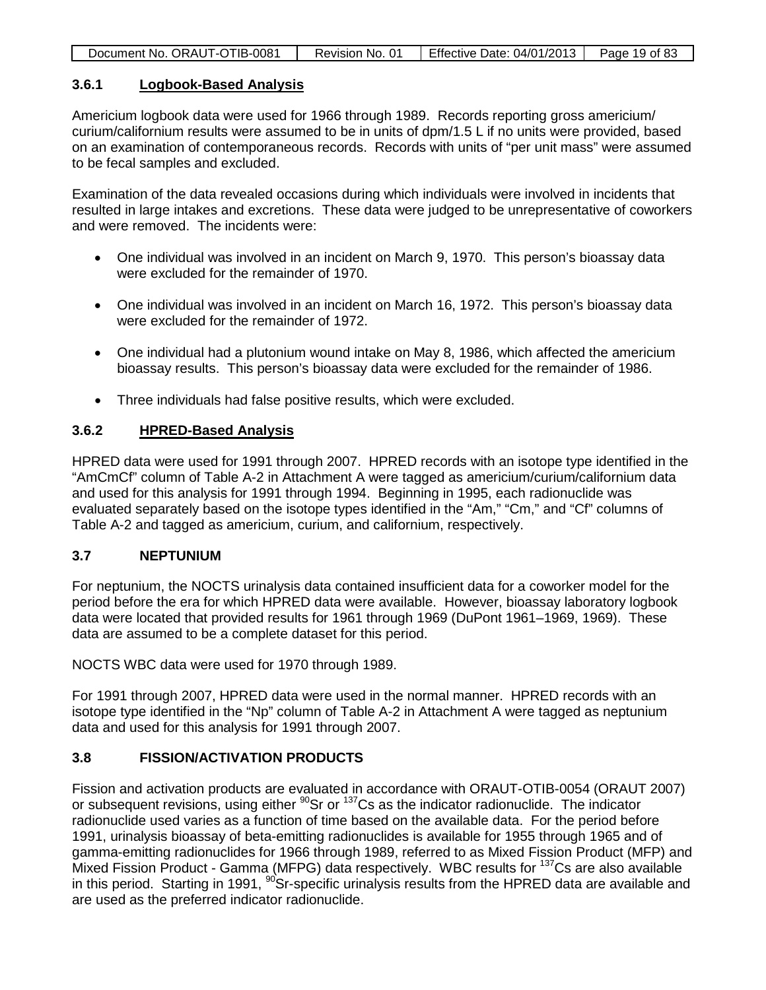| Document No. ORAUT-OTIB-0081 | Revision No. 01 | Effective Date: 04/01/2013 | Page 19 of 83 |
|------------------------------|-----------------|----------------------------|---------------|
|                              |                 |                            |               |

### **3.6.1 Logbook-Based Analysis**

Americium logbook data were used for 1966 through 1989. Records reporting gross americium/ curium/californium results were assumed to be in units of dpm/1.5 L if no units were provided, based on an examination of contemporaneous records. Records with units of "per unit mass" were assumed to be fecal samples and excluded.

Examination of the data revealed occasions during which individuals were involved in incidents that resulted in large intakes and excretions. These data were judged to be unrepresentative of coworkers and were removed. The incidents were:

- One individual was involved in an incident on March 9, 1970. This person's bioassay data were excluded for the remainder of 1970.
- One individual was involved in an incident on March 16, 1972. This person's bioassay data were excluded for the remainder of 1972.
- One individual had a plutonium wound intake on May 8, 1986, which affected the americium bioassay results. This person's bioassay data were excluded for the remainder of 1986.
- Three individuals had false positive results, which were excluded.

## **3.6.2 HPRED-Based Analysis**

HPRED data were used for 1991 through 2007. HPRED records with an isotope type identified in the "AmCmCf" column of Table A-2 in Attachment A were tagged as americium/curium/californium data and used for this analysis for 1991 through 1994. Beginning in 1995, each radionuclide was evaluated separately based on the isotope types identified in the "Am," "Cm," and "Cf" columns of Table A-2 and tagged as americium, curium, and californium, respectively.

# **3.7 NEPTUNIUM**

For neptunium, the NOCTS urinalysis data contained insufficient data for a coworker model for the period before the era for which HPRED data were available. However, bioassay laboratory logbook data were located that provided results for 1961 through 1969 (DuPont 1961–1969, 1969). These data are assumed to be a complete dataset for this period.

NOCTS WBC data were used for 1970 through 1989.

For 1991 through 2007, HPRED data were used in the normal manner. HPRED records with an isotope type identified in the "Np" column of Table A-2 in Attachment A were tagged as neptunium data and used for this analysis for 1991 through 2007.

# **3.8 FISSION/ACTIVATION PRODUCTS**

Fission and activation products are evaluated in accordance with ORAUT-OTIB-0054 (ORAUT 2007) or subsequent revisions, using either  $^{90}$ Sr or  $^{137}$ Cs as the indicator radionuclide. The indicator radionuclide used varies as a function of time based on the available data. For the period before 1991, urinalysis bioassay of beta-emitting radionuclides is available for 1955 through 1965 and of gamma-emitting radionuclides for 1966 through 1989, referred to as Mixed Fission Product (MFP) and Mixed Fission Product - Gamma (MFPG) data respectively. WBC results for <sup>137</sup>Cs are also available in this period. Starting in 1991, <sup>90</sup>Sr-specific urinalysis results from the HPRED data are available and are used as the preferred indicator radionuclide.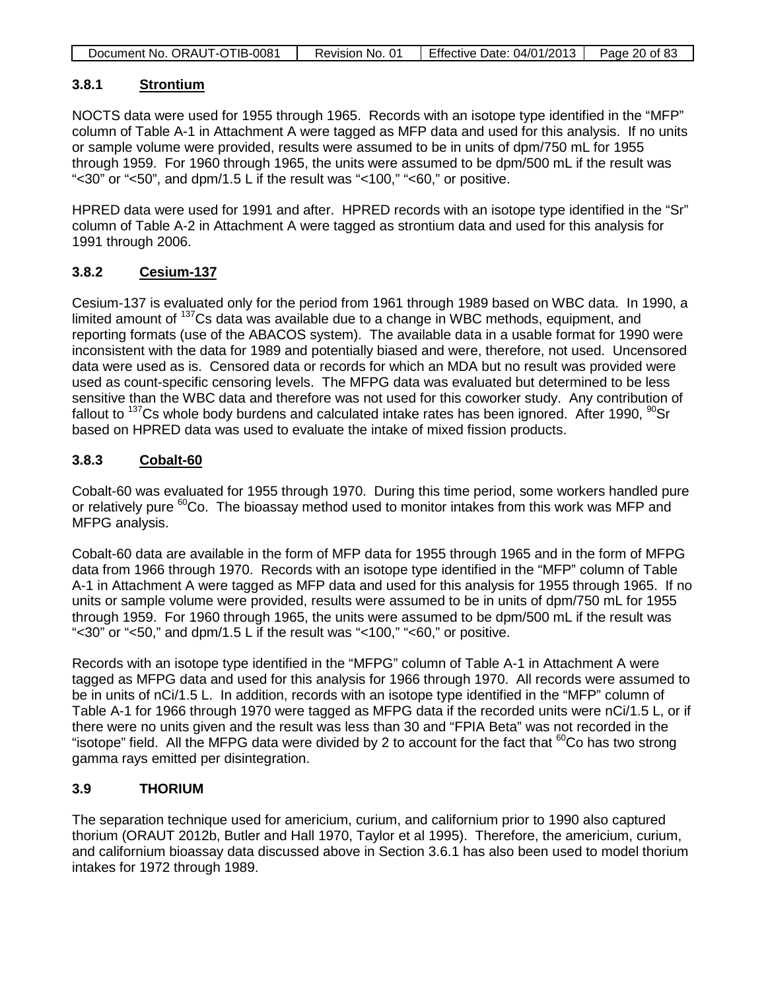| Document No. ORAUT-OTIB-0081 | Revision No. 01 | Effective Date: 04/01/2013 | Page 20 of 83 |
|------------------------------|-----------------|----------------------------|---------------|
|                              |                 |                            |               |

### **3.8.1 Strontium**

NOCTS data were used for 1955 through 1965. Records with an isotope type identified in the "MFP" column of Table A-1 in Attachment A were tagged as MFP data and used for this analysis. If no units or sample volume were provided, results were assumed to be in units of dpm/750 mL for 1955 through 1959. For 1960 through 1965, the units were assumed to be dpm/500 mL if the result was "<30" or "<50", and dpm/1.5 L if the result was "<100," "<60," or positive.

HPRED data were used for 1991 and after. HPRED records with an isotope type identified in the "Sr" column of Table A-2 in Attachment A were tagged as strontium data and used for this analysis for 1991 through 2006.

## **3.8.2 Cesium-137**

Cesium-137 is evaluated only for the period from 1961 through 1989 based on WBC data. In 1990, a limited amount of <sup>137</sup>Cs data was available due to a change in WBC methods, equipment, and reporting formats (use of the ABACOS system). The available data in a usable format for 1990 were inconsistent with the data for 1989 and potentially biased and were, therefore, not used. Uncensored data were used as is. Censored data or records for which an MDA but no result was provided were used as count-specific censoring levels. The MFPG data was evaluated but determined to be less sensitive than the WBC data and therefore was not used for this coworker study. Any contribution of fallout to  $137$ Cs whole body burdens and calculated intake rates has been ignored. After 1990,  $90$ Sr based on HPRED data was used to evaluate the intake of mixed fission products.

### **3.8.3 Cobalt-60**

Cobalt-60 was evaluated for 1955 through 1970. During this time period, some workers handled pure or relatively pure  ${}^{60}$ Co. The bioassay method used to monitor intakes from this work was MFP and MFPG analysis.

Cobalt-60 data are available in the form of MFP data for 1955 through 1965 and in the form of MFPG data from 1966 through 1970. Records with an isotope type identified in the "MFP" column of Table A-1 in Attachment A were tagged as MFP data and used for this analysis for 1955 through 1965. If no units or sample volume were provided, results were assumed to be in units of dpm/750 mL for 1955 through 1959. For 1960 through 1965, the units were assumed to be dpm/500 mL if the result was "<30" or "<50," and dpm/1.5 L if the result was "<100," "<60," or positive.

Records with an isotope type identified in the "MFPG" column of Table A-1 in Attachment A were tagged as MFPG data and used for this analysis for 1966 through 1970. All records were assumed to be in units of nCi/1.5 L. In addition, records with an isotope type identified in the "MFP" column of Table A-1 for 1966 through 1970 were tagged as MFPG data if the recorded units were nCi/1.5 L, or if there were no units given and the result was less than 30 and "FPIA Beta" was not recorded in the "isotope" field. All the MFPG data were divided by 2 to account for the fact that  ${}^{60}$ Co has two strong gamma rays emitted per disintegration.

## **3.9 THORIUM**

The separation technique used for americium, curium, and californium prior to 1990 also captured thorium (ORAUT 2012b, Butler and Hall 1970, Taylor et al 1995). Therefore, the americium, curium, and californium bioassay data discussed above in Section 3.6.1 has also been used to model thorium intakes for 1972 through 1989.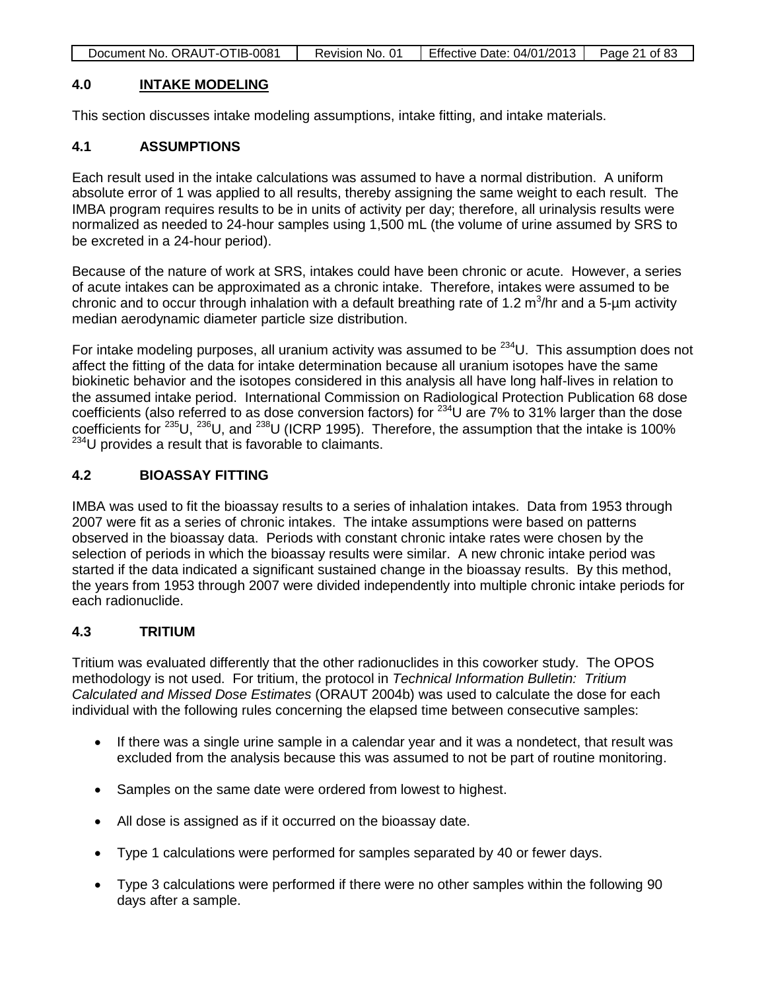| Document No. ORAUT-OTIB-0081 | Revision No. 01 | Effective Date: $04/01/2013$   Page 21 of 83 |  |
|------------------------------|-----------------|----------------------------------------------|--|
|                              |                 |                                              |  |

### **4.0 INTAKE MODELING**

This section discusses intake modeling assumptions, intake fitting, and intake materials.

# **4.1 ASSUMPTIONS**

Each result used in the intake calculations was assumed to have a normal distribution. A uniform absolute error of 1 was applied to all results, thereby assigning the same weight to each result. The IMBA program requires results to be in units of activity per day; therefore, all urinalysis results were normalized as needed to 24-hour samples using 1,500 mL (the volume of urine assumed by SRS to be excreted in a 24-hour period).

Because of the nature of work at SRS, intakes could have been chronic or acute. However, a series of acute intakes can be approximated as a chronic intake. Therefore, intakes were assumed to be chronic and to occur through inhalation with a default breathing rate of 1.2  $\text{m}^3\text{/hr}$  and a 5-µm activity median aerodynamic diameter particle size distribution.

For intake modeling purposes, all uranium activity was assumed to be  $^{234}$ U. This assumption does not affect the fitting of the data for intake determination because all uranium isotopes have the same biokinetic behavior and the isotopes considered in this analysis all have long half-lives in relation to the assumed intake period. International Commission on Radiological Protection Publication 68 dose coefficients (also referred to as dose conversion factors) for  $^{234}$ U are 7% to 31% larger than the dose coefficients for <sup>235</sup>U, <sup>236</sup>U, and <sup>238</sup>U (ICRP 1995). Therefore, the assumption that the intake is 100%  $^{234}$ U provides a result that is favorable to claimants.

# **4.2 BIOASSAY FITTING**

IMBA was used to fit the bioassay results to a series of inhalation intakes. Data from 1953 through 2007 were fit as a series of chronic intakes. The intake assumptions were based on patterns observed in the bioassay data. Periods with constant chronic intake rates were chosen by the selection of periods in which the bioassay results were similar. A new chronic intake period was started if the data indicated a significant sustained change in the bioassay results. By this method, the years from 1953 through 2007 were divided independently into multiple chronic intake periods for each radionuclide.

## **4.3 TRITIUM**

Tritium was evaluated differently that the other radionuclides in this coworker study. The OPOS methodology is not used. For tritium, the protocol in *Technical Information Bulletin: Tritium Calculated and Missed Dose Estimates* (ORAUT 2004b) was used to calculate the dose for each individual with the following rules concerning the elapsed time between consecutive samples:

- If there was a single urine sample in a calendar year and it was a nondetect, that result was excluded from the analysis because this was assumed to not be part of routine monitoring.
- Samples on the same date were ordered from lowest to highest.
- All dose is assigned as if it occurred on the bioassay date.
- Type 1 calculations were performed for samples separated by 40 or fewer days.
- Type 3 calculations were performed if there were no other samples within the following 90 days after a sample.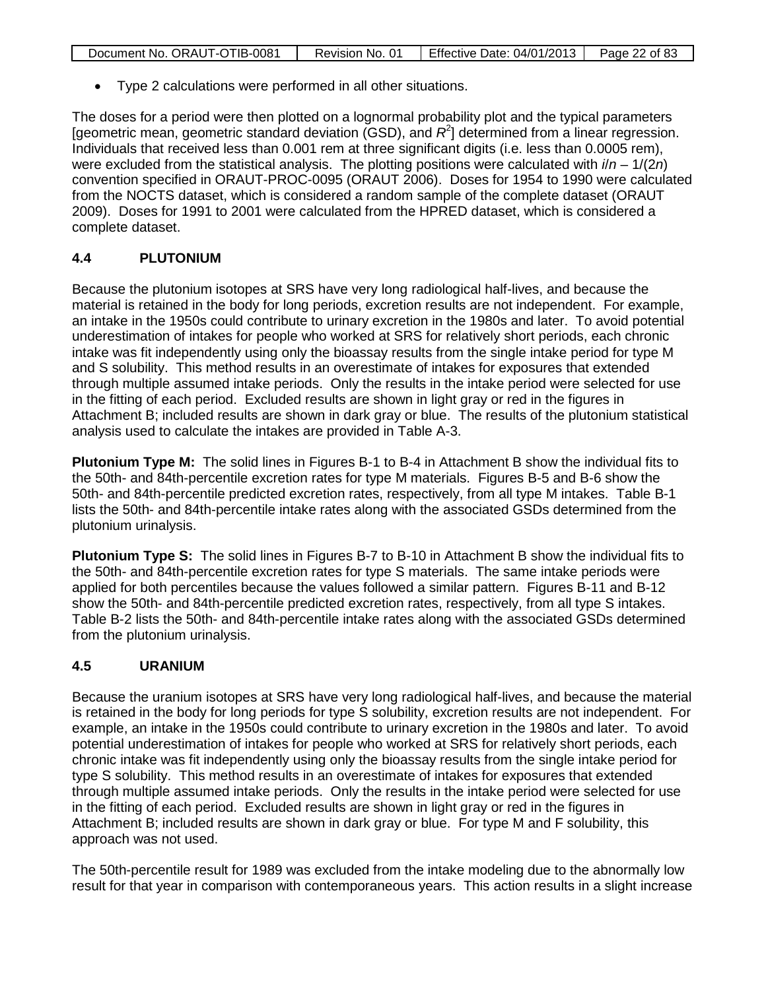| Document No. ORAUT-OTIB-0081 | Revision No. 01 | <b>Effective Date: 04/01/2013</b> | Page 22 of 83 |
|------------------------------|-----------------|-----------------------------------|---------------|

• Type 2 calculations were performed in all other situations.

The doses for a period were then plotted on a lognormal probability plot and the typical parameters [geometric mean, geometric standard deviation (GSD), and R<sup>2</sup>] determined from a linear regression. Individuals that received less than 0.001 rem at three significant digits (i.e. less than 0.0005 rem), were excluded from the statistical analysis. The plotting positions were calculated with *i*/*n* – 1/(2*n*) convention specified in ORAUT-PROC-0095 (ORAUT 2006). Doses for 1954 to 1990 were calculated from the NOCTS dataset, which is considered a random sample of the complete dataset (ORAUT 2009). Doses for 1991 to 2001 were calculated from the HPRED dataset, which is considered a complete dataset.

# **4.4 PLUTONIUM**

Because the plutonium isotopes at SRS have very long radiological half-lives, and because the material is retained in the body for long periods, excretion results are not independent. For example, an intake in the 1950s could contribute to urinary excretion in the 1980s and later. To avoid potential underestimation of intakes for people who worked at SRS for relatively short periods, each chronic intake was fit independently using only the bioassay results from the single intake period for type M and S solubility. This method results in an overestimate of intakes for exposures that extended through multiple assumed intake periods. Only the results in the intake period were selected for use in the fitting of each period. Excluded results are shown in light gray or red in the figures in Attachment B; included results are shown in dark gray or blue. The results of the plutonium statistical analysis used to calculate the intakes are provided in Table A-3.

**Plutonium Type M:** The solid lines in Figures B-1 to B-4 in Attachment B show the individual fits to the 50th- and 84th-percentile excretion rates for type M materials. Figures B-5 and B-6 show the 50th- and 84th-percentile predicted excretion rates, respectively, from all type M intakes. Table B-1 lists the 50th- and 84th-percentile intake rates along with the associated GSDs determined from the plutonium urinalysis.

**Plutonium Type S:** The solid lines in Figures B-7 to B-10 in Attachment B show the individual fits to the 50th- and 84th-percentile excretion rates for type S materials. The same intake periods were applied for both percentiles because the values followed a similar pattern. Figures B-11 and B-12 show the 50th- and 84th-percentile predicted excretion rates, respectively, from all type S intakes. Table B-2 lists the 50th- and 84th-percentile intake rates along with the associated GSDs determined from the plutonium urinalysis.

# **4.5 URANIUM**

Because the uranium isotopes at SRS have very long radiological half-lives, and because the material is retained in the body for long periods for type S solubility, excretion results are not independent. For example, an intake in the 1950s could contribute to urinary excretion in the 1980s and later. To avoid potential underestimation of intakes for people who worked at SRS for relatively short periods, each chronic intake was fit independently using only the bioassay results from the single intake period for type S solubility. This method results in an overestimate of intakes for exposures that extended through multiple assumed intake periods. Only the results in the intake period were selected for use in the fitting of each period. Excluded results are shown in light gray or red in the figures in Attachment B; included results are shown in dark gray or blue. For type M and F solubility, this approach was not used.

The 50th-percentile result for 1989 was excluded from the intake modeling due to the abnormally low result for that year in comparison with contemporaneous years. This action results in a slight increase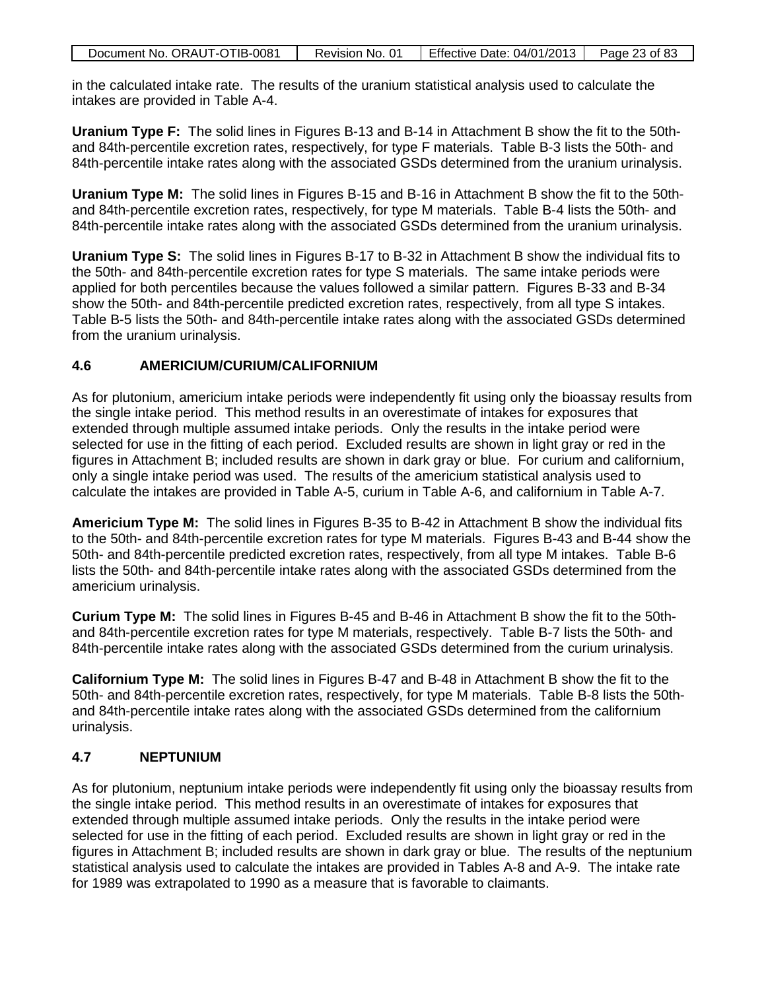| Document No. ORAUT-OTIB-0081 | Revision No. 01 | Effective Date: $04/01/2013$   Page 23 of 83 |  |
|------------------------------|-----------------|----------------------------------------------|--|

in the calculated intake rate. The results of the uranium statistical analysis used to calculate the intakes are provided in Table A-4.

**Uranium Type F:** The solid lines in Figures B-13 and B-14 in Attachment B show the fit to the 50thand 84th-percentile excretion rates, respectively, for type F materials. Table B-3 lists the 50th- and 84th-percentile intake rates along with the associated GSDs determined from the uranium urinalysis.

**Uranium Type M:** The solid lines in Figures B-15 and B-16 in Attachment B show the fit to the 50thand 84th-percentile excretion rates, respectively, for type M materials. Table B-4 lists the 50th- and 84th-percentile intake rates along with the associated GSDs determined from the uranium urinalysis.

**Uranium Type S:** The solid lines in Figures B-17 to B-32 in Attachment B show the individual fits to the 50th- and 84th-percentile excretion rates for type S materials. The same intake periods were applied for both percentiles because the values followed a similar pattern. Figures B-33 and B-34 show the 50th- and 84th-percentile predicted excretion rates, respectively, from all type S intakes. Table B-5 lists the 50th- and 84th-percentile intake rates along with the associated GSDs determined from the uranium urinalysis.

# **4.6 AMERICIUM/CURIUM/CALIFORNIUM**

As for plutonium, americium intake periods were independently fit using only the bioassay results from the single intake period. This method results in an overestimate of intakes for exposures that extended through multiple assumed intake periods. Only the results in the intake period were selected for use in the fitting of each period. Excluded results are shown in light gray or red in the figures in Attachment B; included results are shown in dark gray or blue. For curium and californium, only a single intake period was used. The results of the americium statistical analysis used to calculate the intakes are provided in Table A-5, curium in Table A-6, and californium in Table A-7.

**Americium Type M:** The solid lines in Figures B-35 to B-42 in Attachment B show the individual fits to the 50th- and 84th-percentile excretion rates for type M materials. Figures B-43 and B-44 show the 50th- and 84th-percentile predicted excretion rates, respectively, from all type M intakes. Table B-6 lists the 50th- and 84th-percentile intake rates along with the associated GSDs determined from the americium urinalysis.

**Curium Type M:** The solid lines in Figures B-45 and B-46 in Attachment B show the fit to the 50thand 84th-percentile excretion rates for type M materials, respectively. Table B-7 lists the 50th- and 84th-percentile intake rates along with the associated GSDs determined from the curium urinalysis.

**Californium Type M:** The solid lines in Figures B-47 and B-48 in Attachment B show the fit to the 50th- and 84th-percentile excretion rates, respectively, for type M materials. Table B-8 lists the 50thand 84th-percentile intake rates along with the associated GSDs determined from the californium urinalysis.

## **4.7 NEPTUNIUM**

As for plutonium, neptunium intake periods were independently fit using only the bioassay results from the single intake period. This method results in an overestimate of intakes for exposures that extended through multiple assumed intake periods. Only the results in the intake period were selected for use in the fitting of each period. Excluded results are shown in light gray or red in the figures in Attachment B; included results are shown in dark gray or blue. The results of the neptunium statistical analysis used to calculate the intakes are provided in Tables A-8 and A-9. The intake rate for 1989 was extrapolated to 1990 as a measure that is favorable to claimants.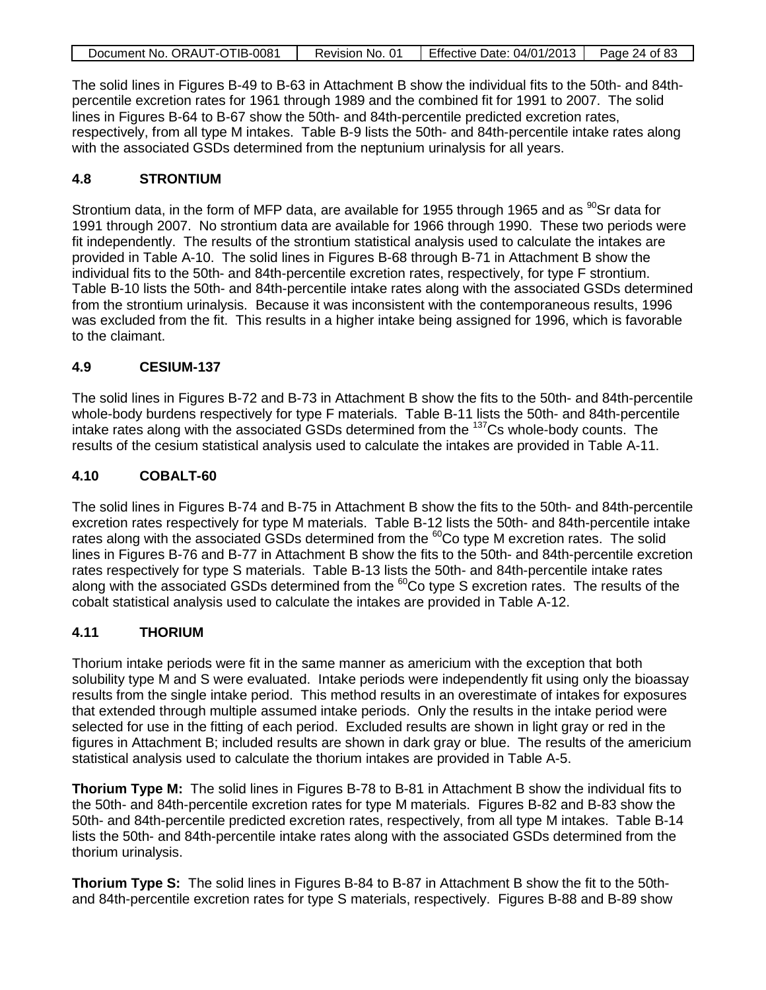| Document No. ORAUT-OTIB-0081 | Revision No. 01 | <b>Effective Date: 04/01/2013</b> | Page 24 of 83 |
|------------------------------|-----------------|-----------------------------------|---------------|
|                              |                 |                                   |               |

The solid lines in Figures B-49 to B-63 in Attachment B show the individual fits to the 50th- and 84thpercentile excretion rates for 1961 through 1989 and the combined fit for 1991 to 2007. The solid lines in Figures B-64 to B-67 show the 50th- and 84th-percentile predicted excretion rates, respectively, from all type M intakes. Table B-9 lists the 50th- and 84th-percentile intake rates along with the associated GSDs determined from the neptunium urinalysis for all years.

# **4.8 STRONTIUM**

Strontium data, in the form of MFP data, are available for 1955 through 1965 and as  $^{90}$ Sr data for 1991 through 2007. No strontium data are available for 1966 through 1990. These two periods were fit independently. The results of the strontium statistical analysis used to calculate the intakes are provided in Table A-10. The solid lines in Figures B-68 through B-71 in Attachment B show the individual fits to the 50th- and 84th-percentile excretion rates, respectively, for type F strontium. Table B-10 lists the 50th- and 84th-percentile intake rates along with the associated GSDs determined from the strontium urinalysis. Because it was inconsistent with the contemporaneous results, 1996 was excluded from the fit. This results in a higher intake being assigned for 1996, which is favorable to the claimant.

### **4.9 CESIUM-137**

The solid lines in Figures B-72 and B-73 in Attachment B show the fits to the 50th- and 84th-percentile whole-body burdens respectively for type F materials. Table B-11 lists the 50th- and 84th-percentile intake rates along with the associated GSDs determined from the 137Cs whole-body counts. The results of the cesium statistical analysis used to calculate the intakes are provided in Table A-11.

### **4.10 COBALT-60**

The solid lines in Figures B-74 and B-75 in Attachment B show the fits to the 50th- and 84th-percentile excretion rates respectively for type M materials. Table B-12 lists the 50th- and 84th-percentile intake rates along with the associated GSDs determined from the <sup>60</sup>Co type M excretion rates. The solid lines in Figures B-76 and B-77 in Attachment B show the fits to the 50th- and 84th-percentile excretion rates respectively for type S materials. Table B-13 lists the 50th- and 84th-percentile intake rates along with the associated GSDs determined from the <sup>60</sup>Co type S excretion rates. The results of the cobalt statistical analysis used to calculate the intakes are provided in Table A-12.

## **4.11 THORIUM**

Thorium intake periods were fit in the same manner as americium with the exception that both solubility type M and S were evaluated. Intake periods were independently fit using only the bioassay results from the single intake period. This method results in an overestimate of intakes for exposures that extended through multiple assumed intake periods. Only the results in the intake period were selected for use in the fitting of each period. Excluded results are shown in light gray or red in the figures in Attachment B; included results are shown in dark gray or blue. The results of the americium statistical analysis used to calculate the thorium intakes are provided in Table A-5.

**Thorium Type M:** The solid lines in Figures B-78 to B-81 in Attachment B show the individual fits to the 50th- and 84th-percentile excretion rates for type M materials. Figures B-82 and B-83 show the 50th- and 84th-percentile predicted excretion rates, respectively, from all type M intakes. Table B-14 lists the 50th- and 84th-percentile intake rates along with the associated GSDs determined from the thorium urinalysis.

**Thorium Type S:** The solid lines in Figures B-84 to B-87 in Attachment B show the fit to the 50thand 84th-percentile excretion rates for type S materials, respectively. Figures B-88 and B-89 show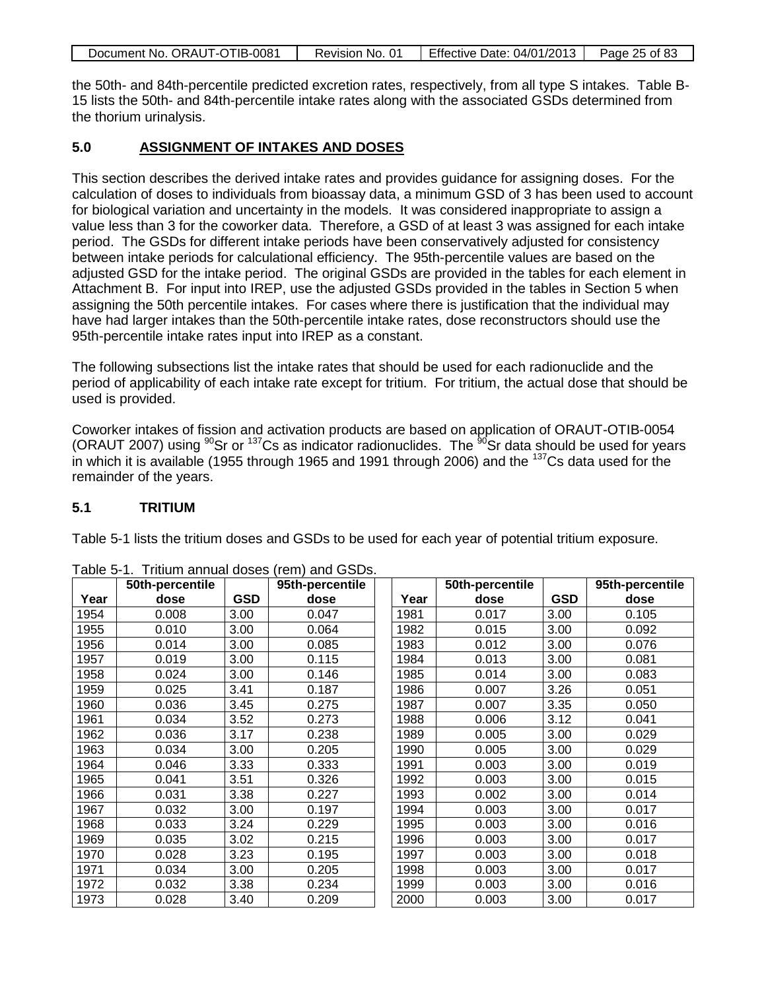| Document No. ORAUT-OTIB-0081 | Revision No. 01 | Effective Date: 04/01/2013   Page 25 of 83 |  |
|------------------------------|-----------------|--------------------------------------------|--|

the 50th- and 84th-percentile predicted excretion rates, respectively, from all type S intakes. Table B-15 lists the 50th- and 84th-percentile intake rates along with the associated GSDs determined from the thorium urinalysis.

# **5.0 ASSIGNMENT OF INTAKES AND DOSES**

This section describes the derived intake rates and provides guidance for assigning doses. For the calculation of doses to individuals from bioassay data, a minimum GSD of 3 has been used to account for biological variation and uncertainty in the models. It was considered inappropriate to assign a value less than 3 for the coworker data. Therefore, a GSD of at least 3 was assigned for each intake period. The GSDs for different intake periods have been conservatively adjusted for consistency between intake periods for calculational efficiency. The 95th-percentile values are based on the adjusted GSD for the intake period. The original GSDs are provided in the tables for each element in Attachment B. For input into IREP, use the adjusted GSDs provided in the tables in Section 5 when assigning the 50th percentile intakes. For cases where there is justification that the individual may have had larger intakes than the 50th-percentile intake rates, dose reconstructors should use the 95th-percentile intake rates input into IREP as a constant.

The following subsections list the intake rates that should be used for each radionuclide and the period of applicability of each intake rate except for tritium. For tritium, the actual dose that should be used is provided.

Coworker intakes of fission and activation products are based on application of ORAUT-OTIB-0054 (ORAUT 2007) using  $90$ Sr or  $137$ Cs as indicator radionuclides. The  $90$ Sr data should be used for years in which it is available (1955 through 1965 and 1991 through 2006) and the  $137Cs$  data used for the remainder of the years.

## **5.1 TRITIUM**

Table 5-1 lists the tritium doses and GSDs to be used for each year of potential tritium exposure.

|      | 50th-percentile |            | 95th-percentile |      | 50th-percentile |            | 95th-percentile |
|------|-----------------|------------|-----------------|------|-----------------|------------|-----------------|
| Year | dose            | <b>GSD</b> | dose            | Year | dose            | <b>GSD</b> | dose            |
| 1954 | 0.008           | 3.00       | 0.047           | 1981 | 0.017           | 3.00       | 0.105           |
| 1955 | 0.010           | 3.00       | 0.064           | 1982 | 0.015           | 3.00       | 0.092           |
| 1956 | 0.014           | 3.00       | 0.085           | 1983 | 0.012           | 3.00       | 0.076           |
| 1957 | 0.019           | 3.00       | 0.115           | 1984 | 0.013           | 3.00       | 0.081           |
| 1958 | 0.024           | 3.00       | 0.146           | 1985 | 0.014           | 3.00       | 0.083           |
| 1959 | 0.025           | 3.41       | 0.187           | 1986 | 0.007           | 3.26       | 0.051           |
| 1960 | 0.036           | 3.45       | 0.275           | 1987 | 0.007           | 3.35       | 0.050           |
| 1961 | 0.034           | 3.52       | 0.273           | 1988 | 0.006           | 3.12       | 0.041           |
| 1962 | 0.036           | 3.17       | 0.238           | 1989 | 0.005           | 3.00       | 0.029           |
| 1963 | 0.034           | 3.00       | 0.205           | 1990 | 0.005           | 3.00       | 0.029           |
| 1964 | 0.046           | 3.33       | 0.333           | 1991 | 0.003           | 3.00       | 0.019           |
| 1965 | 0.041           | 3.51       | 0.326           | 1992 | 0.003           | 3.00       | 0.015           |
| 1966 | 0.031           | 3.38       | 0.227           | 1993 | 0.002           | 3.00       | 0.014           |
| 1967 | 0.032           | 3.00       | 0.197           | 1994 | 0.003           | 3.00       | 0.017           |
| 1968 | 0.033           | 3.24       | 0.229           | 1995 | 0.003           | 3.00       | 0.016           |
| 1969 | 0.035           | 3.02       | 0.215           | 1996 | 0.003           | 3.00       | 0.017           |
| 1970 | 0.028           | 3.23       | 0.195           | 1997 | 0.003           | 3.00       | 0.018           |
| 1971 | 0.034           | 3.00       | 0.205           | 1998 | 0.003           | 3.00       | 0.017           |
| 1972 | 0.032           | 3.38       | 0.234           | 1999 | 0.003           | 3.00       | 0.016           |
| 1973 | 0.028           | 3.40       | 0.209           | 2000 | 0.003           | 3.00       | 0.017           |

Table 5-1. Tritium annual doses (rem) and GSDs.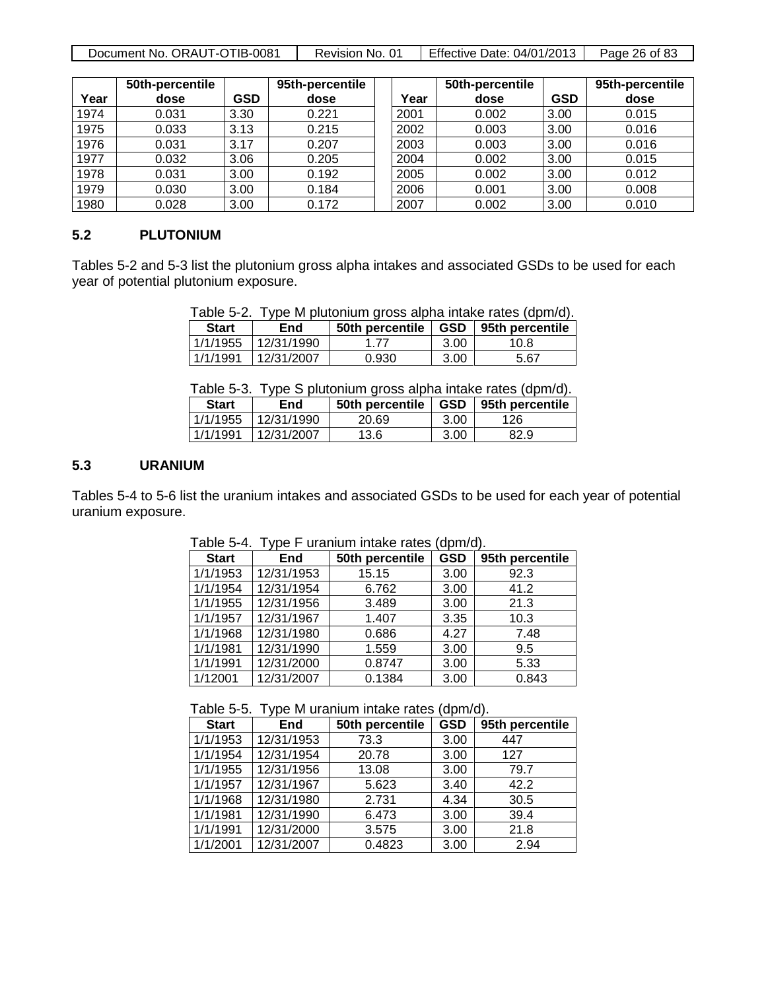| Document No. ORAUT-OTIB-0081 | Revision No. 01 | Effective Date: 04/01/2013 | Page 26 of 83 |
|------------------------------|-----------------|----------------------------|---------------|
|------------------------------|-----------------|----------------------------|---------------|

|      | 50th-percentile |            | 95th-percentile |      | 50th-percentile |            | 95th-percentile |
|------|-----------------|------------|-----------------|------|-----------------|------------|-----------------|
| Year | dose            | <b>GSD</b> | dose            | Year | dose            | <b>GSD</b> | dose            |
| 1974 | 0.031           | 3.30       | 0.221           | 2001 | 0.002           | 3.00       | 0.015           |
| 1975 | 0.033           | 3.13       | 0.215           | 2002 | 0.003           | 3.00       | 0.016           |
| 1976 | 0.031           | 3.17       | 0.207           | 2003 | 0.003           | 3.00       | 0.016           |
| 1977 | 0.032           | 3.06       | 0.205           | 2004 | 0.002           | 3.00       | 0.015           |
| 1978 | 0.031           | 3.00       | 0.192           | 2005 | 0.002           | 3.00       | 0.012           |
| 1979 | 0.030           | 3.00       | 0.184           | 2006 | 0.001           | 3.00       | 0.008           |
| 1980 | 0.028           | 3.00       | 0.172           | 2007 | 0.002           | 3.00       | 0.010           |

#### **5.2 PLUTONIUM**

Tables 5-2 and 5-3 list the plutonium gross alpha intakes and associated GSDs to be used for each year of potential plutonium exposure.

| <b>Start</b> | End                 | 50th percentile | GSD  | 95th percentile |
|--------------|---------------------|-----------------|------|-----------------|
|              | 1/1/1955 12/31/1990 | 1 77            | 3.00 | 10.8            |
| 1/1/1991     | 12/31/2007          | 0.930           | 3.00 | 5.67            |

Table 5-3. Type S plutonium gross alpha intake rates (dpm/d).

| <b>Start</b> | <b>End</b> | 50th percentile | <b>GSD</b> | 95th percentile |
|--------------|------------|-----------------|------------|-----------------|
| 1/1/1955     | 12/31/1990 | 20.69           | 3.00       | 126             |
| 1/1/1991     | 12/31/2007 | 13.6            | 3.00       | 82.9            |

#### **5.3 URANIUM**

Tables 5-4 to 5-6 list the uranium intakes and associated GSDs to be used for each year of potential uranium exposure.

| <b>Start</b> | End        | 50th percentile | <b>GSD</b> | 95th percentile |
|--------------|------------|-----------------|------------|-----------------|
| 1/1/1953     | 12/31/1953 | 15.15           | 3.00       | 92.3            |
| 1/1/1954     | 12/31/1954 | 6.762           | 3.00       | 41.2            |
| 1/1/1955     | 12/31/1956 | 3.489           | 3.00       | 21.3            |
| 1/1/1957     | 12/31/1967 | 1.407           | 3.35       | 10.3            |
| 1/1/1968     | 12/31/1980 | 0.686           | 4.27       | 7.48            |
| 1/1/1981     | 12/31/1990 | 1.559           | 3.00       | 9.5             |
| 1/1/1991     | 12/31/2000 | 0.8747          | 3.00       | 5.33            |
| 1/12001      | 12/31/2007 | 0.1384          | 3.00       | 0.843           |

Table 5-4. Type F uranium intake rates (dpm/d).

Table 5-5. Type M uranium intake rates (dpm/d).

| <b>Start</b> | End        | 50th percentile | <b>GSD</b> | 95th percentile |
|--------------|------------|-----------------|------------|-----------------|
| 1/1/1953     | 12/31/1953 | 73.3            | 3.00       | 447             |
| 1/1/1954     | 12/31/1954 | 20.78           | 3.00       | 127             |
| 1/1/1955     | 12/31/1956 | 13.08           | 3.00       | 79.7            |
| 1/1/1957     | 12/31/1967 | 5.623           | 3.40       | 42.2            |
| 1/1/1968     | 12/31/1980 | 2.731           | 4.34       | 30.5            |
| 1/1/1981     | 12/31/1990 | 6.473           | 3.00       | 39.4            |
| 1/1/1991     | 12/31/2000 | 3.575           | 3.00       | 21.8            |
| 1/1/2001     | 12/31/2007 | 0.4823          | 3.00       | 2.94            |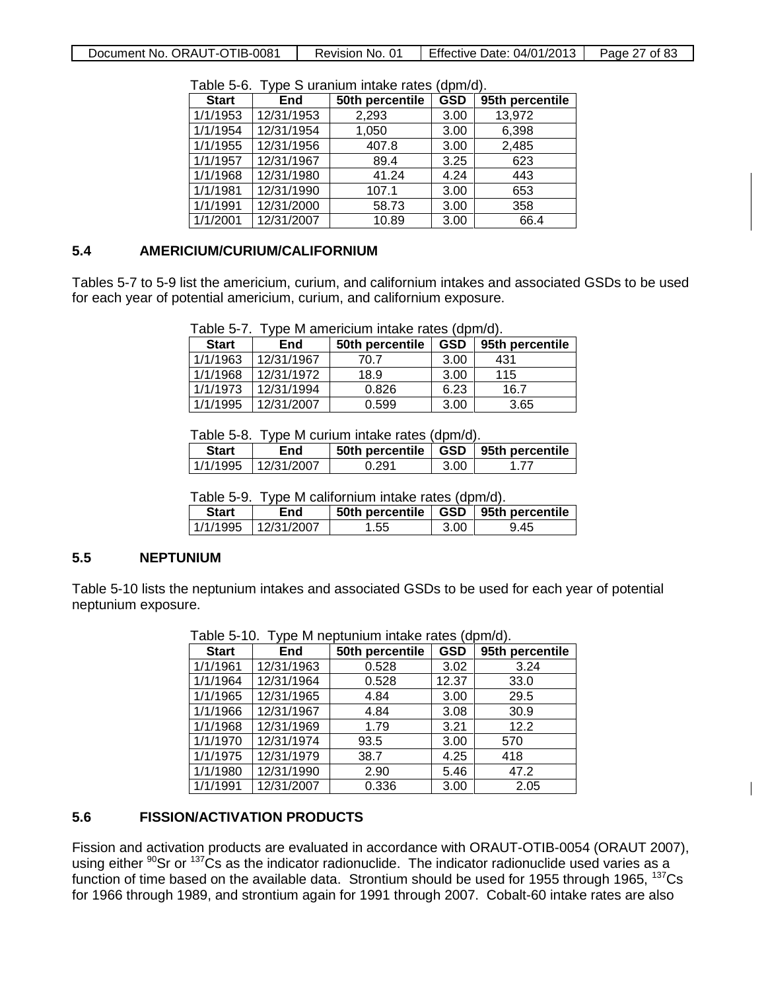Document No. ORAUT-OTIB-0081 | Revision No. 01 | Effective Date: 04/01/2013 | Page 27 of 83

| . ט ט שוט<br>THE PLAT IS THE THREE CALLS THE PLAT OF STATE OF STATE OF STATE OF STATE OF STATE OF STATE OF STATE OF STATE O<br><u>upina.</u> |            |                 |            |                 |
|----------------------------------------------------------------------------------------------------------------------------------------------|------------|-----------------|------------|-----------------|
| <b>Start</b>                                                                                                                                 | End        | 50th percentile | <b>GSD</b> | 95th percentile |
| 1/1/1953                                                                                                                                     | 12/31/1953 | 2,293           | 3.00       | 13,972          |
| 1/1/1954                                                                                                                                     | 12/31/1954 | 1,050           | 3.00       | 6,398           |
| 1/1/1955                                                                                                                                     | 12/31/1956 | 407.8           | 3.00       | 2,485           |
| 1/1/1957                                                                                                                                     | 12/31/1967 | 89.4            | 3.25       | 623             |
| 1/1/1968                                                                                                                                     | 12/31/1980 | 41.24           | 4.24       | 443             |
| 1/1/1981                                                                                                                                     | 12/31/1990 | 107.1           | 3.00       | 653             |
| 1/1/1991                                                                                                                                     | 12/31/2000 | 58.73           | 3.00       | 358             |
| 1/1/2001                                                                                                                                     | 12/31/2007 | 10.89           | 3.00       | 66.4            |

Table 5-6. Type S uranium intake rates (dpm/d).

## **5.4 AMERICIUM/CURIUM/CALIFORNIUM**

Tables 5-7 to 5-9 list the americium, curium, and californium intakes and associated GSDs to be used for each year of potential americium, curium, and californium exposure.

|  |  | Table 5-7. Type M americium intake rates (dpm/d). |  |  |  |  |
|--|--|---------------------------------------------------|--|--|--|--|
|--|--|---------------------------------------------------|--|--|--|--|

| <b>Start</b> | End        | 50th percentile | <b>GSD</b> | 95th percentile |
|--------------|------------|-----------------|------------|-----------------|
| 1/1/1963     | 12/31/1967 | 70.7            | 3.00       | 431             |
| 1/1/1968     | 12/31/1972 | 18.9            | 3.00       | 115             |
| 1/1/1973     | 12/31/1994 | 0.826           | 6.23       | 16.7            |
| 1/1/1995     | 12/31/2007 | 0.599           | 3.00       | 3.65            |

Table 5-8. Type M curium intake rates (dpm/d).

| <b>Start</b> | End                 | 50th percentile   GSD   95th percentile |      |     |
|--------------|---------------------|-----------------------------------------|------|-----|
|              | 1/1/1995 12/31/2007 | 0.291                                   | 3.00 | 177 |

Table 5-9. Type M californium intake rates (dpm/d).

| <b>Start</b> | End                  | 50th percentile   GSD   95th percentile |      |      |
|--------------|----------------------|-----------------------------------------|------|------|
|              | 1/1/1995 112/31/2007 | 1.55                                    | 3.00 | 9.45 |

## **5.5 NEPTUNIUM**

Table 5-10 lists the neptunium intakes and associated GSDs to be used for each year of potential neptunium exposure.

|              | rable 5-TO. Type M Reptunium intake rates (dpm/d). |                 |            |                 |  |  |
|--------------|----------------------------------------------------|-----------------|------------|-----------------|--|--|
| <b>Start</b> | End                                                | 50th percentile | <b>GSD</b> | 95th percentile |  |  |
| 1/1/1961     | 12/31/1963                                         | 0.528           | 3.02       | 3.24            |  |  |
| 1/1/1964     | 12/31/1964                                         | 0.528           | 12.37      | 33.0            |  |  |
| 1/1/1965     | 12/31/1965                                         | 4.84            | 3.00       | 29.5            |  |  |
| 1/1/1966     | 12/31/1967                                         | 4.84            | 3.08       | 30.9            |  |  |
| 1/1/1968     | 12/31/1969                                         | 1.79            | 3.21       | 12.2            |  |  |
| 1/1/1970     | 12/31/1974                                         | 93.5            | 3.00       | 570             |  |  |
| 1/1/1975     | 12/31/1979                                         | 38.7            | 4.25       | 418             |  |  |
| 1/1/1980     | 12/31/1990                                         | 2.90            | 5.46       | 47.2            |  |  |
| 1/1/1991     | 12/31/2007                                         | 0.336           | 3.00       | 2.05            |  |  |

Table 5-10. Type M neptunium intake rates (dpm/d).

## **5.6 FISSION/ACTIVATION PRODUCTS**

Fission and activation products are evaluated in accordance with ORAUT-OTIB-0054 (ORAUT 2007), using either  $90$ Sr or  $137$ Cs as the indicator radionuclide. The indicator radionuclide used varies as a function of time based on the available data. Strontium should be used for 1955 through 1965, <sup>137</sup>Cs for 1966 through 1989, and strontium again for 1991 through 2007. Cobalt-60 intake rates are also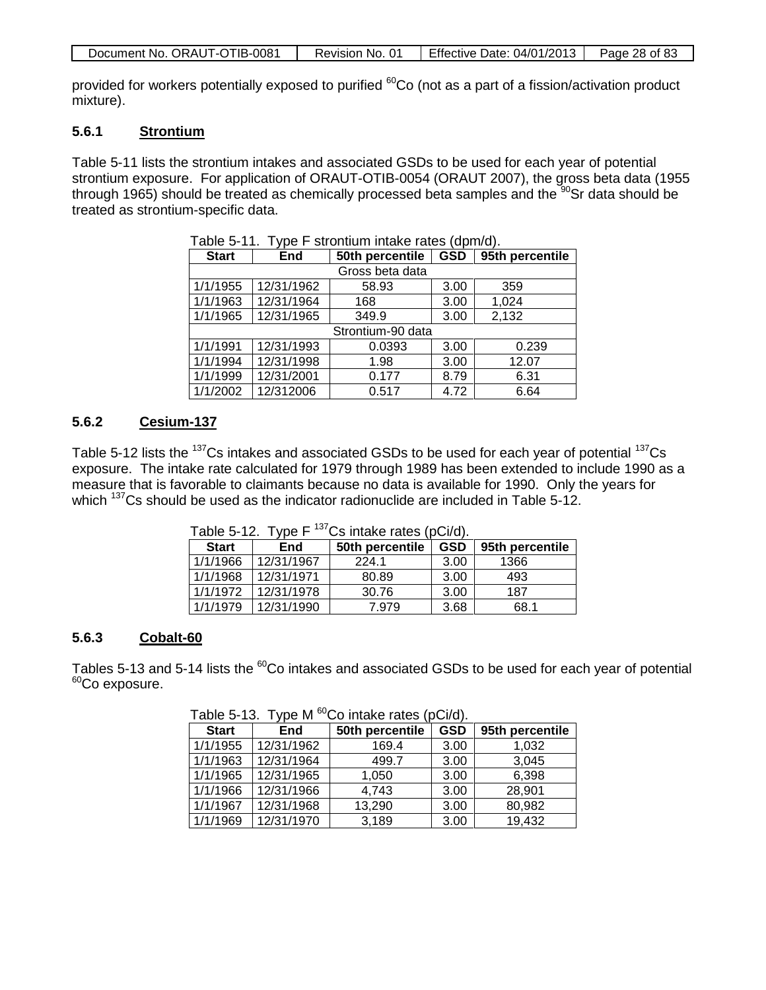| Document No. ORAUT-OTIB-0081 | Revision No. 01 | Effective Date: 04/01/2013 | Page 28 of 83 |
|------------------------------|-----------------|----------------------------|---------------|
|------------------------------|-----------------|----------------------------|---------------|

provided for workers potentially exposed to purified <sup>60</sup>Co (not as a part of a fission/activation product mixture).

## **5.6.1 Strontium**

Table 5-11 lists the strontium intakes and associated GSDs to be used for each year of potential strontium exposure. For application of ORAUT-OTIB-0054 (ORAUT 2007), the gross beta data (1955 through 1965) should be treated as chemically processed beta samples and the  $90$ Sr data should be treated as strontium-specific data.

| <b>Start</b> | <b>End</b>      | 50th percentile   | <b>GSD</b> | 95th percentile |  |  |
|--------------|-----------------|-------------------|------------|-----------------|--|--|
|              | Gross beta data |                   |            |                 |  |  |
| 1/1/1955     | 12/31/1962      | 58.93             | 3.00       | 359             |  |  |
| 1/1/1963     | 12/31/1964      | 168               | 3.00       | 1,024           |  |  |
| 1/1/1965     | 12/31/1965      | 349.9             | 3.00       | 2,132           |  |  |
|              |                 | Strontium-90 data |            |                 |  |  |
| 1/1/1991     | 12/31/1993      | 0.0393            | 3.00       | 0.239           |  |  |
| 1/1/1994     | 12/31/1998      | 1.98              | 3.00       | 12.07           |  |  |
| 1/1/1999     | 12/31/2001      | 0.177             | 8.79       | 6.31            |  |  |
| 1/1/2002     | 12/312006       | 0.517             | 4.72       | 6.64            |  |  |

Table 5-11. Type F strontium intake rates (dpm/d).

#### **5.6.2 Cesium-137**

Table 5-12 lists the <sup>137</sup>Cs intakes and associated GSDs to be used for each year of potential <sup>137</sup>Cs exposure. The intake rate calculated for 1979 through 1989 has been extended to include 1990 as a measure that is favorable to claimants because no data is available for 1990. Only the years for which <sup>137</sup>Cs should be used as the indicator radionuclide are included in Table 5-12.

|              | Table 5-TZ.<br>I VDE L<br>US IIIIDRE TAIES (PUI/U). |                 |            |                 |  |
|--------------|-----------------------------------------------------|-----------------|------------|-----------------|--|
| <b>Start</b> | End                                                 | 50th percentile | <b>GSD</b> | 95th percentile |  |
| 1/1/1966     | 12/31/1967                                          | 224.1           | 3.00       | 1366            |  |
| 1/1/1968     | 12/31/1971                                          | 80.89           | 3.00       | 493             |  |
| 1/1/1972     | 12/31/1978                                          | 30.76           | 3.00       | 187             |  |
| 1/1/1979     | 12/31/1990                                          | 7.979           | 3.68       | 68.1            |  |

Table  $5-12$ . Type F  $^{137}Ce$  intake rates (pCi/d).

#### **5.6.3 Cobalt-60**

Tables 5-13 and 5-14 lists the <sup>60</sup>Co intakes and associated GSDs to be used for each year of potential <sup>60</sup>Co exposure.

|              | .<br>.                  |                 |            |                 |  |  |
|--------------|-------------------------|-----------------|------------|-----------------|--|--|
| <b>Start</b> | <b>End</b>              | 50th percentile | <b>GSD</b> | 95th percentile |  |  |
| 1/1/1955     | 12/31/1962              | 169.4           | 3.00       | 1,032           |  |  |
| 1/1/1963     | $\overline{12}/31/1964$ | 499.7           | 3.00       | 3,045           |  |  |
| 1/1/1965     | $\overline{12}/31/1965$ | 1,050           | 3.00       | 6,398           |  |  |
| 1/1/1966     | 12/31/1966              | 4,743           | 3.00       | 28,901          |  |  |
| 1/1/1967     | 12/31/1968              | 13,290          | 3.00       | 80,982          |  |  |
| 1/1/1969     | 12/31/1970              | 3,189           | 3.00       | 19,432          |  |  |

Table 5-13. Type M <sup>60</sup>Co intake rates (pCi/d).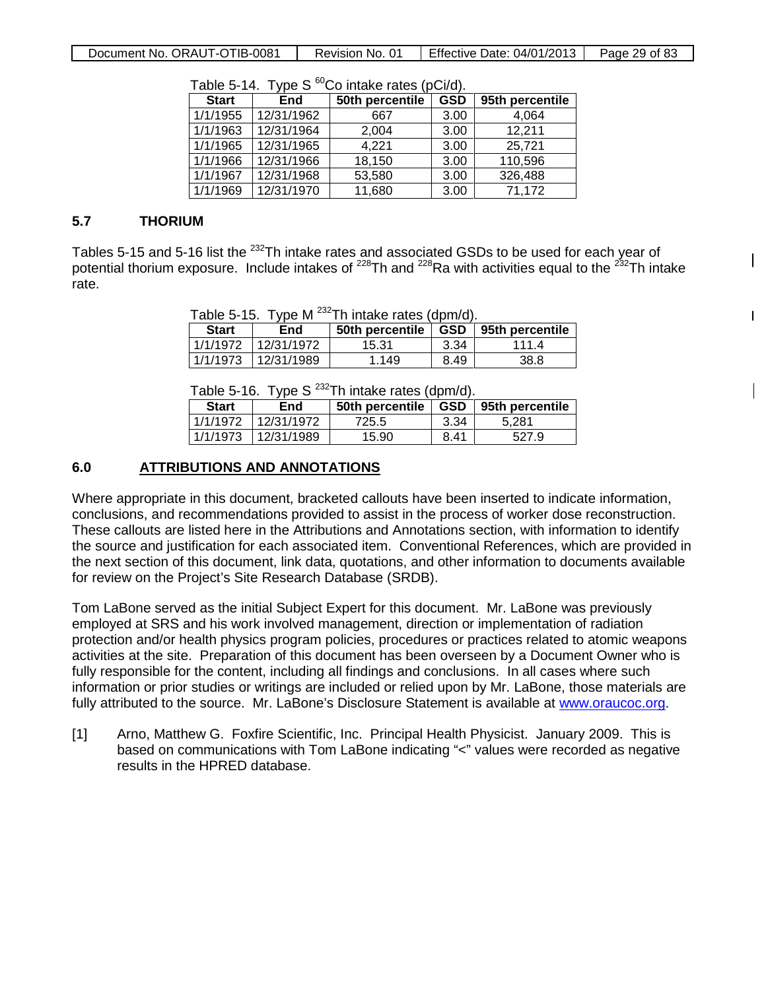Document No. ORAUT-OTIB-0081 | Revision No. 01 | Effective Date: 04/01/2013 | Page 29 of 83

| <b>Start</b> | End        | 50th percentile | <b>GSD</b> | 95th percentile |
|--------------|------------|-----------------|------------|-----------------|
| 1/1/1955     | 12/31/1962 | 667             | 3.00       | 4,064           |
| 1/1/1963     | 12/31/1964 | 2,004           | 3.00       | 12,211          |
| 1/1/1965     | 12/31/1965 | 4,221           | 3.00       | 25,721          |
| 1/1/1966     | 12/31/1966 | 18,150          | 3.00       | 110,596         |
| 1/1/1967     | 12/31/1968 | 53,580          | 3.00       | 326,488         |
| 1/1/1969     | 12/31/1970 | 11,680          | 3.00       | 71,172          |

Table 5-14. Type S  ${}^{60}$ Co intake rates (pCi/d).

### **5.7 THORIUM**

Tables 5-15 and 5-16 list the <sup>232</sup>Th intake rates and associated GSDs to be used for each year of potential thorium exposure. Include intakes of  $^{228}$ Th and  $^{228}$ Ra with activities equal to the  $^{232}$ Th intake rate.

 $\mathsf{I}$ 

 $\overline{1}$ 

|  | Table 5-15. Type M $^{232}$ Th intake rates (dpm/d). |  |
|--|------------------------------------------------------|--|
|  | $\overline{a}$                                       |  |

| <b>Start</b> | End        | 50th percentile | GSD  | 95th percentile |
|--------------|------------|-----------------|------|-----------------|
| 1/1/1972     | 12/31/1972 | 15.31           | 3.34 | 1114            |
| 1/1/1973     | 12/31/1989 | 1.149           | 8.49 | 38.8            |

Table 5-16. Type S  $^{232}$ Th intake rates (dpm/d).

| <b>Start</b><br>End |            | 50th percentile | GSD  | 95th percentile |  |
|---------------------|------------|-----------------|------|-----------------|--|
| 1/1/1972            | 12/31/1972 | 725.5           | 3.34 | 5.281           |  |
| 1/1/1973            | 12/31/1989 | 15.90           | 8.41 | 527.9           |  |

# **6.0 ATTRIBUTIONS AND ANNOTATIONS**

Where appropriate in this document, bracketed callouts have been inserted to indicate information, conclusions, and recommendations provided to assist in the process of worker dose reconstruction. These callouts are listed here in the Attributions and Annotations section, with information to identify the source and justification for each associated item. Conventional References, which are provided in the next section of this document, link data, quotations, and other information to documents available for review on the Project's Site Research Database (SRDB).

Tom LaBone served as the initial Subject Expert for this document. Mr. LaBone was previously employed at SRS and his work involved management, direction or implementation of radiation protection and/or health physics program policies, procedures or practices related to atomic weapons activities at the site. Preparation of this document has been overseen by a Document Owner who is fully responsible for the content, including all findings and conclusions. In all cases where such information or prior studies or writings are included or relied upon by Mr. LaBone, those materials are fully attributed to the source. Mr. LaBone's Disclosure Statement is available at [www.oraucoc.org.](http://www.oraucoc.org/)

[1] Arno, Matthew G. Foxfire Scientific, Inc. Principal Health Physicist. January 2009. This is based on communications with Tom LaBone indicating "<" values were recorded as negative results in the HPRED database.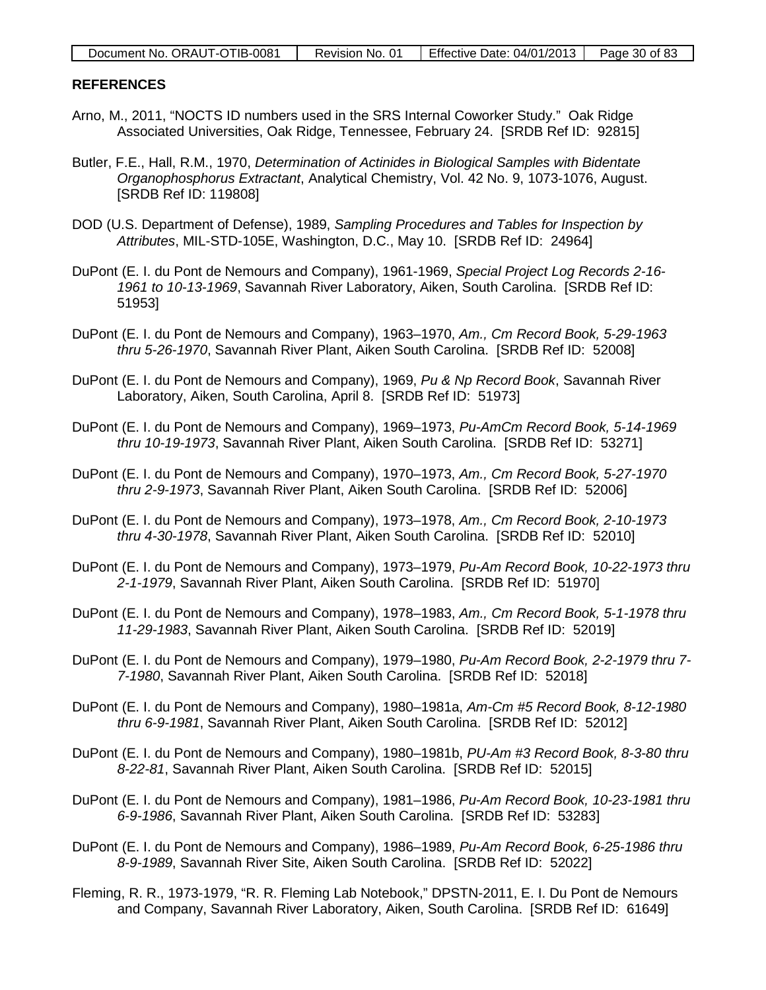| Document No. ORAUT-OTIB-0081 | Revision No. 01 | Effective Date: $04/01/2013$ | Page 30 of 83 |
|------------------------------|-----------------|------------------------------|---------------|
|                              |                 |                              |               |

#### **REFERENCES**

- Arno, M., 2011, "NOCTS ID numbers used in the SRS Internal Coworker Study." Oak Ridge Associated Universities, Oak Ridge, Tennessee, February 24. [SRDB Ref ID: 92815]
- Butler, F.E., Hall, R.M., 1970, *Determination of Actinides in Biological Samples with Bidentate Organophosphorus Extractant*, Analytical Chemistry, Vol. 42 No. 9, 1073-1076, August. [SRDB Ref ID: 119808]
- DOD (U.S. Department of Defense), 1989, *Sampling Procedures and Tables for Inspection by Attributes*, MIL-STD-105E, Washington, D.C., May 10. [SRDB Ref ID: 24964]
- DuPont (E. I. du Pont de Nemours and Company), 1961-1969, *Special Project Log Records 2-16- 1961 to 10-13-1969*, Savannah River Laboratory, Aiken, South Carolina. [SRDB Ref ID: 51953]
- DuPont (E. I. du Pont de Nemours and Company), 1963–1970, *Am., Cm Record Book, 5-29-1963 thru 5-26-1970*, Savannah River Plant, Aiken South Carolina. [SRDB Ref ID: 52008]
- DuPont (E. I. du Pont de Nemours and Company), 1969, *Pu & Np Record Book*, Savannah River Laboratory, Aiken, South Carolina, April 8. [SRDB Ref ID: 51973]
- DuPont (E. I. du Pont de Nemours and Company), 1969–1973, *Pu-AmCm Record Book, 5-14-1969 thru 10-19-1973*, Savannah River Plant, Aiken South Carolina. [SRDB Ref ID: 53271]
- DuPont (E. I. du Pont de Nemours and Company), 1970–1973, *Am., Cm Record Book, 5-27-1970 thru 2-9-1973*, Savannah River Plant, Aiken South Carolina. [SRDB Ref ID: 52006]
- DuPont (E. I. du Pont de Nemours and Company), 1973–1978, *Am., Cm Record Book, 2-10-1973 thru 4-30-1978*, Savannah River Plant, Aiken South Carolina. [SRDB Ref ID: 52010]
- DuPont (E. I. du Pont de Nemours and Company), 1973–1979, *Pu-Am Record Book, 10-22-1973 thru 2-1-1979*, Savannah River Plant, Aiken South Carolina. [SRDB Ref ID: 51970]
- DuPont (E. I. du Pont de Nemours and Company), 1978–1983, *Am., Cm Record Book, 5-1-1978 thru 11-29-1983*, Savannah River Plant, Aiken South Carolina. [SRDB Ref ID: 52019]
- DuPont (E. I. du Pont de Nemours and Company), 1979–1980, *Pu-Am Record Book, 2-2-1979 thru 7- 7-1980*, Savannah River Plant, Aiken South Carolina. [SRDB Ref ID: 52018]
- DuPont (E. I. du Pont de Nemours and Company), 1980–1981a, *Am-Cm #5 Record Book, 8-12-1980 thru 6-9-1981*, Savannah River Plant, Aiken South Carolina. [SRDB Ref ID: 52012]
- DuPont (E. I. du Pont de Nemours and Company), 1980–1981b, *PU-Am #3 Record Book, 8-3-80 thru 8-22-81*, Savannah River Plant, Aiken South Carolina. [SRDB Ref ID: 52015]
- DuPont (E. I. du Pont de Nemours and Company), 1981–1986, *Pu-Am Record Book, 10-23-1981 thru 6-9-1986*, Savannah River Plant, Aiken South Carolina. [SRDB Ref ID: 53283]
- DuPont (E. I. du Pont de Nemours and Company), 1986–1989, *Pu-Am Record Book, 6-25-1986 thru 8-9-1989*, Savannah River Site, Aiken South Carolina. [SRDB Ref ID: 52022]
- Fleming, R. R., 1973-1979, "R. R. Fleming Lab Notebook," DPSTN-2011, E. I. Du Pont de Nemours and Company, Savannah River Laboratory, Aiken, South Carolina. [SRDB Ref ID: 61649]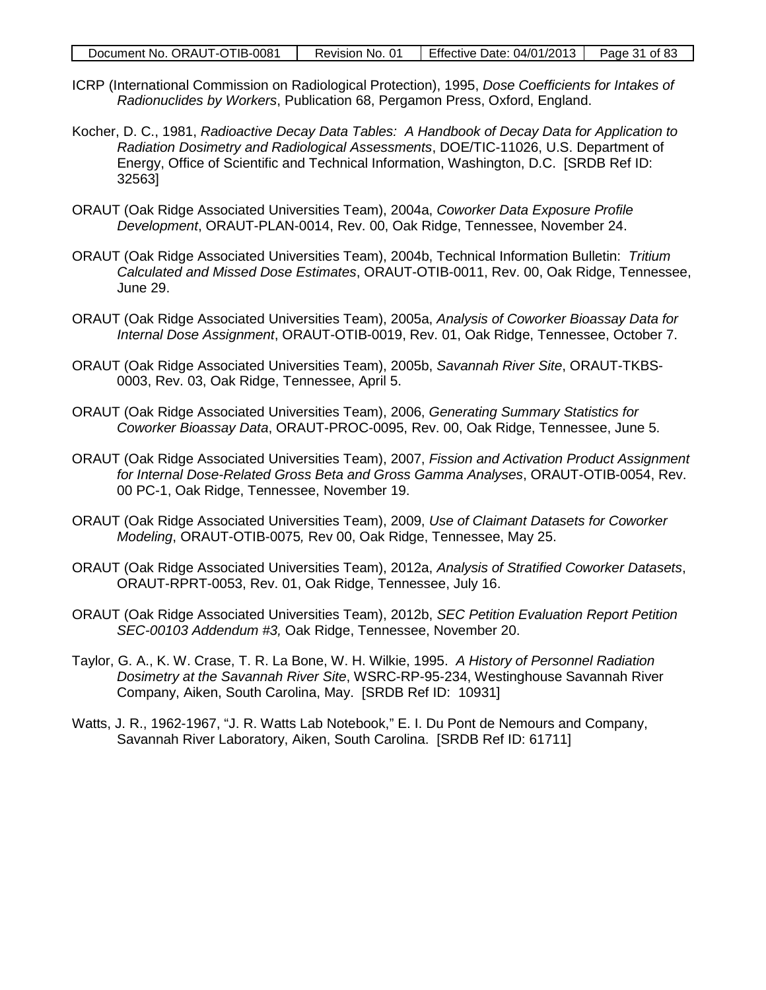| Document No. ORAUT-OTIB-0081 | Revision No. 01 | Effective Date: $04/01/2013$   Page 31 of 83 |  |
|------------------------------|-----------------|----------------------------------------------|--|
|------------------------------|-----------------|----------------------------------------------|--|

- ICRP (International Commission on Radiological Protection), 1995, *Dose Coefficients for Intakes of Radionuclides by Workers*, Publication 68, Pergamon Press, Oxford, England.
- Kocher, D. C., 1981, *Radioactive Decay Data Tables: A Handbook of Decay Data for Application to Radiation Dosimetry and Radiological Assessments*, DOE/TIC-11026, U.S. Department of Energy, Office of Scientific and Technical Information, Washington, D.C. [SRDB Ref ID: 32563]
- ORAUT (Oak Ridge Associated Universities Team), 2004a, *Coworker Data Exposure Profile Development*, ORAUT-PLAN-0014, Rev. 00, Oak Ridge, Tennessee, November 24.
- ORAUT (Oak Ridge Associated Universities Team), 2004b, Technical Information Bulletin: *Tritium Calculated and Missed Dose Estimates*, ORAUT-OTIB-0011, Rev. 00, Oak Ridge, Tennessee, June 29.
- ORAUT (Oak Ridge Associated Universities Team), 2005a, *Analysis of Coworker Bioassay Data for Internal Dose Assignment*, ORAUT-OTIB-0019, Rev. 01, Oak Ridge, Tennessee, October 7.
- ORAUT (Oak Ridge Associated Universities Team), 2005b, *Savannah River Site*, ORAUT-TKBS-0003, Rev. 03, Oak Ridge, Tennessee, April 5.
- ORAUT (Oak Ridge Associated Universities Team), 2006, *Generating Summary Statistics for Coworker Bioassay Data*, ORAUT-PROC-0095, Rev. 00, Oak Ridge, Tennessee, June 5.
- ORAUT (Oak Ridge Associated Universities Team), 2007, *Fission and Activation Product Assignment for Internal Dose-Related Gross Beta and Gross Gamma Analyses*, ORAUT-OTIB-0054, Rev. 00 PC-1, Oak Ridge, Tennessee, November 19.
- ORAUT (Oak Ridge Associated Universities Team), 2009, *Use of Claimant Datasets for Coworker Modeling*, ORAUT-OTIB-0075*,* Rev 00, Oak Ridge, Tennessee, May 25.
- ORAUT (Oak Ridge Associated Universities Team), 2012a, *Analysis of Stratified Coworker Datasets*, ORAUT-RPRT-0053, Rev. 01, Oak Ridge, Tennessee, July 16.
- ORAUT (Oak Ridge Associated Universities Team), 2012b, *SEC Petition Evaluation Report Petition SEC-00103 Addendum #3,* Oak Ridge, Tennessee, November 20.
- Taylor, G. A., K. W. Crase, T. R. La Bone, W. H. Wilkie, 1995. *A History of Personnel Radiation Dosimetry at the Savannah River Site*, WSRC-RP-95-234, Westinghouse Savannah River Company, Aiken, South Carolina, May. [SRDB Ref ID: 10931]
- Watts, J. R., 1962-1967, "J. R. Watts Lab Notebook," E. I. Du Pont de Nemours and Company, Savannah River Laboratory, Aiken, South Carolina. [SRDB Ref ID: 61711]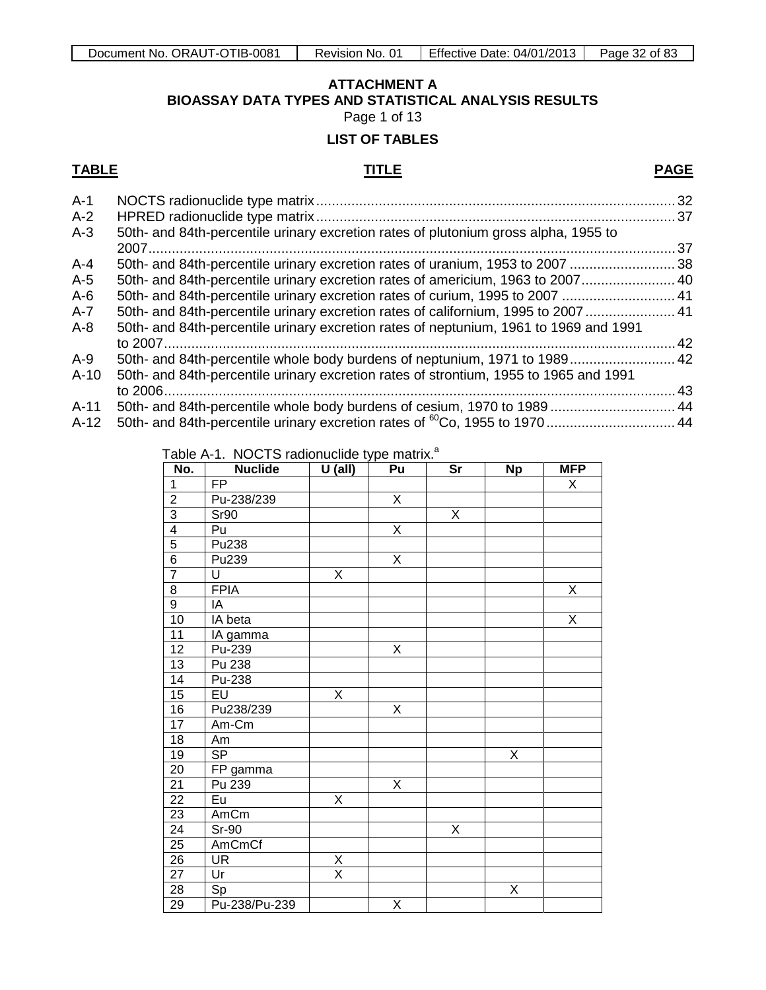# **ATTACHMENT A BIOASSAY DATA TYPES AND STATISTICAL ANALYSIS RESULTS** Page 1 of 13

# **LIST OF TABLES**

### <span id="page-31-0"></span>**TABLE TITLE PAGE**

| $A-1$   |                                                                                       |     |
|---------|---------------------------------------------------------------------------------------|-----|
| $A-2$   |                                                                                       |     |
| $A-3$   | 50th- and 84th-percentile urinary excretion rates of plutonium gross alpha, 1955 to   |     |
|         |                                                                                       | .37 |
| $A - 4$ | 50th- and 84th-percentile urinary excretion rates of uranium, 1953 to 2007 38         |     |
| $A-5$   | 50th- and 84th-percentile urinary excretion rates of americium, 1963 to 2007 40       |     |
| $A-6$   | 50th- and 84th-percentile urinary excretion rates of curium, 1995 to 2007  41         |     |
| $A-7$   | 50th- and 84th-percentile urinary excretion rates of californium, 1995 to 2007  41    |     |
| $A - 8$ | 50th- and 84th-percentile urinary excretion rates of neptunium, 1961 to 1969 and 1991 |     |
|         |                                                                                       | .42 |
| $A-9$   | 50th- and 84th-percentile whole body burdens of neptunium, 1971 to 1989 42            |     |
| $A-10$  | 50th- and 84th-percentile urinary excretion rates of strontium, 1955 to 1965 and 1991 |     |
|         |                                                                                       | .43 |
| $A-11$  | 50th- and 84th-percentile whole body burdens of cesium, 1970 to 1989 44               |     |
| $A-12$  |                                                                                       |     |
|         |                                                                                       |     |

Table A-1. NOCTS radionuclide type matrix.<sup>a</sup>

| No.                     | <b>Nuclide</b>           | $U$ (all)     | Pu | Sr             | <b>Np</b> | <b>MFP</b> |
|-------------------------|--------------------------|---------------|----|----------------|-----------|------------|
| 1                       | $\overline{FP}$          |               |    |                |           | X          |
| $\overline{2}$          | Pu-238/239               |               | X  |                |           |            |
| $\overline{3}$          | Sr90                     |               |    | $\overline{X}$ |           |            |
| $\overline{\mathbf{4}}$ | Pu                       |               | X  |                |           |            |
| $\overline{5}$          | Pu238                    |               |    |                |           |            |
| $\overline{6}$          | Pu239                    |               | X  |                |           |            |
| $\overline{7}$          | U                        | X             |    |                |           |            |
| $\overline{8}$          | <b>FPIA</b>              |               |    |                |           | X          |
| $\overline{9}$          | IA                       |               |    |                |           |            |
| $\overline{10}$         | IA beta                  |               |    |                |           | X          |
| $\overline{11}$         | IA gamma                 |               |    |                |           |            |
| 12                      | Pu-239                   |               | Χ  |                |           |            |
| $\overline{13}$         | Pu 238                   |               |    |                |           |            |
| $\overline{14}$         | Pu-238                   |               |    |                |           |            |
| 15                      | $E$ U                    | X             |    |                |           |            |
| 16                      | Pu238/239                |               | X  |                |           |            |
| 17                      | Am-Cm                    |               |    |                |           |            |
| $\overline{18}$         | Am                       |               |    |                |           |            |
| 19                      | $\overline{\mathsf{SP}}$ |               |    |                | X         |            |
| 20                      | FP gamma                 |               |    |                |           |            |
| $\overline{21}$         | Pu 239                   |               | Χ  |                |           |            |
| $\overline{22}$         | Eu                       | X             |    |                |           |            |
| $\overline{23}$         | AmCm                     |               |    |                |           |            |
| $\overline{24}$         | Sr-90                    |               |    | X              |           |            |
| $\overline{25}$         | AmCmCf                   |               |    |                |           |            |
| 26                      | <b>UR</b>                | $\frac{x}{x}$ |    |                |           |            |
| 27                      | Ur                       |               |    |                |           |            |
| 28                      | Sp                       |               |    |                | Χ         |            |
| 29                      | Pu-238/Pu-239            |               | Χ  |                |           |            |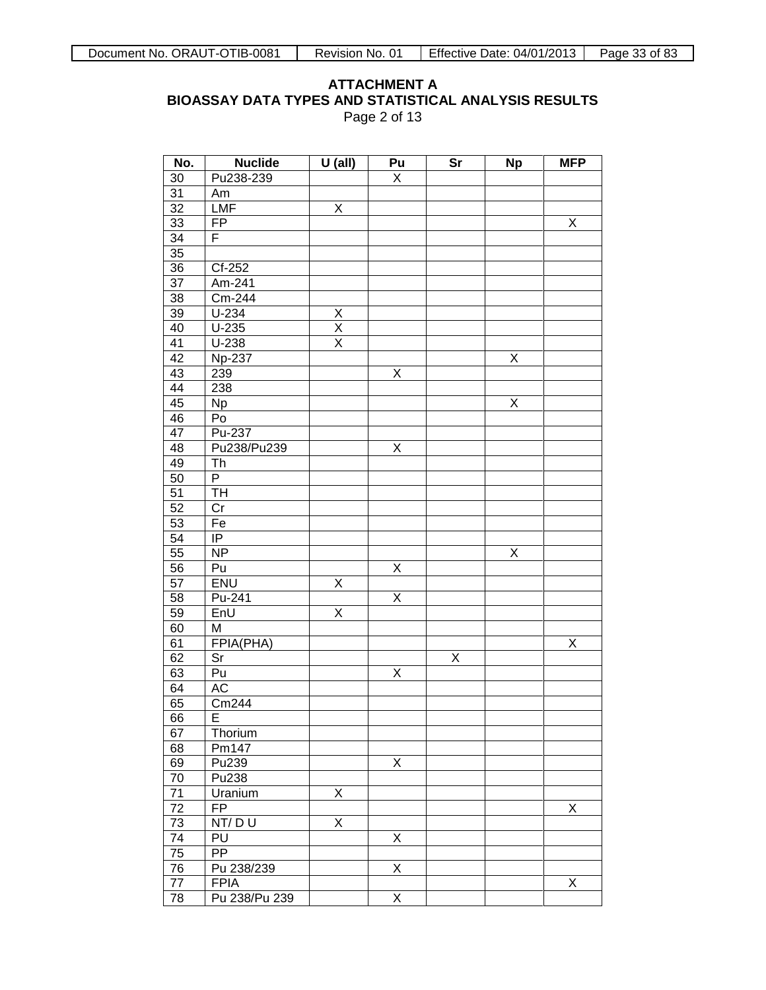### **ATTACHMENT A BIOASSAY DATA TYPES AND STATISTICAL ANALYSIS RESULTS** Page 2 of 13

| No.             | <b>Nuclide</b> | $U$ (all)               | Pu | $\overline{\text{Sr}}$ | <b>Np</b> | <b>MFP</b> |
|-----------------|----------------|-------------------------|----|------------------------|-----------|------------|
| 30              | Pu238-239      |                         | X  |                        |           |            |
| $\overline{31}$ | Am             |                         |    |                        |           |            |
| $\overline{32}$ | <b>LMF</b>     | X                       |    |                        |           |            |
| 33              | FP             |                         |    |                        |           | Χ          |
| $\overline{34}$ | F              |                         |    |                        |           |            |
| 35              |                |                         |    |                        |           |            |
| 36              | Cf-252         |                         |    |                        |           |            |
| $\overline{37}$ | Am-241         |                         |    |                        |           |            |
| 38              | Cm-244         |                         |    |                        |           |            |
| 39              | $U-234$        | X                       |    |                        |           |            |
| 40              | $U-235$        | $\overline{\mathsf{x}}$ |    |                        |           |            |
| 41              | $U-238$        | $\overline{\mathsf{x}}$ |    |                        |           |            |
| 42              | <b>Np-237</b>  |                         |    |                        | Χ         |            |
| $4\overline{3}$ | 239            |                         | Χ  |                        |           |            |
| 44              | 238            |                         |    |                        |           |            |
| 45              | <b>Np</b>      |                         |    |                        | Χ         |            |
| 46              | Po             |                         |    |                        |           |            |
| 47              | Pu-237         |                         |    |                        |           |            |
| 48              | Pu238/Pu239    |                         | Χ  |                        |           |            |
| 49              | Th             |                         |    |                        |           |            |
| 50              | P              |                         |    |                        |           |            |
| 51              | TH             |                         |    |                        |           |            |
| 52              | Cr             |                         |    |                        |           |            |
| 53              | Fe             |                         |    |                        |           |            |
| 54              | IP             |                         |    |                        |           |            |
| 55              | <b>NP</b>      |                         |    |                        | Χ         |            |
| 56              | Pu             |                         | X  |                        |           |            |
| 57              | <b>ENU</b>     | X                       |    |                        |           |            |
| 58              | Pu-241         |                         | X  |                        |           |            |
| 59              | EnU            | X                       |    |                        |           |            |
| 60              | M              |                         |    |                        |           |            |
| 61              | FPIA(PHA)      |                         |    |                        |           | Χ          |
| 62              | Sr             |                         |    | Χ                      |           |            |
| 63              | Pu             |                         | Χ  |                        |           |            |
| 64              | AC             |                         |    |                        |           |            |
| 65              | Cm244          |                         |    |                        |           |            |
| 66              | ᄇ              |                         |    |                        |           |            |
| 67              | Thorium        |                         |    |                        |           |            |
| 68              | Pm147          |                         |    |                        |           |            |
| 69              | Pu239          |                         | Χ  |                        |           |            |
| 70              | Pu238          |                         |    |                        |           |            |
| $\overline{71}$ | Uranium        | Χ                       |    |                        |           |            |
| 72              | <b>FP</b>      |                         |    |                        |           | Χ          |
| $\overline{73}$ | NT/DU          | X                       |    |                        |           |            |
| $\overline{74}$ | PU             |                         | Χ  |                        |           |            |
| $\overline{75}$ | PP             |                         |    |                        |           |            |
| 76              | Pu 238/239     |                         | Χ  |                        |           |            |
| $\overline{77}$ | <b>FPIA</b>    |                         |    |                        |           | Χ          |
| 78              | Pu 238/Pu 239  |                         | X  |                        |           |            |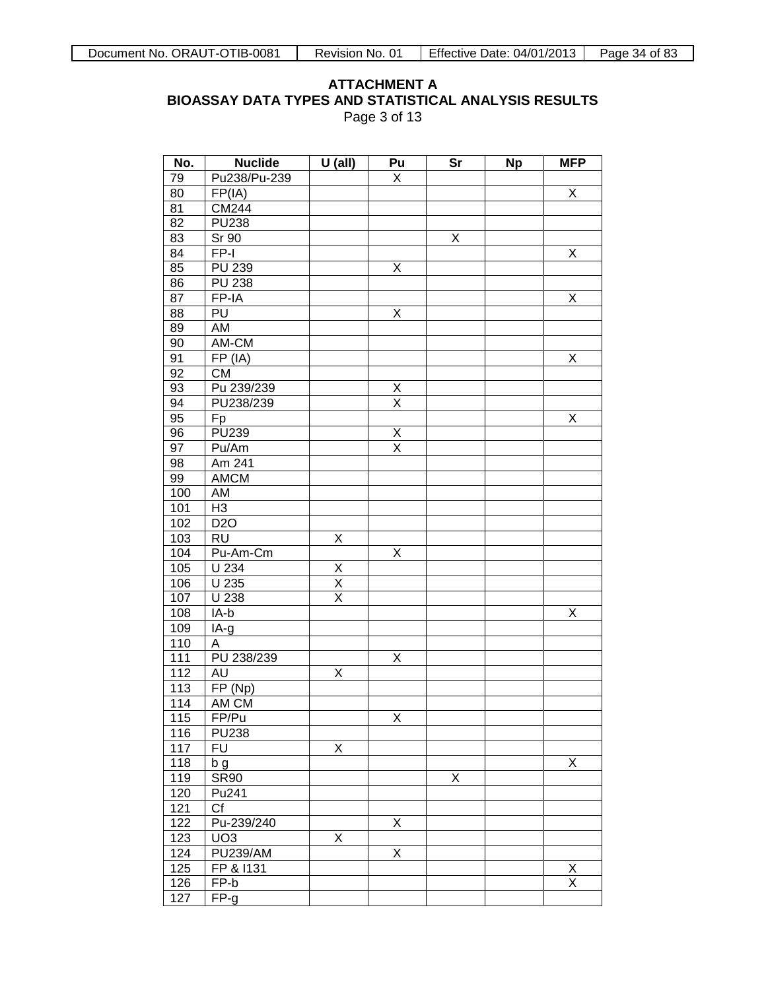### **ATTACHMENT A BIOASSAY DATA TYPES AND STATISTICAL ANALYSIS RESULTS** Page 3 of 13

| No. | <b>Nuclide</b>         | $U$ (all)               | Pu                              | <b>Sr</b> | <b>Np</b> | <b>MFP</b>              |
|-----|------------------------|-------------------------|---------------------------------|-----------|-----------|-------------------------|
| 79  | Pu238/Pu-239           |                         | Χ                               |           |           |                         |
| 80  | FP(IA)                 |                         |                                 |           |           | X                       |
| 81  | CM244                  |                         |                                 |           |           |                         |
| 82  | <b>PU238</b>           |                         |                                 |           |           |                         |
| 83  | Sr 90                  |                         |                                 | Χ         |           |                         |
| 84  | FP-I                   |                         |                                 |           |           | X                       |
| 85  | PU 239                 |                         | Χ                               |           |           |                         |
| 86  | <b>PU 238</b>          |                         |                                 |           |           |                         |
| 87  | FP-IA                  |                         |                                 |           |           | X                       |
| 88  | PU                     |                         | X                               |           |           |                         |
| 89  | AM                     |                         |                                 |           |           |                         |
| 90  | AM-CM                  |                         |                                 |           |           |                         |
| 91  | FP (IA)                |                         |                                 |           |           | X                       |
| 92  | <b>CM</b>              |                         |                                 |           |           |                         |
| 93  | Pu 239/239             |                         |                                 |           |           |                         |
| 94  | PU238/239              |                         | $\frac{\mathsf{X}}{\mathsf{X}}$ |           |           |                         |
| 95  | Fp                     |                         |                                 |           |           | X                       |
| 96  | PU239                  |                         | $\overline{\mathsf{X}}$         |           |           |                         |
| 97  | Pu/Am                  |                         | $\overline{\mathsf{x}}$         |           |           |                         |
| 98  | Am 241                 |                         |                                 |           |           |                         |
| 99  | <b>AMCM</b>            |                         |                                 |           |           |                         |
| 100 | AM                     |                         |                                 |           |           |                         |
| 101 | H <sub>3</sub>         |                         |                                 |           |           |                         |
| 102 | D <sub>20</sub>        |                         |                                 |           |           |                         |
| 103 | <b>RU</b>              | Χ                       |                                 |           |           |                         |
| 104 | Pu-Am-Cm               |                         | Χ                               |           |           |                         |
| 105 | U 234                  |                         |                                 |           |           |                         |
| 106 | U 235                  | $\frac{X}{X}$           |                                 |           |           |                         |
| 107 | U 238                  | $\overline{\mathsf{x}}$ |                                 |           |           |                         |
| 108 | IA-b                   |                         |                                 |           |           | X                       |
| 109 | IA-g                   |                         |                                 |           |           |                         |
| 110 | А                      |                         |                                 |           |           |                         |
| 111 | PU 238/239             |                         | Χ                               |           |           |                         |
| 112 | AU                     | Χ                       |                                 |           |           |                         |
| 113 | FP (Np)                |                         |                                 |           |           |                         |
| 114 | AM CM                  |                         |                                 |           |           |                         |
| 115 | FP/Pu                  |                         | Χ                               |           |           |                         |
| 116 | <b>PU238</b>           |                         |                                 |           |           |                         |
| 117 | <b>FU</b>              | Χ                       |                                 |           |           |                         |
| 118 | b g                    |                         |                                 |           |           | Χ                       |
| 119 | <b>SR90</b>            |                         |                                 | Χ         |           |                         |
| 120 | Pu241                  |                         |                                 |           |           |                         |
| 121 | $\overline{\text{Cf}}$ |                         |                                 |           |           |                         |
| 122 | Pu-239/240             |                         | Χ                               |           |           |                         |
| 123 | UO <sub>3</sub>        | Χ                       |                                 |           |           |                         |
| 124 | <b>PU239/AM</b>        |                         | Χ                               |           |           |                         |
| 125 | FP & I131              |                         |                                 |           |           | <u>X</u>                |
| 126 | FP-b                   |                         |                                 |           |           | $\overline{\mathsf{x}}$ |
| 127 | FP-g                   |                         |                                 |           |           |                         |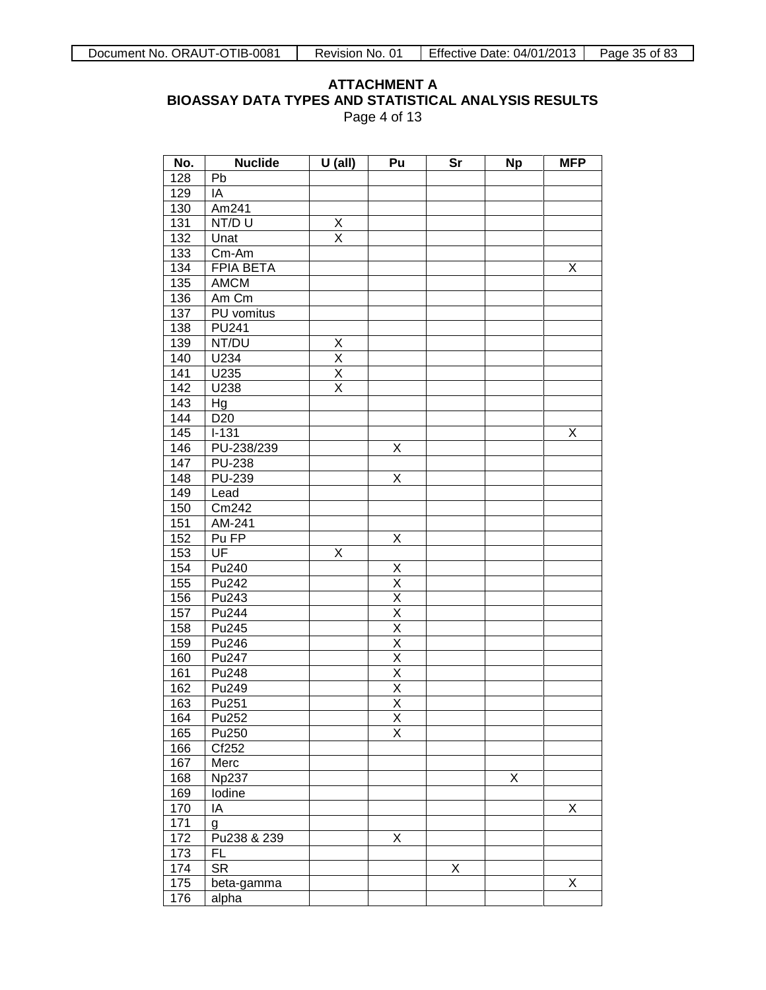### **ATTACHMENT A BIOASSAY DATA TYPES AND STATISTICAL ANALYSIS RESULTS** Page 4 of 13

| No.              | <b>Nuclide</b>             | $U$ (all)               | Pu                      | Sr | <b>Np</b> | <b>MFP</b> |
|------------------|----------------------------|-------------------------|-------------------------|----|-----------|------------|
| 128              | Pb                         |                         |                         |    |           |            |
| 129              | IA                         |                         |                         |    |           |            |
| 130              | Am241                      |                         |                         |    |           |            |
| 131              | NT/DU                      | X                       |                         |    |           |            |
| 132              | Unat                       | $\overline{\mathsf{x}}$ |                         |    |           |            |
| 133              | Cm-Am                      |                         |                         |    |           |            |
| 134              | <b>FPIA BETA</b>           |                         |                         |    |           | Χ          |
| 135              | <b>AMCM</b>                |                         |                         |    |           |            |
| 136              | Am Cm                      |                         |                         |    |           |            |
| 137              | PU vomitus                 |                         |                         |    |           |            |
| 138              | $\overline{\text{PU}}$ 241 |                         |                         |    |           |            |
| 139              | NT/DU                      | X                       |                         |    |           |            |
| 140              | U234                       | X                       |                         |    |           |            |
| 141              | U235                       | $\overline{\mathsf{x}}$ |                         |    |           |            |
| $\overline{142}$ | U238                       | $\overline{\mathsf{x}}$ |                         |    |           |            |
| 143              | Hg                         |                         |                         |    |           |            |
| 144              | D <sub>20</sub>            |                         |                         |    |           |            |
| 145              | $I-131$                    |                         |                         |    |           | Χ          |
| 146              | PU-238/239                 |                         | Χ                       |    |           |            |
| 147              | <b>PU-238</b>              |                         |                         |    |           |            |
| 148              | <b>PU-239</b>              |                         | Χ                       |    |           |            |
| 149              | Lead                       |                         |                         |    |           |            |
| 150              | Cm242                      |                         |                         |    |           |            |
| 151              | AM-241                     |                         |                         |    |           |            |
| 152              | Pu FP                      |                         | Χ                       |    |           |            |
| 153              | UF                         | Χ                       |                         |    |           |            |
| 154              | Pu240                      |                         | X                       |    |           |            |
| 155              | Pu242                      |                         | $\overline{\mathsf{x}}$ |    |           |            |
| 156              | Pu243                      |                         | $\overline{\mathsf{x}}$ |    |           |            |
| 157              | Pu244                      |                         | $\overline{\mathsf{x}}$ |    |           |            |
| 158              | Pu245                      |                         | $\overline{\mathsf{x}}$ |    |           |            |
| 159              | Pu246                      |                         | $\overline{\mathsf{x}}$ |    |           |            |
| 160              | Pu247                      |                         | $\overline{\mathsf{x}}$ |    |           |            |
| 161              | Pu248                      |                         | $\overline{\mathsf{x}}$ |    |           |            |
| 162              | Pu249                      |                         | $\overline{\mathsf{X}}$ |    |           |            |
| 163              | Pu <sub>251</sub>          |                         | $\overline{X}$          |    |           |            |
| 164              | Pu <sub>252</sub>          |                         | $\overline{X}$          |    |           |            |
| 165              | Pu250                      |                         | $\overline{\mathsf{x}}$ |    |           |            |
| 166              | Cf252                      |                         |                         |    |           |            |
| 167              | Merc                       |                         |                         |    |           |            |
| 168              | <b>Np237</b>               |                         |                         |    | Χ         |            |
| 169              | lodine                     |                         |                         |    |           |            |
| 170              | IA                         |                         |                         |    |           | Χ          |
| 171              | g                          |                         |                         |    |           |            |
| 172              | Pu238 & 239                |                         | Χ                       |    |           |            |
| 173              | FL                         |                         |                         |    |           |            |
| 174              | <b>SR</b>                  |                         |                         | X  |           |            |
| 175              | beta-gamma                 |                         |                         |    |           | Χ          |
| 176              | alpha                      |                         |                         |    |           |            |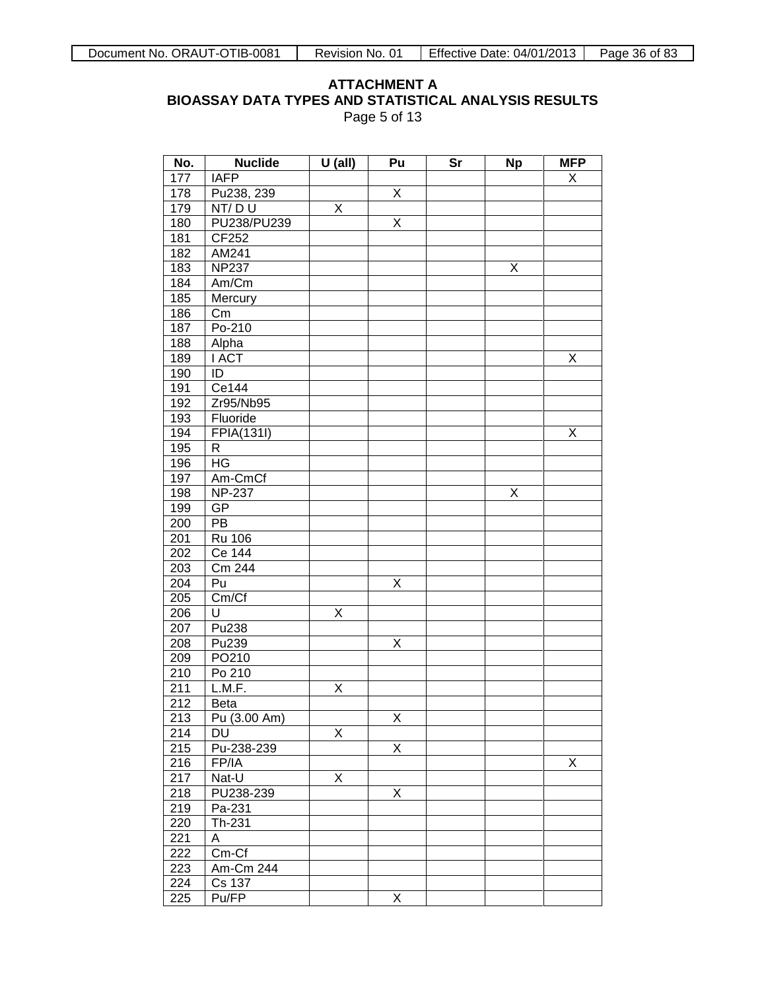### **ATTACHMENT A BIOASSAY DATA TYPES AND STATISTICAL ANALYSIS RESULTS** Page 5 of 13

| No.              | <b>Nuclide</b>   | $U$ (all) | Pu                      | Sr | <b>Np</b> | <b>MFP</b> |
|------------------|------------------|-----------|-------------------------|----|-----------|------------|
| 177              | <b>IAFP</b>      |           |                         |    |           | X          |
| 178              | Pu238, 239       |           | Χ                       |    |           |            |
| 179              | NT/DU            | Χ         |                         |    |           |            |
| 180              | PU238/PU239      |           | Χ                       |    |           |            |
| 181              | CF252            |           |                         |    |           |            |
| 182              | AM241            |           |                         |    |           |            |
| 183              | <b>NP237</b>     |           |                         |    | Χ         |            |
| 184              | Am/Cm            |           |                         |    |           |            |
| 185              | Mercury          |           |                         |    |           |            |
| 186              | $\overline{C}$ m |           |                         |    |           |            |
| 187              | Po-210           |           |                         |    |           |            |
| 188              | Alpha            |           |                         |    |           |            |
| 189              | <b>I ACT</b>     |           |                         |    |           | Χ          |
| 190              | ID               |           |                         |    |           |            |
| 191              | Ce144            |           |                         |    |           |            |
| 192              | Zr95/Nb95        |           |                         |    |           |            |
| 193              | Fluoride         |           |                         |    |           |            |
| 194              | FPIA(131I)       |           |                         |    |           | Χ          |
| 195              | R                |           |                         |    |           |            |
| 196              | HG               |           |                         |    |           |            |
| 197              | Am-CmCf          |           |                         |    |           |            |
| 198              | <b>NP-237</b>    |           |                         |    | Χ         |            |
| 199              | GP               |           |                         |    |           |            |
| 200              | PB               |           |                         |    |           |            |
| 201              | <b>Ru 106</b>    |           |                         |    |           |            |
| 202              | Ce 144           |           |                         |    |           |            |
| 203              | Cm 244           |           |                         |    |           |            |
| 204              | Pu               |           | Χ                       |    |           |            |
| 205              | Cm/Cf            |           |                         |    |           |            |
| 206              | U                | Χ         |                         |    |           |            |
| 207              | Pu238            |           |                         |    |           |            |
| 208              | Pu239            |           | Χ                       |    |           |            |
| 209              | PO210            |           |                         |    |           |            |
| 210              | Po 210           |           |                         |    |           |            |
| 211              | L.M.F.           | Χ         |                         |    |           |            |
| 212              | <b>Beta</b>      |           |                         |    |           |            |
| $\overline{213}$ | Pu (3.00 Am)     |           | $\overline{\mathsf{x}}$ |    |           |            |
| 214              | DU               | X         |                         |    |           |            |
| 215              | Pu-238-239       |           | X                       |    |           |            |
| 216              | FP/IA            |           |                         |    |           | X          |
| 217              | Nat-U            | X         |                         |    |           |            |
| 218              | PU238-239        |           | X                       |    |           |            |
| 219              | Pa-231           |           |                         |    |           |            |
| 220              | Th-231           |           |                         |    |           |            |
| 221              | Α                |           |                         |    |           |            |
| 222              | $Cm-Cf$          |           |                         |    |           |            |
| 223              | Am-Cm 244        |           |                         |    |           |            |
| 224              | Cs 137           |           |                         |    |           |            |
| 225              | Pu/FP            |           | Χ                       |    |           |            |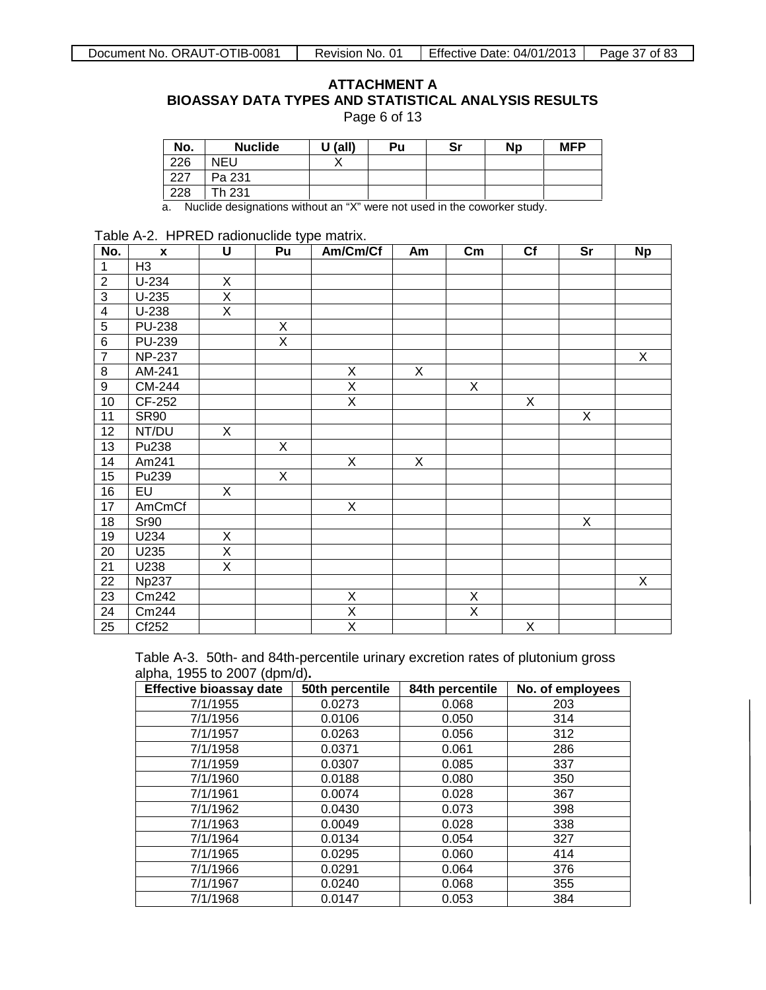| Page 6 of 13 |  |  |  |
|--------------|--|--|--|
|--------------|--|--|--|

| No. | <b>Nuclide</b> | $U$ (all) | Pu | Sr | <b>Np</b> | <b>MFP</b> |
|-----|----------------|-----------|----|----|-----------|------------|
| 226 | NEU            |           |    |    |           |            |
| 227 | Pa 231         |           |    |    |           |            |
| 228 | Th 231         |           |    |    |           |            |

a. Nuclide designations without an "X" were not used in the coworker study.

### Table A-2. HPRED radionuclide type matrix.

| No.            | $\mathbf{x}$                | U                       | Pu | Am/Cm/Cf                | Am | $\mathsf{Cm}$           | Cf                      | Sr | <b>Np</b> |
|----------------|-----------------------------|-------------------------|----|-------------------------|----|-------------------------|-------------------------|----|-----------|
| 1              | H <sub>3</sub>              |                         |    |                         |    |                         |                         |    |           |
| $\overline{2}$ | $U-234$                     | $\overline{X}$          |    |                         |    |                         |                         |    |           |
| $\overline{3}$ | $U-235$                     | $\overline{X}$          |    |                         |    |                         |                         |    |           |
| 4              | $U-238$                     | $\overline{\mathsf{X}}$ |    |                         |    |                         |                         |    |           |
| $\overline{5}$ | <b>PU-238</b>               |                         | X  |                         |    |                         |                         |    |           |
| $\overline{6}$ | <b>PU-239</b>               |                         | X  |                         |    |                         |                         |    |           |
| $\overline{7}$ | $\overline{\text{NP}}$ -237 |                         |    |                         |    |                         |                         |    | X         |
| 8              | AM-241                      |                         |    | X                       | X  |                         |                         |    |           |
| 9              | CM-244                      |                         |    | $\overline{\mathsf{x}}$ |    | $\overline{X}$          |                         |    |           |
| 10             | CF-252                      |                         |    | $\overline{X}$          |    |                         | X                       |    |           |
| 11             | <b>SR90</b>                 |                         |    |                         |    |                         |                         | X  |           |
| 12             | NT/DU                       | X                       |    |                         |    |                         |                         |    |           |
| 13             | Pu238                       |                         | X  |                         |    |                         |                         |    |           |
| 14             | Am241                       |                         |    | X                       | X  |                         |                         |    |           |
| 15             | Pu239                       |                         | X  |                         |    |                         |                         |    |           |
| 16             | EU                          | X                       |    |                         |    |                         |                         |    |           |
| 17             | <b>AmCmCf</b>               |                         |    | $\overline{X}$          |    |                         |                         |    |           |
| 18             | Sr90                        |                         |    |                         |    |                         |                         | X  |           |
| 19             | U234                        | X                       |    |                         |    |                         |                         |    |           |
| 20             | U235                        | $\overline{\mathsf{x}}$ |    |                         |    |                         |                         |    |           |
| 21             | U238                        | $\overline{\mathsf{x}}$ |    |                         |    |                         |                         |    |           |
| 22             | <b>Np237</b>                |                         |    |                         |    |                         |                         |    | X         |
| 23             | Cm242                       |                         |    | $\overline{X}$          |    | $\overline{X}$          |                         |    |           |
| 24             | Cm244                       |                         |    | $\overline{\mathsf{X}}$ |    | $\overline{\mathsf{x}}$ |                         |    |           |
| 25             | Cf252                       |                         |    | $\overline{\mathsf{x}}$ |    |                         | $\overline{\mathsf{x}}$ |    |           |

Table A-3.50th- and 84th-percentile urinary excretion rates of plutonium gross alpha, 1955 to 2007 (dpm/d)**.** 

| <b>Effective bioassay date</b> | 50th percentile | 84th percentile | No. of employees |
|--------------------------------|-----------------|-----------------|------------------|
| 7/1/1955                       | 0.0273          | 0.068           | 203              |
| 7/1/1956                       | 0.0106          | 0.050           | 314              |
| 7/1/1957                       | 0.0263          | 0.056           | 312              |
| 7/1/1958                       | 0.0371          | 0.061           | 286              |
| 7/1/1959                       | 0.0307          | 0.085           | 337              |
| 7/1/1960                       | 0.0188          | 0.080           | 350              |
| 7/1/1961                       | 0.0074          | 0.028           | 367              |
| 7/1/1962                       | 0.0430          | 0.073           | 398              |
| 7/1/1963                       | 0.0049          | 0.028           | 338              |
| 7/1/1964                       | 0.0134          | 0.054           | 327              |
| 7/1/1965                       | 0.0295          | 0.060           | 414              |
| 7/1/1966                       | 0.0291          | 0.064           | 376              |
| 7/1/1967                       | 0.0240          | 0.068           | 355              |
| 7/1/1968                       | 0.0147          | 0.053           | 384              |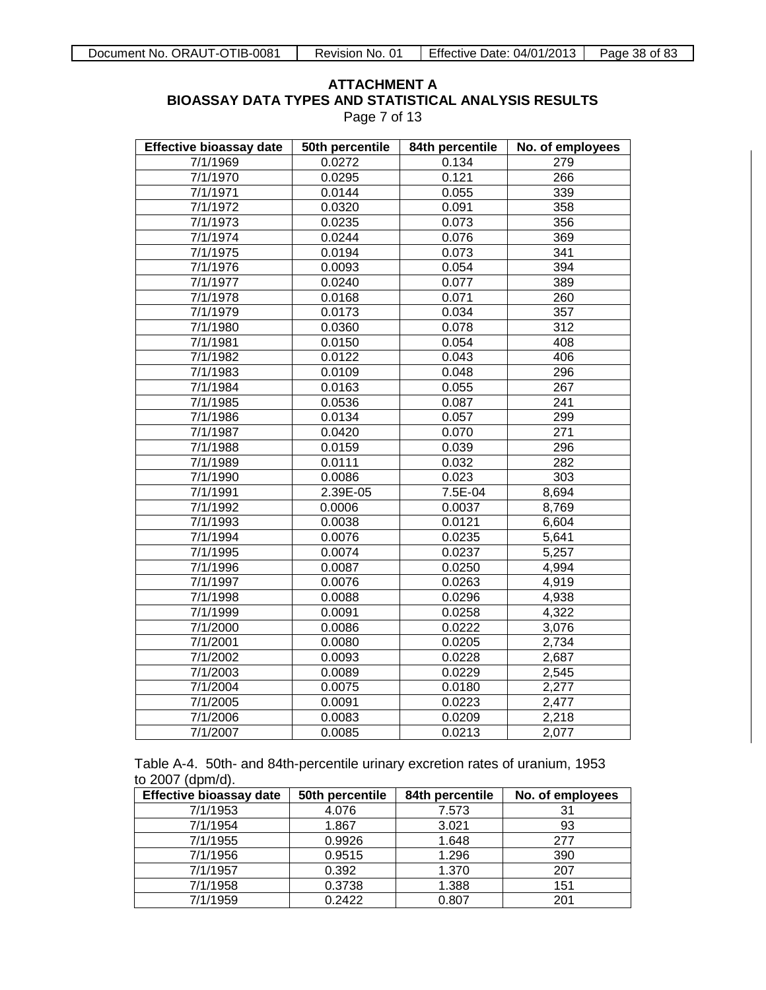Page 7 of 13

| <b>Effective bioassay date</b> | 50th percentile | 84th percentile | No. of employees |
|--------------------------------|-----------------|-----------------|------------------|
| 7/1/1969                       | 0.0272          | 0.134           | 279              |
| 7/1/1970                       | 0.0295          | 0.121           | 266              |
| 7/1/1971                       | 0.0144          | 0.055           | 339              |
| $\frac{1}{7}$ /1/1972          | 0.0320          | 0.091           | 358              |
| 7/1/1973                       | 0.0235          | 0.073           | 356              |
| 7/1/1974                       | 0.0244          | 0.076           | 369              |
| 7/1/1975                       | 0.0194          | 0.073           | 341              |
| 7/1/1976                       | 0.0093          | 0.054           | 394              |
| 7/1/1977                       | 0.0240          | 0.077           | 389              |
| 7/1/1978                       | 0.0168          | 0.071           | 260              |
| 7/1/1979                       | 0.0173          | 0.034           | 357              |
| 7/1/1980                       | 0.0360          | 0.078           | 312              |
| 7/1/1981                       | 0.0150          | 0.054           | 408              |
| 7/1/1982                       | 0.0122          | 0.043           | 406              |
| 7/1/1983                       | 0.0109          | 0.048           | 296              |
| 7/1/1984                       | 0.0163          | 0.055           | 267              |
| 7/1/1985                       | 0.0536          | 0.087           | 241              |
| 7/1/1986                       | 0.0134          | 0.057           | 299              |
| 7/1/1987                       | 0.0420          | 0.070           | 271              |
| 7/1/1988                       | 0.0159          | 0.039           | 296              |
| 7/1/1989                       | 0.0111          | 0.032           | 282              |
| 7/1/1990                       | 0.0086          | 0.023           | 303              |
| 7/1/1991                       | 2.39E-05        | $7.5E-04$       | 8,694            |
| 7/1/1992                       | 0.0006          | 0.0037          | 8,769            |
| 7/1/1993                       | 0.0038          | 0.0121          | 6,604            |
| 7/1/1994                       | 0.0076          | 0.0235          | 5,641            |
| 7/1/1995                       | 0.0074          | 0.0237          | 5,257            |
| 7/1/1996                       | 0.0087          | 0.0250          | 4,994            |
| 7/1/1997                       | 0.0076          | 0.0263          | 4,919            |
| 7/1/1998                       | 0.0088          | 0.0296          | 4,938            |
| 7/1/1999                       | 0.0091          | 0.0258          | 4,322            |
| 7/1/2000                       | 0.0086          | 0.0222          | 3,076            |
| 7/1/2001                       | 0.0080          | 0.0205          | 2,734            |
| 7/1/2002                       | 0.0093          | 0.0228          | 2,687            |
| 7/1/2003                       | 0.0089          | 0.0229          | 2,545            |
| 7/1/2004                       | 0.0075          | 0.0180          | 2,277            |
| 7/1/2005                       | 0.0091          | 0.0223          | 2,477            |
| 7/1/2006                       | 0.0083          | 0.0209          | 2,218            |
| 7/1/2007                       | 0.0085          | 0.0213          | 2,077            |

| to 2007 (dpm/d). |  | Table A-4. 50th- and 84th-percentile urinary excretion rates of uranium, 1953 |  |  |  |
|------------------|--|-------------------------------------------------------------------------------|--|--|--|
|                  |  |                                                                               |  |  |  |

| <b>Effective bioassay date</b> | 50th percentile | 84th percentile | No. of employees |
|--------------------------------|-----------------|-----------------|------------------|
| 7/1/1953                       | 4.076           | 7.573           |                  |
| 7/1/1954                       | 1.867           | 3.021           | 93               |
| 7/1/1955                       | 0.9926          | 1.648           | 277              |
| 7/1/1956                       | 0.9515          | 1.296           | 390              |
| 7/1/1957                       | 0.392           | 1.370           | 207              |
| 7/1/1958                       | 0.3738          | 1.388           | 151              |
| 7/1/1959                       | 0.2422          | 0.807           | 201              |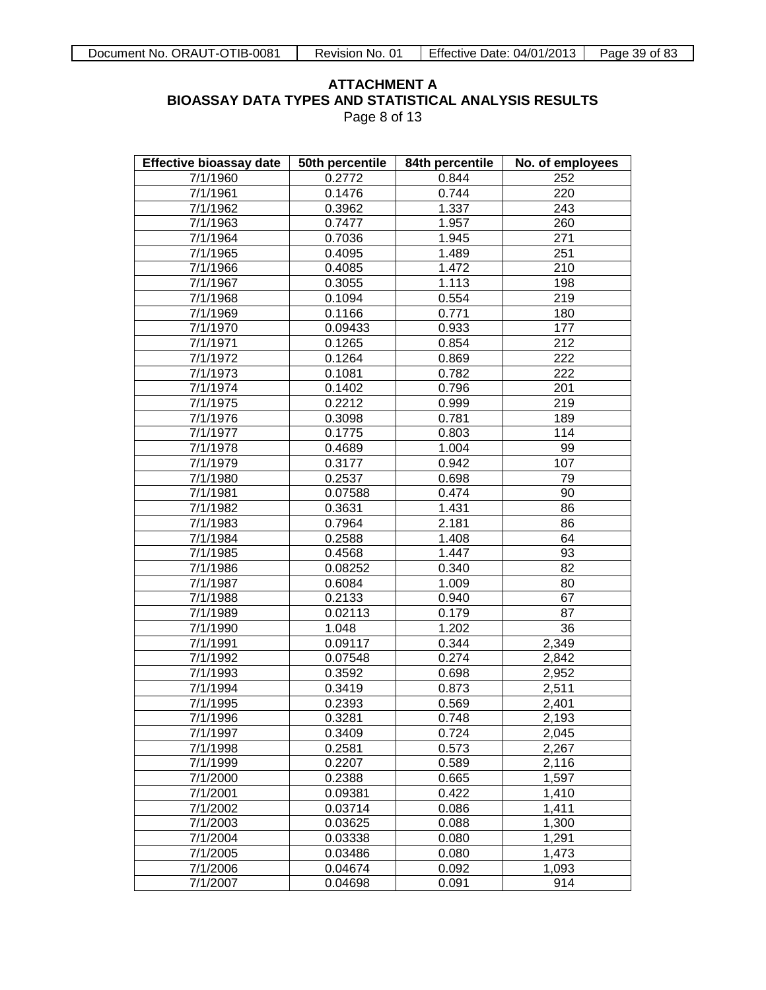Page 8 of 13

| <b>Effective bioassay date</b> | 50th percentile | 84th percentile | No. of employees |
|--------------------------------|-----------------|-----------------|------------------|
| 7/1/1960                       | 0.2772          | 0.844           | 252              |
| 7/1/1961                       | 0.1476          | 0.744           | 220              |
| 7/1/1962                       | 0.3962          | 1.337           | 243              |
| 7/1/1963                       | 0.7477          | 1.957           | 260              |
| 7/1/1964                       | 0.7036          | 1.945           | 271              |
| 7/1/1965                       | 0.4095          | 1.489           | 251              |
| 7/1/1966                       | 0.4085          | 1.472           | 210              |
| 7/1/1967                       | 0.3055          | 1.113           | 198              |
| 7/1/1968                       | 0.1094          | 0.554           | 219              |
| 7/1/1969                       | 0.1166          | 0.771           | 180              |
| 7/1/1970                       | 0.09433         | 0.933           | 177              |
| 7/1/1971                       | 0.1265          | 0.854           | $\overline{212}$ |
| 7/1/1972                       | 0.1264          | 0.869           | $\overline{222}$ |
| 7/1/1973                       | 0.1081          | 0.782           | $\overline{222}$ |
| 7/1/1974                       | 0.1402          | 0.796           | 201              |
| 7/1/1975                       | 0.2212          | 0.999           | 219              |
| 7/1/1976                       | 0.3098          | 0.781           | 189              |
| 7/1/1977                       | 0.1775          | 0.803           | 114              |
| 7/1/1978                       | 0.4689          | 1.004           | 99               |
| 7/1/1979                       | 0.3177          | 0.942           | 107              |
| 7/1/1980                       | 0.2537          | 0.698           | 79               |
| 7/1/1981                       | 0.07588         | 0.474           | 90               |
| 7/1/1982                       | 0.3631          | 1.431           | 86               |
| 7/1/1983                       | 0.7964          | 2.181           | 86               |
| 7/1/1984                       | 0.2588          | 1.408           | 64               |
| 7/1/1985                       | 0.4568          | 1.447           | 93               |
| 7/1/1986                       | 0.08252         | 0.340           | $\overline{82}$  |
| 7/1/1987                       | 0.6084          | 1.009           | 80               |
| 7/1/1988                       | 0.2133          | 0.940           | 67               |
| 7/1/1989                       | 0.02113         | 0.179           | $\overline{87}$  |
| 7/1/1990                       | 1.048           | 1.202           | 36               |
| 7/1/1991                       | 0.09117         | 0.344           | 2,349            |
| 7/1/1992                       | 0.07548         | 0.274           | 2,842            |
| 7/1/1993                       | 0.3592          | 0.698           | 2,952            |
| 7/1/1994                       | 0.3419          | 0.873           | 2,511            |
| 7/1/1995                       | 0.2393          | 0.569           | 2,401            |
| 7/1/1996                       | 0.3281          | 0.748           | 2,193            |
| 7/1/1997                       | 0.3409          | 0.724           | 2,045            |
| 7/1/1998                       | 0.2581          | 0.573           | 2,267            |
| 7/1/1999                       | 0.2207          | 0.589           | 2,116            |
| 7/1/2000                       | 0.2388          | 0.665           | 1,597            |
| 7/1/2001                       | 0.09381         | 0.422           | 1,410            |
| 7/1/2002                       | 0.03714         | 0.086           | 1,411            |
| 7/1/2003                       | 0.03625         | 0.088           | 1,300            |
| 7/1/2004                       | 0.03338         | 0.080           | 1,291            |
| 7/1/2005                       | 0.03486         | 0.080           | 1,473            |
| 7/1/2006                       | 0.04674         | 0.092           | 1,093            |
| 7/1/2007                       | 0.04698         | 0.091           | 914              |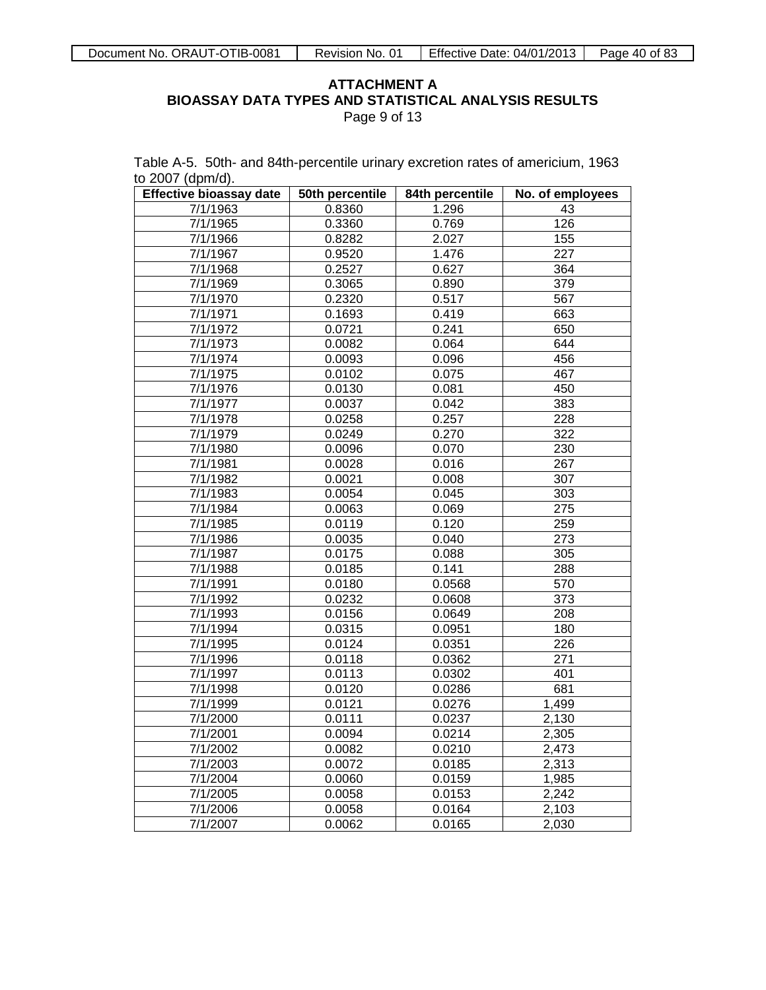Table A-5. 50th- and 84th-percentile urinary excretion rates of americium, 1963

to 2007 (dpm/d).

**Effective bioassay date 50th percentile 84th percentile No. of employees** 7/1/1963 0.8360 1.296 43 7/1/1965 0.3360 0.769 126 7/1/1966 0.8282 2.027 155 7/1/1967 0.9520 1.476 227 7/1/1968 0.2527 0.627 364 7/1/1969 0.3065 0.890 379 7/1/1970 0.2320 0.517 567 7/1/1971 0.1693 0.419 663 7/1/1972 0.0721 0.241 650 7/1/1973 0.0082 0.064 644 7/1/1974 0.0093 0.096 456 7/1/1975 0.0102 0.075 467 7/1/1976 0.0130 0.081 450 7/1/1977 0.0037 0.042 383 7/1/1978 0.0258 0.257 228 7/1/1979 0.0249 0.270 322 7/1/1980 0.0096 0.070 230 7/1/1981 0.0028 0.016 267 7/1/1982 0.0021 0.008 307 7/1/1983 0.0054 0.045 303 7/1/1984 0.0063 0.069 275 7/1/1985 0.0119 0.120 259 7/1/1986 0.0035 0.040 273 7/1/1987 0.0175 0.088 305 7/1/1988 0.0185 0.141 288 7/1/1991 0.0180 0.0568 570 7/1/1992 0.0232 0.0608 373 7/1/1993 0.0156 0.0649 208 7/1/1994 0.0315 0.0951 180 7/1/1995 0.0124 0.0351 226 7/1/1996 0.0118 0.0362 271 7/1/1997 0.0113 0.0302 401 7/1/1998 0.0120 0.0286 681 7/1/1999 0.0121 0.0276 1,499 7/1/2000 0.0111 0.0237 2,130 7/1/2001 0.0094 0.0214 2,305 7/1/2002 0.0082 0.0210 2,473 7/1/2003 0.0072 0.0185 2,313 7/1/2004 0.0060 0.0159 1,985 7/1/2005 0.0058 0.0153 2,242 7/1/2006 0.0058 0.0164 2,103 7/1/2007 0.0062 0.0165 2,030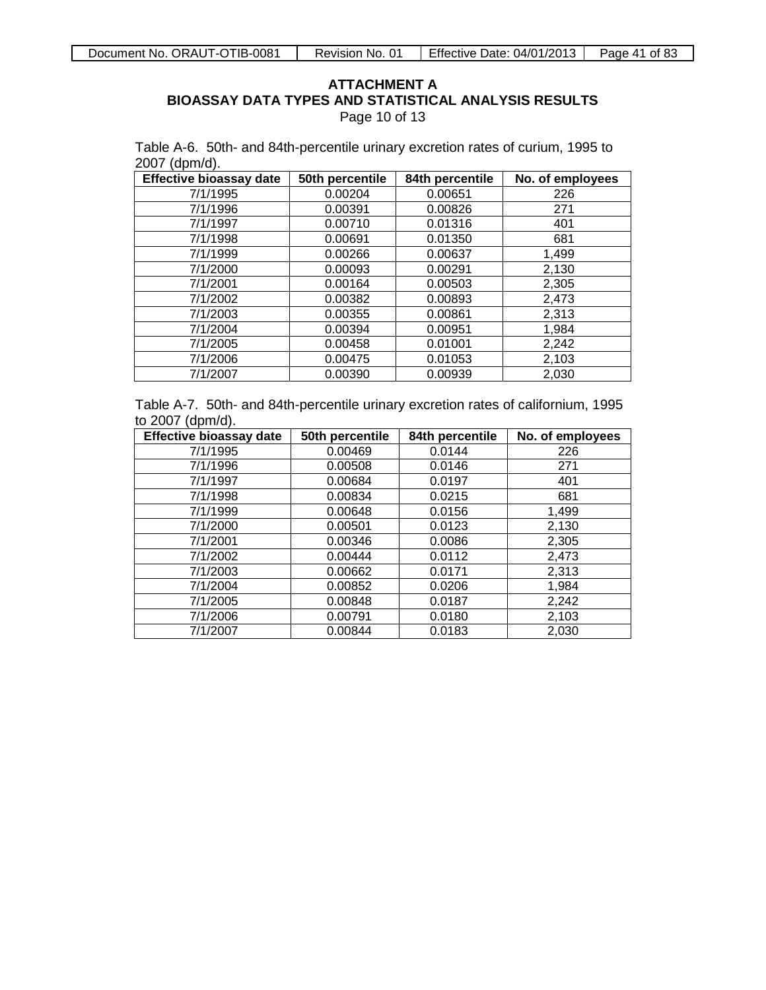Page 10 of 13

Table A-6. 50th- and 84th-percentile urinary excretion rates of curium, 1995 to 2007 (dpm/d).

| <b>Effective bioassay date</b> | 50th percentile | 84th percentile | No. of employees |
|--------------------------------|-----------------|-----------------|------------------|
| 7/1/1995                       | 0.00204         | 0.00651         | 226              |
| 7/1/1996                       | 0.00391         | 0.00826         | 271              |
| 7/1/1997                       | 0.00710         | 0.01316         | 401              |
| 7/1/1998                       | 0.00691         | 0.01350         | 681              |
| 7/1/1999                       | 0.00266         | 0.00637         | 1,499            |
| 7/1/2000                       | 0.00093         | 0.00291         | 2,130            |
| 7/1/2001                       | 0.00164         | 0.00503         | 2,305            |
| 7/1/2002                       | 0.00382         | 0.00893         | 2,473            |
| 7/1/2003                       | 0.00355         | 0.00861         | 2,313            |
| 7/1/2004                       | 0.00394         | 0.00951         | 1,984            |
| 7/1/2005                       | 0.00458         | 0.01001         | 2,242            |
| 7/1/2006                       | 0.00475         | 0.01053         | 2,103            |
| 7/1/2007                       | 0.00390         | 0.00939         | 2,030            |

Table A-7. 50th- and 84th-percentile urinary excretion rates of californium, 1995 to 2007 (dpm/d).

| <b>Effective bioassay date</b> | 50th percentile | 84th percentile | No. of employees |
|--------------------------------|-----------------|-----------------|------------------|
| 7/1/1995                       | 0.00469         | 0.0144          | 226              |
| 7/1/1996                       | 0.00508         | 0.0146          | 271              |
| 7/1/1997                       | 0.00684         | 0.0197          | 401              |
| 7/1/1998                       | 0.00834         | 0.0215          | 681              |
| 7/1/1999                       | 0.00648         | 0.0156          | 1,499            |
| 7/1/2000                       | 0.00501         | 0.0123          | 2,130            |
| 7/1/2001                       | 0.00346         | 0.0086          | 2,305            |
| 7/1/2002                       | 0.00444         | 0.0112          | 2,473            |
| 7/1/2003                       | 0.00662         | 0.0171          | 2,313            |
| 7/1/2004                       | 0.00852         | 0.0206          | 1,984            |
| 7/1/2005                       | 0.00848         | 0.0187          | 2,242            |
| 7/1/2006                       | 0.00791         | 0.0180          | 2,103            |
| 7/1/2007                       | 0.00844         | 0.0183          | 2,030            |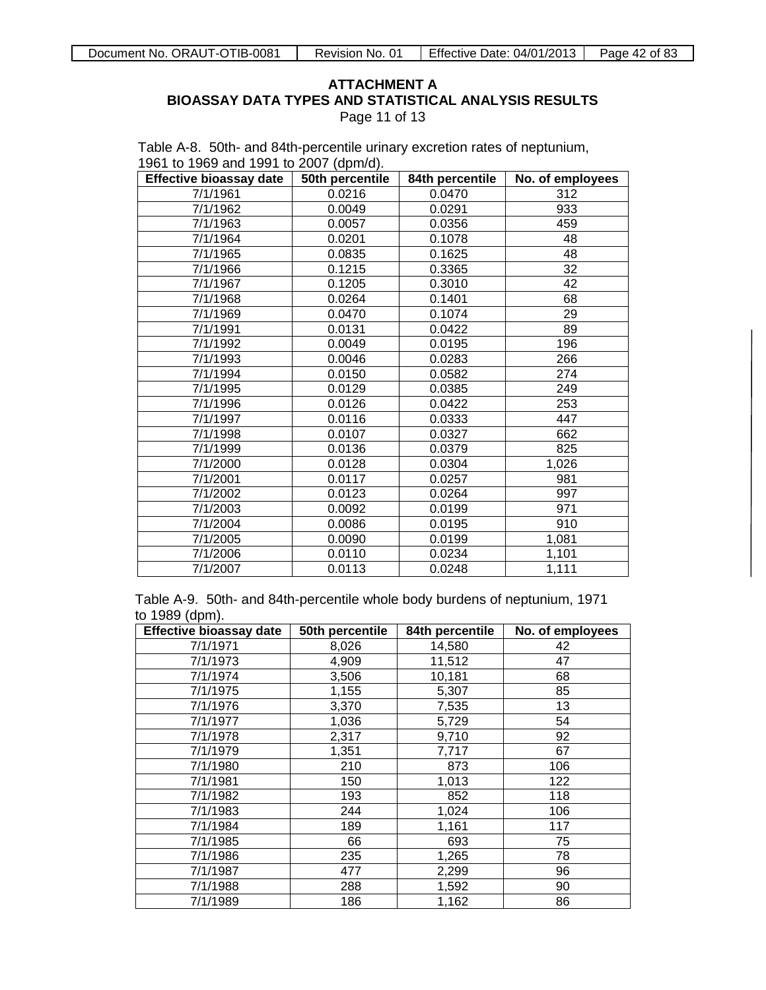Page 11 of 13

Table A-8. 50th- and 84th-percentile urinary excretion rates of neptunium, 1961 to 1969 and 1991 to 2007 (dpm/d).

| <b>Effective bioassay date</b> | $\mathcal{L}$ . The set of $\mathcal{L}$<br>50th percentile | 84th percentile | No. of employees |
|--------------------------------|-------------------------------------------------------------|-----------------|------------------|
| 7/1/1961                       | 0.0216                                                      | 0.0470          | 312              |
| 7/1/1962                       | 0.0049                                                      | 0.0291          | 933              |
| 7/1/1963                       | 0.0057                                                      | 0.0356          | 459              |
| 7/1/1964                       | 0.0201                                                      | 0.1078          | 48               |
| 7/1/1965                       | 0.0835                                                      | 0.1625          | 48               |
| 7/1/1966                       | 0.1215                                                      | 0.3365          | 32               |
| 7/1/1967                       | 0.1205                                                      | 0.3010          | 42               |
| 7/1/1968                       | 0.0264                                                      | 0.1401          | 68               |
| 7/1/1969                       | 0.0470                                                      | 0.1074          | 29               |
| 7/1/1991                       | 0.0131                                                      | 0.0422          | 89               |
| 7/1/1992                       | 0.0049                                                      | 0.0195          | 196              |
| 7/1/1993                       | 0.0046                                                      | 0.0283          | 266              |
| 7/1/1994                       | 0.0150                                                      | 0.0582          | 274              |
| 7/1/1995                       | 0.0129                                                      | 0.0385          | 249              |
| 7/1/1996                       | 0.0126                                                      | 0.0422          | 253              |
| 7/1/1997                       | 0.0116                                                      | 0.0333          | 447              |
| 7/1/1998                       | 0.0107                                                      | 0.0327          | 662              |
| 7/1/1999                       | 0.0136                                                      | 0.0379          | 825              |
| 7/1/2000                       | 0.0128                                                      | 0.0304          | 1,026            |
| 7/1/2001                       | 0.0117                                                      | 0.0257          | 981              |
| 7/1/2002                       | 0.0123                                                      | 0.0264          | 997              |
| 7/1/2003                       | 0.0092                                                      | 0.0199          | 971              |
| 7/1/2004                       | 0.0086                                                      | 0.0195          | 910              |
| 7/1/2005                       | 0.0090                                                      | 0.0199          | 1,081            |
| 7/1/2006                       | 0.0110                                                      | 0.0234          | 1,101            |
| 7/1/2007                       | 0.0113                                                      | 0.0248          | 1,111            |

Table A-9. 50th- and 84th-percentile whole body burdens of neptunium, 1971 to 1989 (dpm).

| <b>Effective bioassay date</b> | 50th percentile | 84th percentile | No. of employees |
|--------------------------------|-----------------|-----------------|------------------|
| 7/1/1971                       | 8,026           | 14,580          | 42               |
| 7/1/1973                       | 4,909           | 11,512          | 47               |
| 7/1/1974                       | 3,506           | 10,181          | 68               |
| 7/1/1975                       | 1,155           | 5,307           | 85               |
| 7/1/1976                       | 3,370           | 7,535           | 13               |
| 7/1/1977                       | 1,036           | 5,729           | 54               |
| 7/1/1978                       | 2,317           | 9,710           | 92               |
| 7/1/1979                       | 1,351           | 7,717           | 67               |
| 7/1/1980                       | 210             | 873             | 106              |
| 7/1/1981                       | 150             | 1,013           | 122              |
| 7/1/1982                       | 193             | 852             | 118              |
| 7/1/1983                       | 244             | 1,024           | 106              |
| 7/1/1984                       | 189             | 1,161           | 117              |
| 7/1/1985                       | 66              | 693             | 75               |
| 7/1/1986                       | 235             | 1,265           | 78               |
| 7/1/1987                       | 477             | 2,299           | 96               |
| 7/1/1988                       | 288             | 1,592           | 90               |
| 7/1/1989                       | 186             | 1,162           | 86               |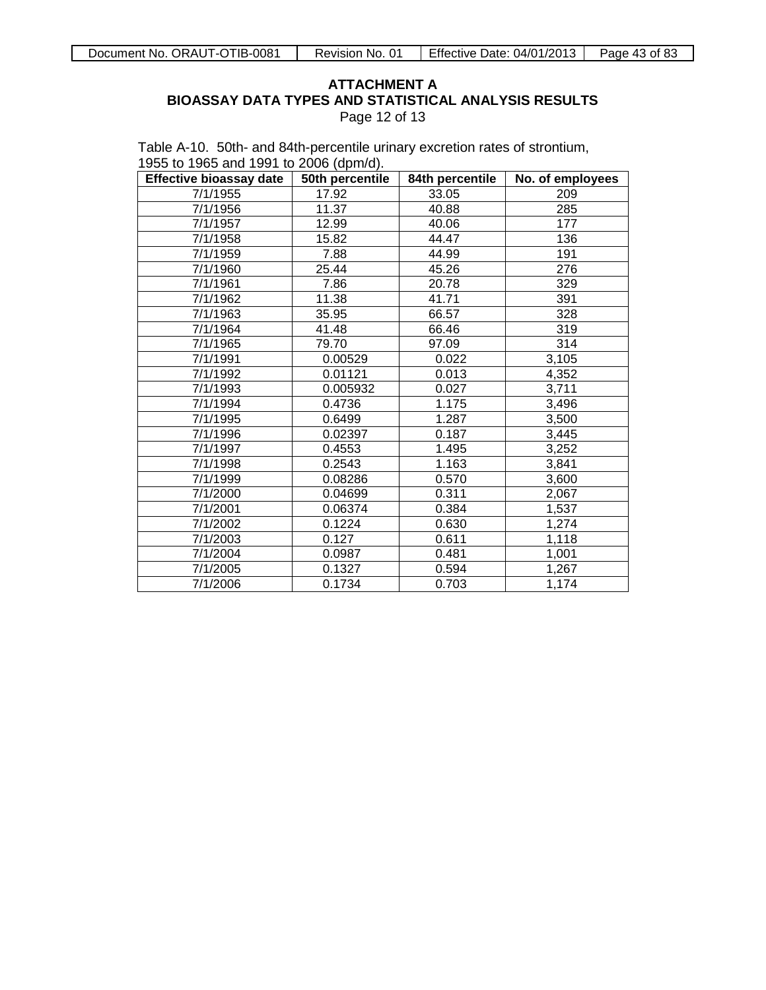Page 12 of 13

Table A-10. 50th- and 84th-percentile urinary excretion rates of strontium, 1955 to 1965 and 1991 to 2006 (dpm/d).

| <b>Effective bioassay date</b> | 50th percentile | 84th percentile | No. of employees |
|--------------------------------|-----------------|-----------------|------------------|
| 7/1/1955                       | 17.92           | 33.05           | 209              |
| 7/1/1956                       | 11.37           | 40.88           | 285              |
| 7/1/1957                       | 12.99           | 40.06           | 177              |
| 7/1/1958                       | 15.82           | 44.47           | 136              |
| 7/1/1959                       | 7.88            | 44.99           | 191              |
| 7/1/1960                       | 25.44           | 45.26           | 276              |
| 7/1/1961                       | 7.86            | 20.78           | 329              |
| 7/1/1962                       | 11.38           | 41.71           | 391              |
| 7/1/1963                       | 35.95           | 66.57           | 328              |
| 7/1/1964                       | 41.48           | 66.46           | 319              |
| 7/1/1965                       | 79.70           | 97.09           | 314              |
| 7/1/1991                       | 0.00529         | 0.022           | 3,105            |
| 7/1/1992                       | 0.01121         | 0.013           | 4,352            |
| 7/1/1993                       | 0.005932        | 0.027           | 3,711            |
| 7/1/1994                       | 0.4736          | 1.175           | 3,496            |
| 7/1/1995                       | 0.6499          | 1.287           | 3,500            |
| 7/1/1996                       | 0.02397         | 0.187           | 3,445            |
| 7/1/1997                       | 0.4553          | 1.495           | 3,252            |
| 7/1/1998                       | 0.2543          | 1.163           | 3,841            |
| 7/1/1999                       | 0.08286         | 0.570           | 3,600            |
| 7/1/2000                       | 0.04699         | 0.311           | 2,067            |
| 7/1/2001                       | 0.06374         | 0.384           | 1,537            |
| 7/1/2002                       | 0.1224          | 0.630           | 1,274            |
| 7/1/2003                       | 0.127           | 0.611           | 1,118            |
| 7/1/2004                       | 0.0987          | 0.481           | 1,001            |
| 7/1/2005                       | 0.1327          | 0.594           | 1,267            |
| 7/1/2006                       | 0.1734          | 0.703           | 1,174            |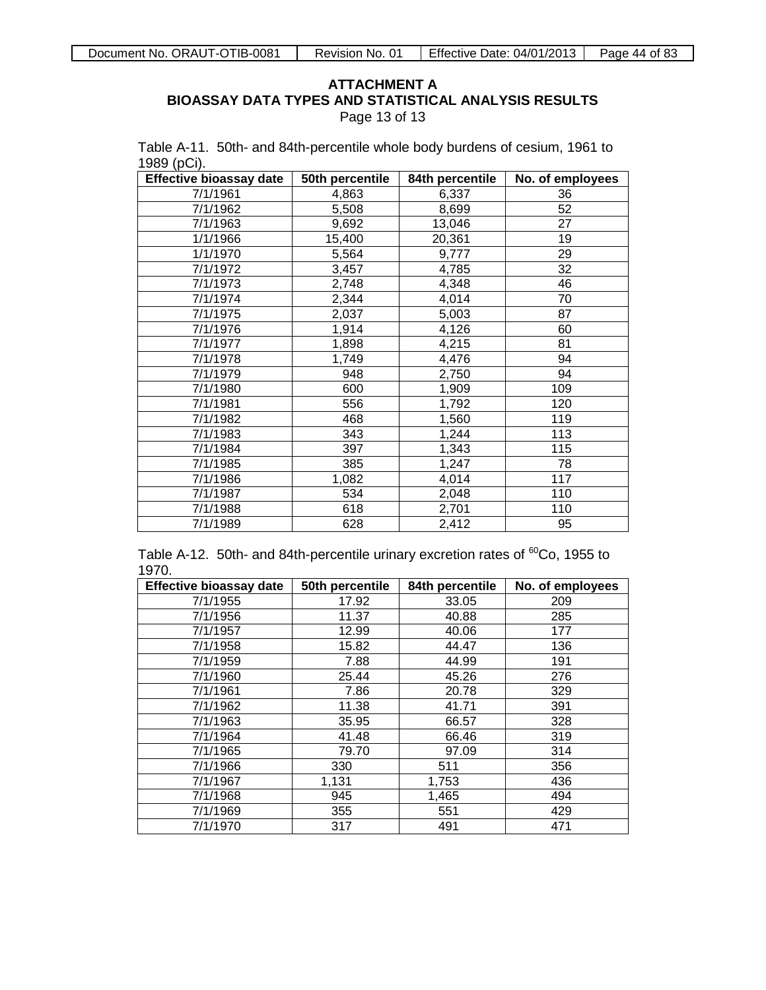Page 13 of 13

|             | Table A-11. 50th- and 84th-percentile whole body burdens of cesium, 1961 to |  |
|-------------|-----------------------------------------------------------------------------|--|
| 1989 (pCi). |                                                                             |  |

| <b>Effective bioassay date</b> | 50th percentile | 84th percentile | No. of employees |
|--------------------------------|-----------------|-----------------|------------------|
| 7/1/1961                       | 4,863           | 6,337           | 36               |
| 7/1/1962                       | 5,508           | 8,699           | 52               |
| 7/1/1963                       | 9,692           | 13,046          | 27               |
| 1/1/1966                       | 15,400          | 20,361          | 19               |
| 1/1/1970                       | 5,564           | 9,777           | 29               |
| 7/1/1972                       | 3,457           | 4,785           | 32               |
| 7/1/1973                       | 2,748           | 4,348           | 46               |
| 7/1/1974                       | 2,344           | 4,014           | 70               |
| 7/1/1975                       | 2,037           | 5,003           | 87               |
| 7/1/1976                       | 1,914           | 4,126           | 60               |
| 7/1/1977                       | 1,898           | 4,215           | 81               |
| 7/1/1978                       | 1,749           | 4,476           | 94               |
| 7/1/1979                       | 948             | 2,750           | 94               |
| 7/1/1980                       | 600             | 1,909           | 109              |
| 7/1/1981                       | 556             | 1,792           | 120              |
| 7/1/1982                       | 468             | 1,560           | 119              |
| 7/1/1983                       | 343             | 1,244           | 113              |
| 7/1/1984                       | 397             | 1,343           | 115              |
| 7/1/1985                       | 385             | 1,247           | 78               |
| 7/1/1986                       | 1,082           | 4,014           | 117              |
| 7/1/1987                       | 534             | 2,048           | 110              |
| 7/1/1988                       | 618             | 2,701           | 110              |
| 7/1/1989                       | 628             | 2,412           | 95               |

Table A-12. 50th- and 84th-percentile urinary excretion rates of <sup>60</sup>Co, 1955 to 1970.

| <b>Effective bioassay date</b> | 50th percentile | 84th percentile | No. of employees |
|--------------------------------|-----------------|-----------------|------------------|
| 7/1/1955                       | 17.92           | 33.05           | 209              |
| 7/1/1956                       | 11.37           | 40.88           | 285              |
| 7/1/1957                       | 12.99           | 40.06           | 177              |
| 7/1/1958                       | 15.82           | 44.47           | 136              |
| 7/1/1959                       | 7.88            | 44.99           | 191              |
| 7/1/1960                       | 25.44           | 45.26           | 276              |
| 7/1/1961                       | 7.86            | 20.78           | 329              |
| 7/1/1962                       | 11.38           | 41.71           | 391              |
| 7/1/1963                       | 35.95           | 66.57           | 328              |
| 7/1/1964                       | 41.48           | 66.46           | 319              |
| 7/1/1965                       | 79.70           | 97.09           | 314              |
| 7/1/1966                       | 330             | 511             | 356              |
| 7/1/1967                       | 1,131           | 1,753           | 436              |
| 7/1/1968                       | 945             | 1,465           | 494              |
| 7/1/1969                       | 355             | 551             | 429              |
| 7/1/1970                       | 317             | 491             | 471              |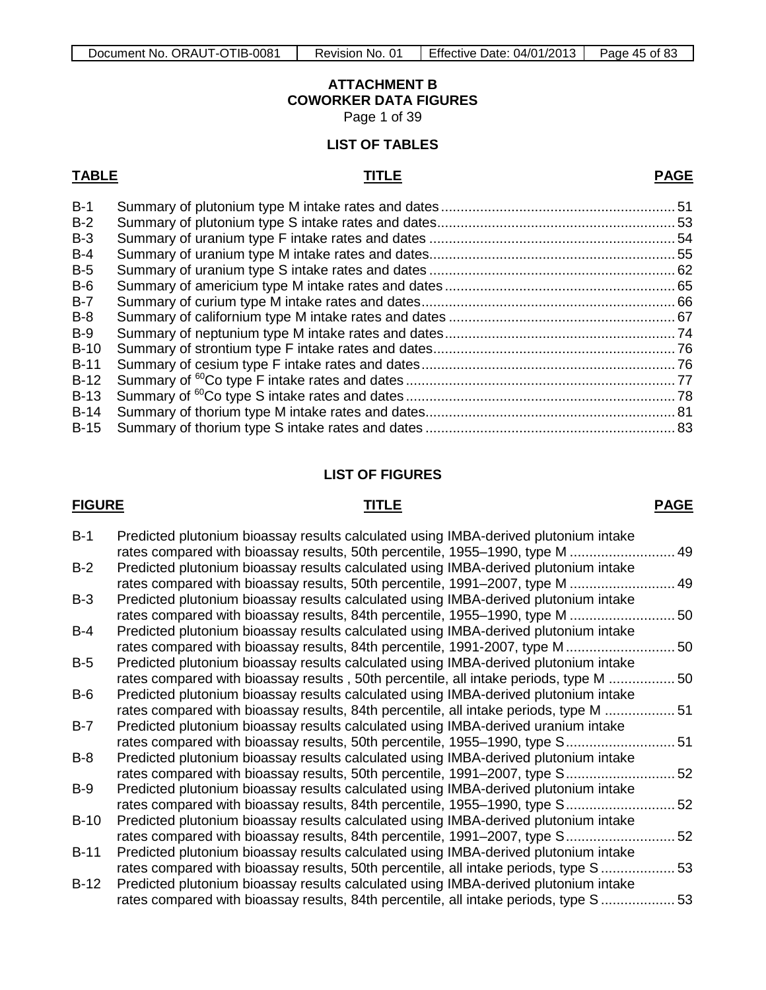## **ATTACHMENT B COWORKER DATA FIGURES**

Page 1 of 39

## **LIST OF TABLES**

### **TABLE TITLE PAGE**

| $B-1$  |  |
|--------|--|
| $B-2$  |  |
| $B-3$  |  |
| $B-4$  |  |
| $B-5$  |  |
| $B-6$  |  |
| $B-7$  |  |
| $B-8$  |  |
| $B-9$  |  |
| $B-10$ |  |
| $B-11$ |  |
| $B-12$ |  |
| $B-13$ |  |
| $B-14$ |  |
|        |  |
|        |  |

## **LIST OF FIGURES**

### **FIGURE TITLE PAGE**

| $B-1$  | Predicted plutonium bioassay results calculated using IMBA-derived plutonium intake |    |
|--------|-------------------------------------------------------------------------------------|----|
|        | rates compared with bioassay results, 50th percentile, 1955-1990, type M  49        |    |
| $B-2$  | Predicted plutonium bioassay results calculated using IMBA-derived plutonium intake |    |
|        | rates compared with bioassay results, 50th percentile, 1991–2007, type M            | 49 |
| $B-3$  | Predicted plutonium bioassay results calculated using IMBA-derived plutonium intake |    |
|        | rates compared with bioassay results, 84th percentile, 1955–1990, type M            | 50 |
| $B-4$  | Predicted plutonium bioassay results calculated using IMBA-derived plutonium intake |    |
|        | rates compared with bioassay results, 84th percentile, 1991-2007, type M            | 50 |
| $B-5$  | Predicted plutonium bioassay results calculated using IMBA-derived plutonium intake |    |
|        | rates compared with bioassay results, 50th percentile, all intake periods, type M   | 50 |
| $B-6$  | Predicted plutonium bioassay results calculated using IMBA-derived plutonium intake |    |
|        | rates compared with bioassay results, 84th percentile, all intake periods, type M   | 51 |
| $B-7$  | Predicted plutonium bioassay results calculated using IMBA-derived uranium intake   |    |
|        | rates compared with bioassay results, 50th percentile, 1955–1990, type S            | 51 |
| $B-8$  | Predicted plutonium bioassay results calculated using IMBA-derived plutonium intake |    |
|        | rates compared with bioassay results, 50th percentile, 1991–2007, type S            | 52 |
| $B-9$  | Predicted plutonium bioassay results calculated using IMBA-derived plutonium intake |    |
|        | rates compared with bioassay results, 84th percentile, 1955–1990, type S            | 52 |
| $B-10$ | Predicted plutonium bioassay results calculated using IMBA-derived plutonium intake |    |
|        | rates compared with bioassay results, 84th percentile, 1991–2007, type S            | 52 |
| $B-11$ | Predicted plutonium bioassay results calculated using IMBA-derived plutonium intake |    |
|        | rates compared with bioassay results, 50th percentile, all intake periods, type S   | 53 |
| $B-12$ | Predicted plutonium bioassay results calculated using IMBA-derived plutonium intake |    |
|        | rates compared with bioassay results, 84th percentile, all intake periods, type S   | 53 |
|        |                                                                                     |    |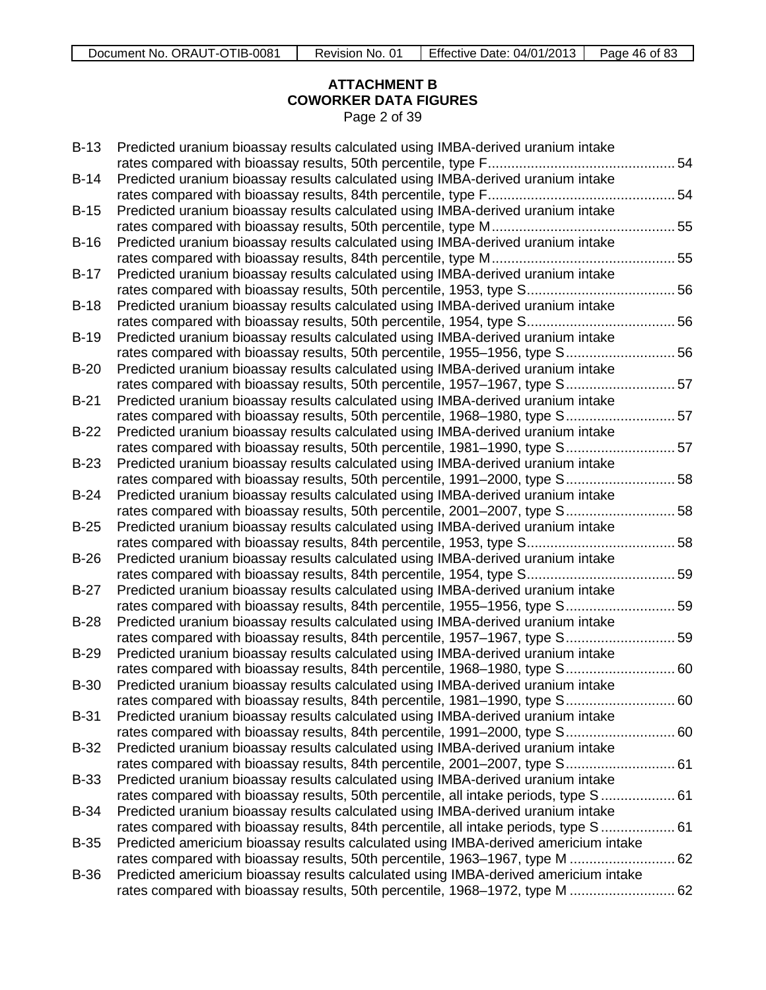## **ATTACHMENT B COWORKER DATA FIGURES** Page 2 of 39

| $B-13$      | Predicted uranium bioassay results calculated using IMBA-derived uranium intake       |  |
|-------------|---------------------------------------------------------------------------------------|--|
|             |                                                                                       |  |
| $B-14$      | Predicted uranium bioassay results calculated using IMBA-derived uranium intake       |  |
|             |                                                                                       |  |
| $B-15$      | Predicted uranium bioassay results calculated using IMBA-derived uranium intake       |  |
| $B-16$      | Predicted uranium bioassay results calculated using IMBA-derived uranium intake       |  |
|             |                                                                                       |  |
| $B-17$      | Predicted uranium bioassay results calculated using IMBA-derived uranium intake       |  |
|             |                                                                                       |  |
| $B-18$      | Predicted uranium bioassay results calculated using IMBA-derived uranium intake       |  |
|             |                                                                                       |  |
| $B-19$      | Predicted uranium bioassay results calculated using IMBA-derived uranium intake       |  |
|             | rates compared with bioassay results, 50th percentile, 1955-1956, type S 56           |  |
| $B-20$      | Predicted uranium bioassay results calculated using IMBA-derived uranium intake       |  |
|             | rates compared with bioassay results, 50th percentile, 1957-1967, type S 57           |  |
| $B-21$      | Predicted uranium bioassay results calculated using IMBA-derived uranium intake       |  |
|             | rates compared with bioassay results, 50th percentile, 1968-1980, type S 57           |  |
| $B-22$      | Predicted uranium bioassay results calculated using IMBA-derived uranium intake       |  |
|             | rates compared with bioassay results, 50th percentile, 1981-1990, type S 57           |  |
| $B-23$      | Predicted uranium bioassay results calculated using IMBA-derived uranium intake       |  |
|             | rates compared with bioassay results, 50th percentile, 1991-2000, type S 58           |  |
| $B-24$      | Predicted uranium bioassay results calculated using IMBA-derived uranium intake       |  |
|             | rates compared with bioassay results, 50th percentile, 2001-2007, type S 58           |  |
| $B-25$      | Predicted uranium bioassay results calculated using IMBA-derived uranium intake       |  |
|             |                                                                                       |  |
| $B-26$      | Predicted uranium bioassay results calculated using IMBA-derived uranium intake       |  |
|             |                                                                                       |  |
| $B-27$      | Predicted uranium bioassay results calculated using IMBA-derived uranium intake       |  |
|             | rates compared with bioassay results, 84th percentile, 1955-1956, type S 59           |  |
| $B-28$      | Predicted uranium bioassay results calculated using IMBA-derived uranium intake       |  |
|             | rates compared with bioassay results, 84th percentile, 1957-1967, type S 59           |  |
| $B-29$      | Predicted uranium bioassay results calculated using IMBA-derived uranium intake       |  |
|             | rates compared with bioassay results, 84th percentile, 1968–1980, type S 60           |  |
| $B-30$      | Predicted uranium bioassay results calculated using IMBA-derived uranium intake       |  |
|             |                                                                                       |  |
| $B-31$      | Predicted uranium bioassay results calculated using IMBA-derived uranium intake       |  |
|             |                                                                                       |  |
| <b>B-32</b> | Predicted uranium bioassay results calculated using IMBA-derived uranium intake       |  |
|             | rates compared with bioassay results, 84th percentile, 2001–2007, type S 61           |  |
| <b>B-33</b> | Predicted uranium bioassay results calculated using IMBA-derived uranium intake       |  |
|             | rates compared with bioassay results, 50th percentile, all intake periods, type S 61  |  |
| <b>B-34</b> | Predicted uranium bioassay results calculated using IMBA-derived uranium intake       |  |
|             | rates compared with bioassay results, 84th percentile, all intake periods, type S  61 |  |
| <b>B-35</b> | Predicted americium bioassay results calculated using IMBA-derived americium intake   |  |
|             | rates compared with bioassay results, 50th percentile, 1963–1967, type M  62          |  |
| <b>B-36</b> | Predicted americium bioassay results calculated using IMBA-derived americium intake   |  |
|             | rates compared with bioassay results, 50th percentile, 1968–1972, type M  62          |  |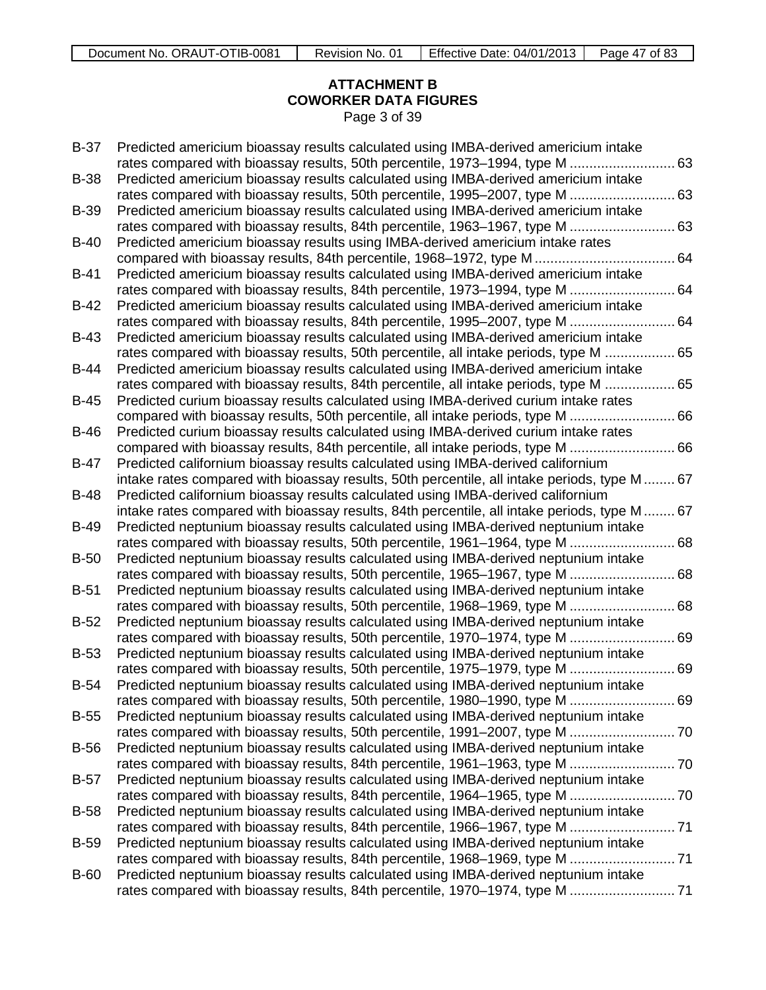## **ATTACHMENT B COWORKER DATA FIGURES** Page 3 of 39

| $B-37$      | Predicted americium bioassay results calculated using IMBA-derived americium intake          |    |
|-------------|----------------------------------------------------------------------------------------------|----|
|             | rates compared with bioassay results, 50th percentile, 1973-1994, type M  63                 |    |
| <b>B-38</b> | Predicted americium bioassay results calculated using IMBA-derived americium intake          |    |
|             | rates compared with bioassay results, 50th percentile, 1995-2007, type M  63                 |    |
| <b>B-39</b> | Predicted americium bioassay results calculated using IMBA-derived americium intake          |    |
|             | rates compared with bioassay results, 84th percentile, 1963-1967, type M  63                 |    |
| $B-40$      | Predicted americium bioassay results using IMBA-derived americium intake rates               |    |
|             |                                                                                              |    |
| <b>B-41</b> | Predicted americium bioassay results calculated using IMBA-derived americium intake          |    |
|             | rates compared with bioassay results, 84th percentile, 1973-1994, type M                     | 64 |
| $B-42$      | Predicted americium bioassay results calculated using IMBA-derived americium intake          |    |
|             | rates compared with bioassay results, 84th percentile, 1995–2007, type M<br>64               |    |
| $B-43$      | Predicted americium bioassay results calculated using IMBA-derived americium intake          |    |
|             | rates compared with bioassay results, 50th percentile, all intake periods, type M  65        |    |
| <b>B-44</b> | Predicted americium bioassay results calculated using IMBA-derived americium intake          |    |
|             | rates compared with bioassay results, 84th percentile, all intake periods, type M  65        |    |
| $B-45$      | Predicted curium bioassay results calculated using IMBA-derived curium intake rates          |    |
|             | compared with bioassay results, 50th percentile, all intake periods, type M  66              |    |
| $B-46$      | Predicted curium bioassay results calculated using IMBA-derived curium intake rates          |    |
|             | compared with bioassay results, 84th percentile, all intake periods, type M  66              |    |
| B-47        | Predicted californium bioassay results calculated using IMBA-derived californium             |    |
|             | intake rates compared with bioassay results, 50th percentile, all intake periods, type M  67 |    |
| $B-48$      | Predicted californium bioassay results calculated using IMBA-derived californium             |    |
|             | intake rates compared with bioassay results, 84th percentile, all intake periods, type M  67 |    |
| <b>B-49</b> | Predicted neptunium bioassay results calculated using IMBA-derived neptunium intake          |    |
|             | rates compared with bioassay results, 50th percentile, 1961-1964, type M  68                 |    |
| $B-50$      | Predicted neptunium bioassay results calculated using IMBA-derived neptunium intake          |    |
|             | rates compared with bioassay results, 50th percentile, 1965-1967, type M  68                 |    |
| $B-51$      | Predicted neptunium bioassay results calculated using IMBA-derived neptunium intake          |    |
|             | rates compared with bioassay results, 50th percentile, 1968–1969, type M                     | 68 |
| $B-52$      | Predicted neptunium bioassay results calculated using IMBA-derived neptunium intake          |    |
|             | rates compared with bioassay results, 50th percentile, 1970-1974, type M  69                 |    |
| $B-53$      | Predicted neptunium bioassay results calculated using IMBA-derived neptunium intake          |    |
|             | rates compared with bioassay results, 50th percentile, 1975-1979, type M  69                 |    |
| $B-54$      | Predicted neptunium bioassay results calculated using IMBA-derived neptunium intake          |    |
|             | rates compared with bioassay results, 50th percentile, 1980–1990, type M  69                 |    |
| <b>B-55</b> | Predicted neptunium bioassay results calculated using IMBA-derived neptunium intake          |    |
|             |                                                                                              |    |
| <b>B-56</b> | Predicted neptunium bioassay results calculated using IMBA-derived neptunium intake          |    |
|             |                                                                                              |    |
| $B-57$      | Predicted neptunium bioassay results calculated using IMBA-derived neptunium intake          |    |
|             |                                                                                              |    |
| $B-58$      | Predicted neptunium bioassay results calculated using IMBA-derived neptunium intake          |    |
|             |                                                                                              |    |
| <b>B-59</b> | Predicted neptunium bioassay results calculated using IMBA-derived neptunium intake          |    |
|             |                                                                                              |    |
| <b>B-60</b> | Predicted neptunium bioassay results calculated using IMBA-derived neptunium intake          |    |
|             | rates compared with bioassay results, 84th percentile, 1970-1974, type M  71                 |    |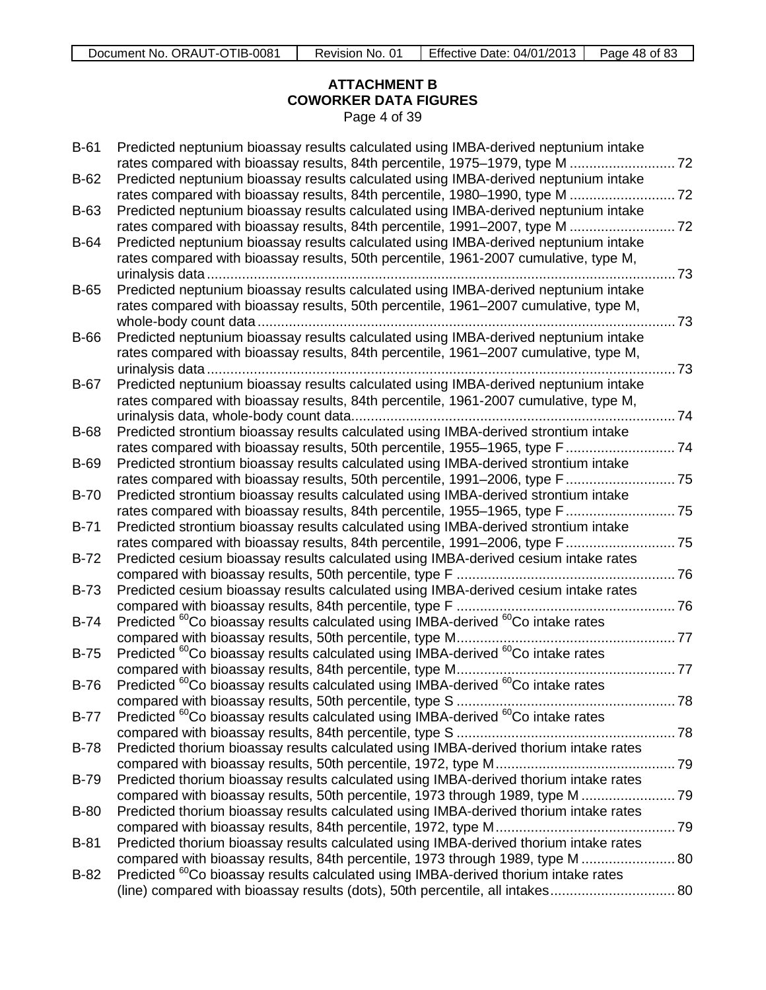## **ATTACHMENT B COWORKER DATA FIGURES** Page 4 of 39

| $B-61$      | Predicted neptunium bioassay results calculated using IMBA-derived neptunium intake<br>rates compared with bioassay results, 84th percentile, 1975-1979, type M  72             |     |
|-------------|---------------------------------------------------------------------------------------------------------------------------------------------------------------------------------|-----|
| $B-62$      | Predicted neptunium bioassay results calculated using IMBA-derived neptunium intake                                                                                             |     |
| <b>B-63</b> | Predicted neptunium bioassay results calculated using IMBA-derived neptunium intake                                                                                             |     |
|             | rates compared with bioassay results, 84th percentile, 1991-2007, type M  72                                                                                                    |     |
| <b>B-64</b> | Predicted neptunium bioassay results calculated using IMBA-derived neptunium intake                                                                                             |     |
|             | rates compared with bioassay results, 50th percentile, 1961-2007 cumulative, type M,                                                                                            | .73 |
| $B-65$      | Predicted neptunium bioassay results calculated using IMBA-derived neptunium intake                                                                                             |     |
|             | rates compared with bioassay results, 50th percentile, 1961–2007 cumulative, type M,                                                                                            |     |
|             | Predicted neptunium bioassay results calculated using IMBA-derived neptunium intake                                                                                             | 73  |
| <b>B-66</b> | rates compared with bioassay results, 84th percentile, 1961-2007 cumulative, type M,                                                                                            |     |
|             |                                                                                                                                                                                 | .73 |
| <b>B-67</b> | Predicted neptunium bioassay results calculated using IMBA-derived neptunium intake                                                                                             |     |
|             | rates compared with bioassay results, 84th percentile, 1961-2007 cumulative, type M,                                                                                            |     |
| <b>B-68</b> | Predicted strontium bioassay results calculated using IMBA-derived strontium intake                                                                                             |     |
|             | rates compared with bioassay results, 50th percentile, 1955-1965, type F 74                                                                                                     |     |
| <b>B-69</b> | Predicted strontium bioassay results calculated using IMBA-derived strontium intake<br>rates compared with bioassay results, 50th percentile, 1991-2006, type F 75              |     |
| $B-70$      | Predicted strontium bioassay results calculated using IMBA-derived strontium intake                                                                                             |     |
|             | rates compared with bioassay results, 84th percentile, 1955-1965, type F 75                                                                                                     |     |
| $B-71$      | Predicted strontium bioassay results calculated using IMBA-derived strontium intake<br>rates compared with bioassay results, 84th percentile, 1991-2006, type F 75              |     |
| $B-72$      | Predicted cesium bioassay results calculated using IMBA-derived cesium intake rates                                                                                             |     |
|             |                                                                                                                                                                                 |     |
| <b>B-73</b> | Predicted cesium bioassay results calculated using IMBA-derived cesium intake rates                                                                                             |     |
| $B-74$      | compared with bioassay results, 84th percentile, type F<br>76<br>Predicted <sup>60</sup> Co bioassay results calculated using IMBA-derived <sup>60</sup> Co intake rates        |     |
|             |                                                                                                                                                                                 |     |
| $B-75$      | Predicted <sup>60</sup> Co bioassay results calculated using IMBA-derived <sup>60</sup> Co intake rates                                                                         |     |
| $B-76$      | Predicted <sup>60</sup> Co bioassay results calculated using IMBA-derived <sup>60</sup> Co intake rates                                                                         |     |
|             |                                                                                                                                                                                 |     |
| <b>B-77</b> | Predicted <sup>60</sup> Co bioassay results calculated using IMBA-derived <sup>60</sup> Co intake rates                                                                         |     |
| <b>B-78</b> | Predicted thorium bioassay results calculated using IMBA-derived thorium intake rates                                                                                           |     |
|             |                                                                                                                                                                                 |     |
| <b>B-79</b> | Predicted thorium bioassay results calculated using IMBA-derived thorium intake rates                                                                                           |     |
|             |                                                                                                                                                                                 |     |
| <b>B-80</b> | Predicted thorium bioassay results calculated using IMBA-derived thorium intake rates                                                                                           |     |
| $B-81$      | Predicted thorium bioassay results calculated using IMBA-derived thorium intake rates                                                                                           |     |
|             | compared with bioassay results, 84th percentile, 1973 through 1989, type M  80                                                                                                  |     |
| $B-82$      | Predicted <sup>60</sup> Co bioassay results calculated using IMBA-derived thorium intake rates<br>(line) compared with bioassay results (dots), 50th percentile, all intakes 80 |     |
|             |                                                                                                                                                                                 |     |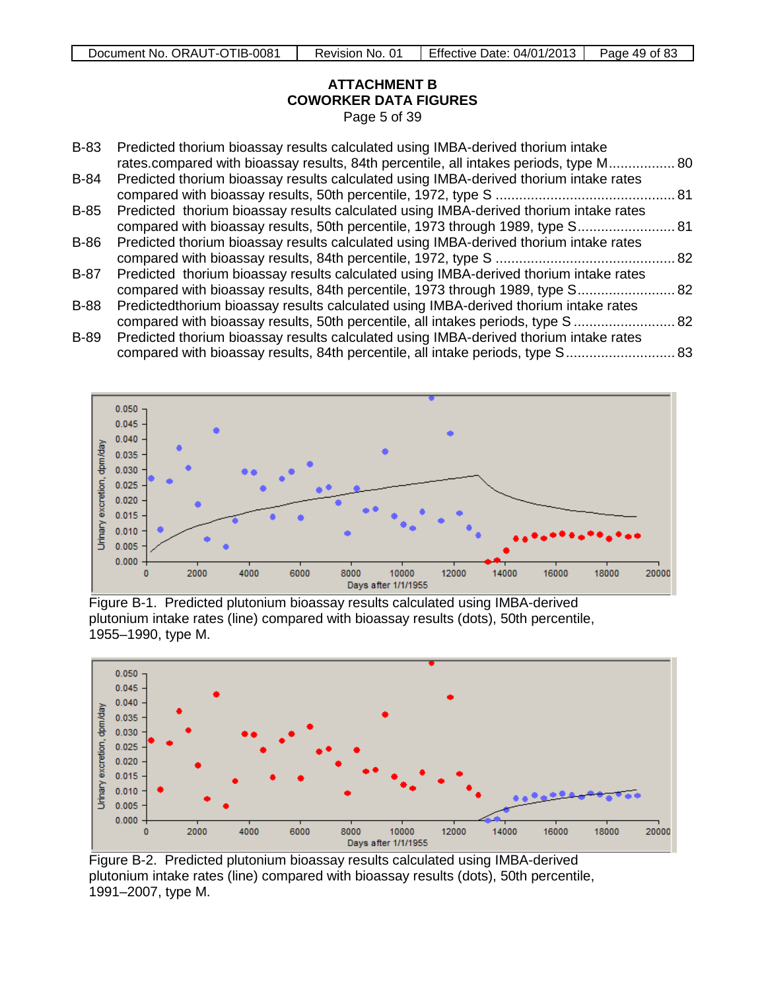## **ATTACHMENT B COWORKER DATA FIGURES** Page 5 of 39

| B-83 | Predicted thorium bioassay results calculated using IMBA-derived thorium intake<br>rates.compared with bioassay results, 84th percentile, all intakes periods, type M 80 |  |
|------|--------------------------------------------------------------------------------------------------------------------------------------------------------------------------|--|
| B-84 | Predicted thorium bioassay results calculated using IMBA-derived thorium intake rates                                                                                    |  |
|      |                                                                                                                                                                          |  |
| B-85 | Predicted thorium bioassay results calculated using IMBA-derived thorium intake rates                                                                                    |  |
|      | compared with bioassay results, 50th percentile, 1973 through 1989, type S 81                                                                                            |  |
| B-86 | Predicted thorium bioassay results calculated using IMBA-derived thorium intake rates                                                                                    |  |
|      |                                                                                                                                                                          |  |
| B-87 | Predicted thorium bioassay results calculated using IMBA-derived thorium intake rates                                                                                    |  |
|      | compared with bioassay results, 84th percentile, 1973 through 1989, type S 82                                                                                            |  |
| B-88 | Predictedthorium bioassay results calculated using IMBA-derived thorium intake rates                                                                                     |  |
|      | compared with bioassay results, 50th percentile, all intakes periods, type S  82                                                                                         |  |
| B-89 | Predicted thorium bioassay results calculated using IMBA-derived thorium intake rates                                                                                    |  |
|      | compared with bioassay results, 84th percentile, all intake periods, type S 83                                                                                           |  |



Figure B-1. Predicted plutonium bioassay results calculated using IMBA-derived plutonium intake rates (line) compared with bioassay results (dots), 50th percentile, 1955–1990, type M.



Figure B-2. Predicted plutonium bioassay results calculated using IMBA-derived plutonium intake rates (line) compared with bioassay results (dots), 50th percentile, 1991–2007, type M.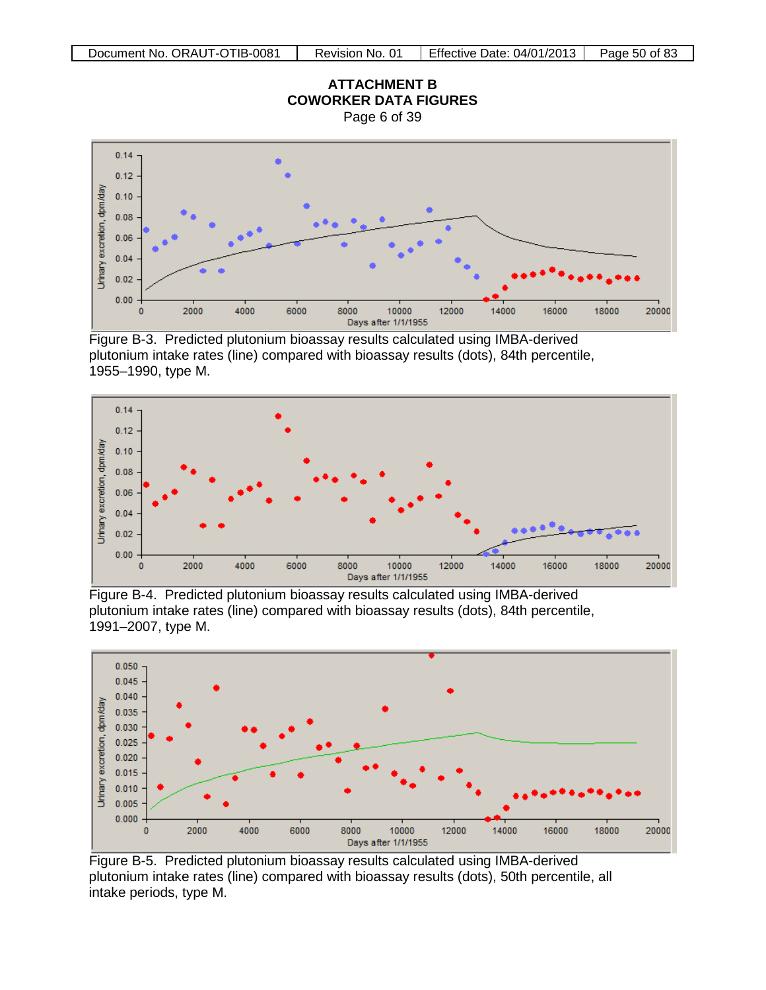

Figure B-3. Predicted plutonium bioassay results calculated using IMBA-derived plutonium intake rates (line) compared with bioassay results (dots), 84th percentile, 1955–1990, type M.



Figure B-4. Predicted plutonium bioassay results calculated using IMBA-derived plutonium intake rates (line) compared with bioassay results (dots), 84th percentile, 1991–2007, type M.



Figure B-5. Predicted plutonium bioassay results calculated using IMBA-derived plutonium intake rates (line) compared with bioassay results (dots), 50th percentile, all intake periods, type M.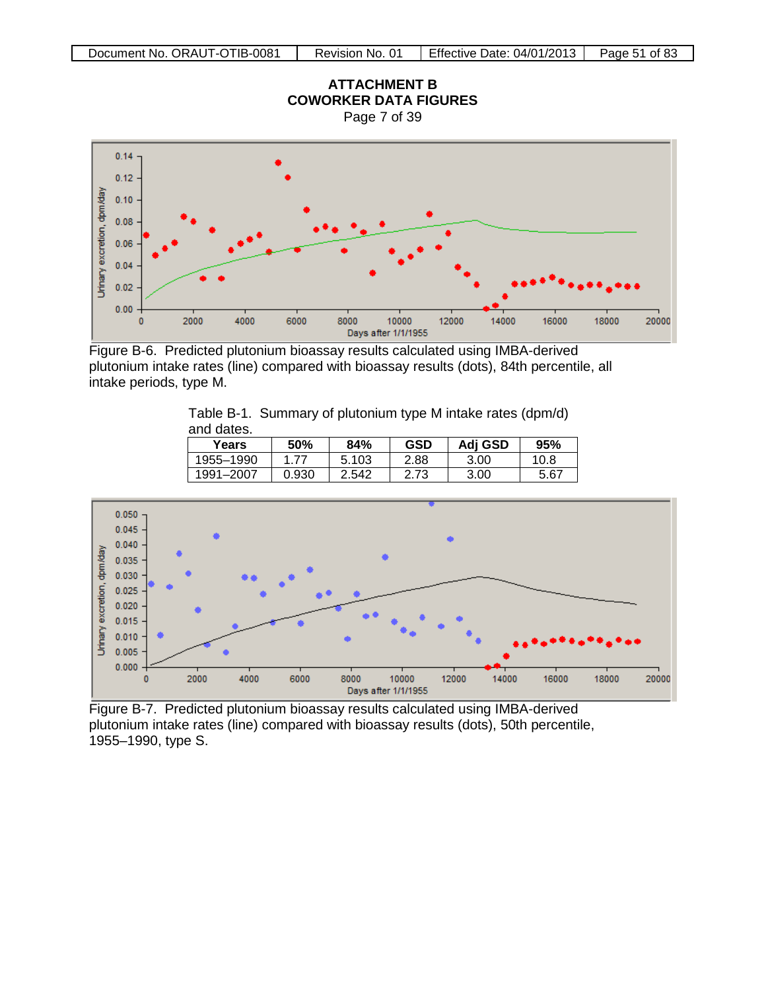

Figure B-6. Predicted plutonium bioassay results calculated using IMBA-derived plutonium intake rates (line) compared with bioassay results (dots), 84th percentile, all intake periods, type M.

|            |                                                             | $- - -$ | $\sim$ $\sim$ $\sim$ $\sim$ |  |
|------------|-------------------------------------------------------------|---------|-----------------------------|--|
| and dates. |                                                             |         |                             |  |
|            | Table B-1. Summary of plutonium type M intake rates (dpm/d) |         |                             |  |

| Years     | 50%   | 84%   | <b>GSD</b> | Adj GSD | 95%  |
|-----------|-------|-------|------------|---------|------|
| 1955-1990 |       | 5.103 | 2.88       | 3.00    | 10.8 |
| 1991-2007 | 0.930 | 2.542 | 2.73       | 3.00    | 5.67 |



Figure B-7. Predicted plutonium bioassay results calculated using IMBA-derived plutonium intake rates (line) compared with bioassay results (dots), 50th percentile, 1955–1990, type S.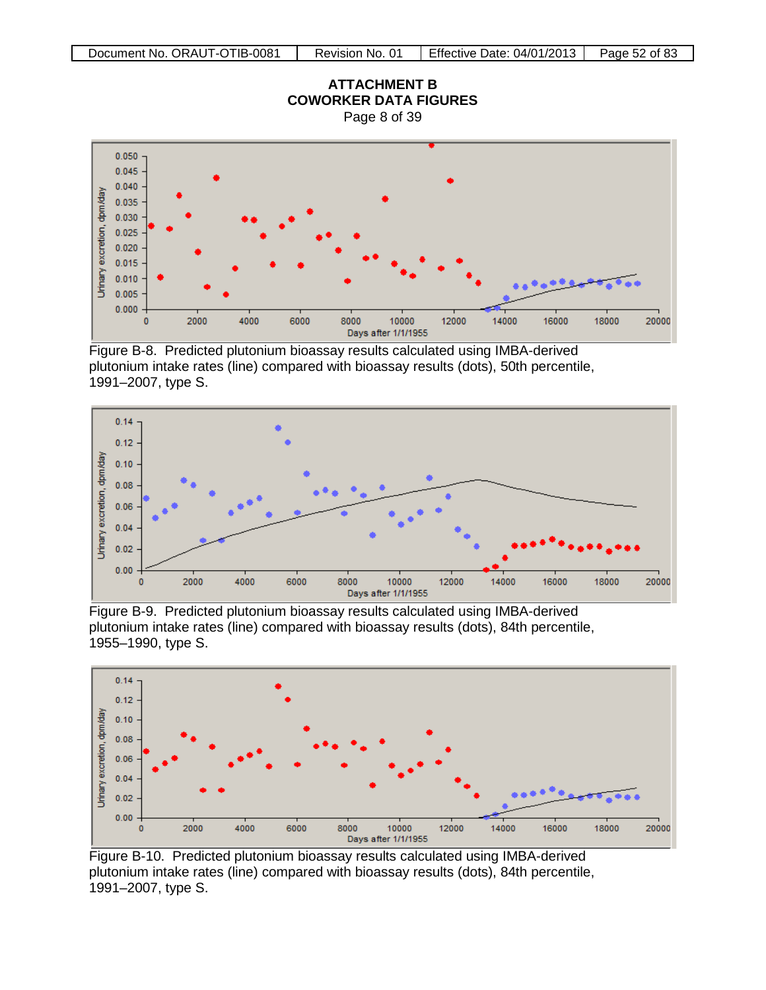

Figure B-8. Predicted plutonium bioassay results calculated using IMBA-derived plutonium intake rates (line) compared with bioassay results (dots), 50th percentile, 1991–2007, type S.



Figure B-9. Predicted plutonium bioassay results calculated using IMBA-derived plutonium intake rates (line) compared with bioassay results (dots), 84th percentile, 1955–1990, type S.



Figure B-10. Predicted plutonium bioassay results calculated using IMBA-derived plutonium intake rates (line) compared with bioassay results (dots), 84th percentile, 1991–2007, type S.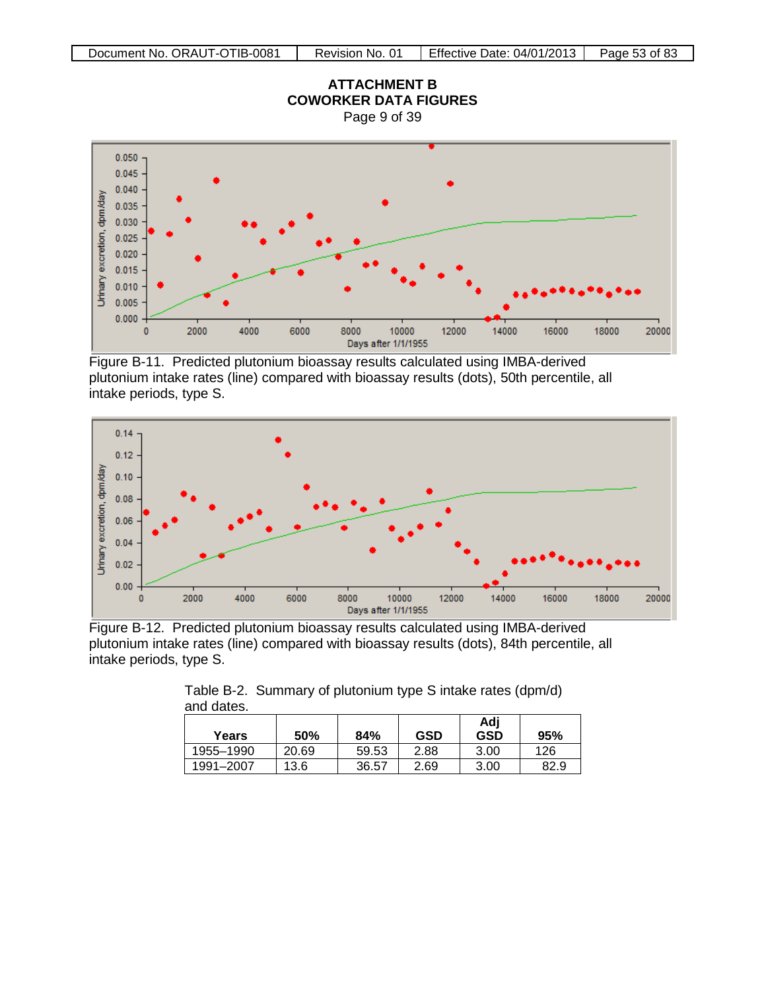

Figure B-11. Predicted plutonium bioassay results calculated using IMBA-derived plutonium intake rates (line) compared with bioassay results (dots), 50th percentile, all intake periods, type S.



Figure B-12. Predicted plutonium bioassay results calculated using IMBA-derived plutonium intake rates (line) compared with bioassay results (dots), 84th percentile, all intake periods, type S.

| ana aatoo. |       |       |            |                   |      |  |
|------------|-------|-------|------------|-------------------|------|--|
| Years      | 50%   | 84%   | <b>GSD</b> | Adj<br><b>GSD</b> | 95%  |  |
| 1955-1990  | 20.69 | 59.53 | 2.88       | 3.00              | 126  |  |
| 1991-2007  | 13.6  | 36.57 | 2.69       | 3.00              | 82.9 |  |

Table B-2. Summary of plutonium type S intake rates (dpm/d) and dates.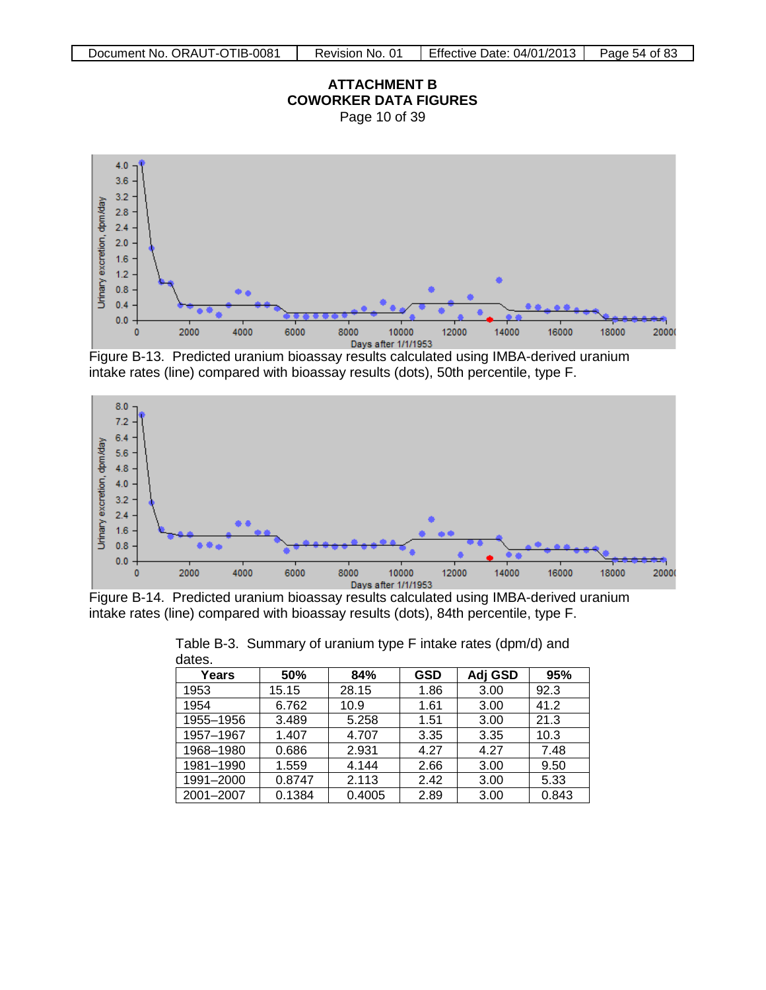

Page 10 of 39



Figure B-13. Predicted uranium bioassay results calculated using IMBA-derived uranium intake rates (line) compared with bioassay results (dots), 50th percentile, type F.



Figure B-14. Predicted uranium bioassay results calculated using IMBA-derived uranium intake rates (line) compared with bioassay results (dots), 84th percentile, type F.

| ual <del>c</del> o. |        |        |            |         |       |
|---------------------|--------|--------|------------|---------|-------|
| Years               | 50%    | 84%    | <b>GSD</b> | Adj GSD | 95%   |
| 1953                | 15.15  | 28.15  | 1.86       | 3.00    | 92.3  |
| 1954                | 6.762  | 10.9   | 1.61       | 3.00    | 41.2  |
| 1955-1956           | 3.489  | 5.258  | 1.51       | 3.00    | 21.3  |
| 1957-1967           | 1.407  | 4.707  | 3.35       | 3.35    | 10.3  |
| 1968-1980           | 0.686  | 2.931  | 4.27       | 4.27    | 7.48  |
| 1981-1990           | 1.559  | 4.144  | 2.66       | 3.00    | 9.50  |
| 1991-2000           | 0.8747 | 2.113  | 2.42       | 3.00    | 5.33  |
| 2001-2007           | 0.1384 | 0.4005 | 2.89       | 3.00    | 0.843 |

|        | Table B-3. Summary of uranium type F intake rates (dpm/d) and |  |  |
|--------|---------------------------------------------------------------|--|--|
| dates. |                                                               |  |  |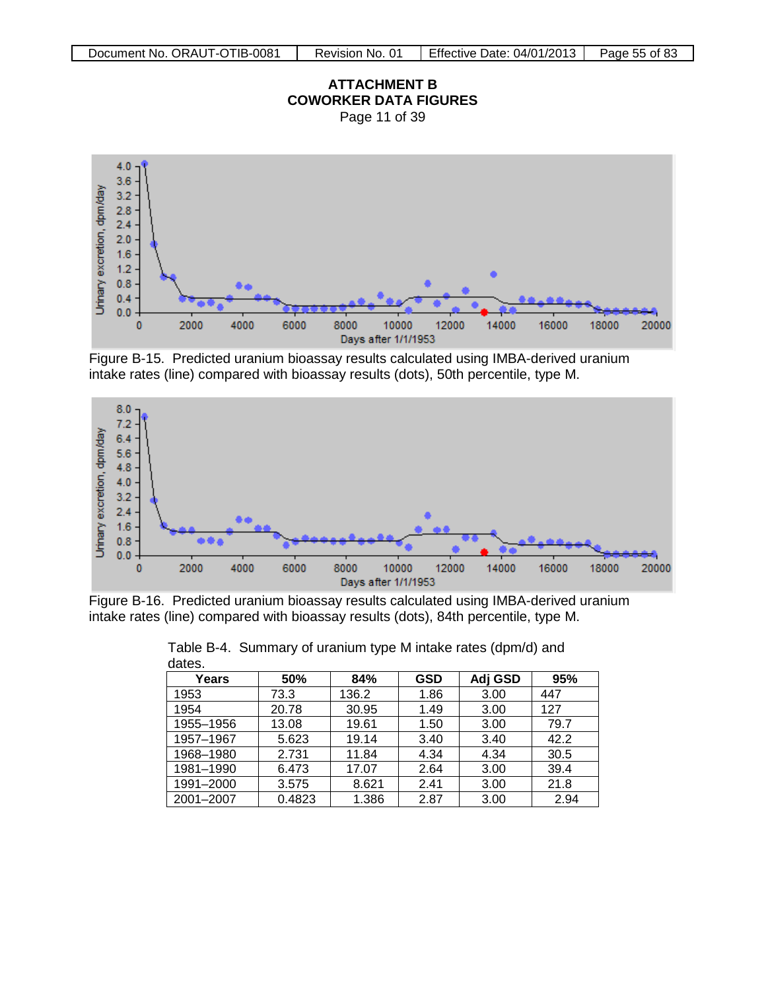

Page 11 of 39



Figure B-15. Predicted uranium bioassay results calculated using IMBA-derived uranium intake rates (line) compared with bioassay results (dots), 50th percentile, type M.



Figure B-16. Predicted uranium bioassay results calculated using IMBA-derived uranium intake rates (line) compared with bioassay results (dots), 84th percentile, type M.

| Years     | 50%    | 84%   | <b>GSD</b> | Adj GSD | 95%  |
|-----------|--------|-------|------------|---------|------|
| 1953      | 73.3   | 136.2 | 1.86       | 3.00    | 447  |
| 1954      | 20.78  | 30.95 | 1.49       | 3.00    | 127  |
| 1955-1956 | 13.08  | 19.61 | 1.50       | 3.00    | 79.7 |
| 1957-1967 | 5.623  | 19.14 | 3.40       | 3.40    | 42.2 |
| 1968-1980 | 2.731  | 11.84 | 4.34       | 4.34    | 30.5 |
| 1981-1990 | 6.473  | 17.07 | 2.64       | 3.00    | 39.4 |
| 1991-2000 | 3.575  | 8.621 | 2.41       | 3.00    | 21.8 |
| 2001-2007 | 0.4823 | 1.386 | 2.87       | 3.00    | 2.94 |

Table B-4. Summary of uranium type M intake rates (dpm/d) and dates.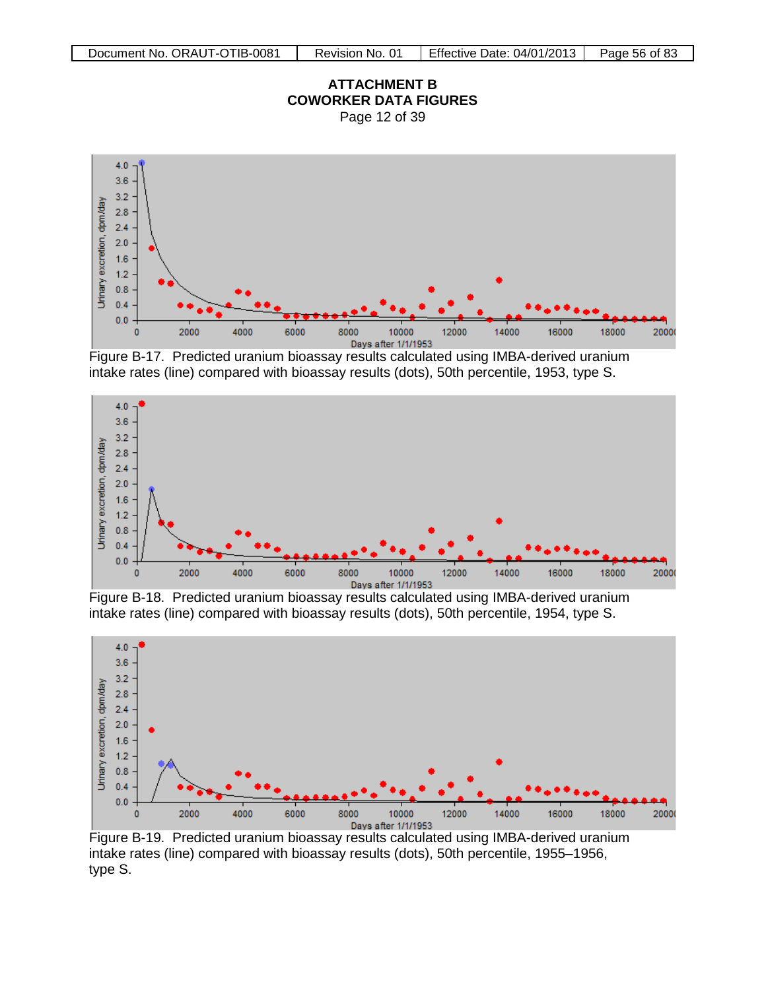





Figure B-17. Predicted uranium bioassay results calculated using IMBA-derived uranium intake rates (line) compared with bioassay results (dots), 50th percentile, 1953, type S.



Figure B-18. Predicted uranium bioassay results calculated using IMBA-derived uranium intake rates (line) compared with bioassay results (dots), 50th percentile, 1954, type S.



Figure B-19. Predicted uranium bioassay results calculated using IMBA-derived uranium intake rates (line) compared with bioassay results (dots), 50th percentile, 1955–1956, type S.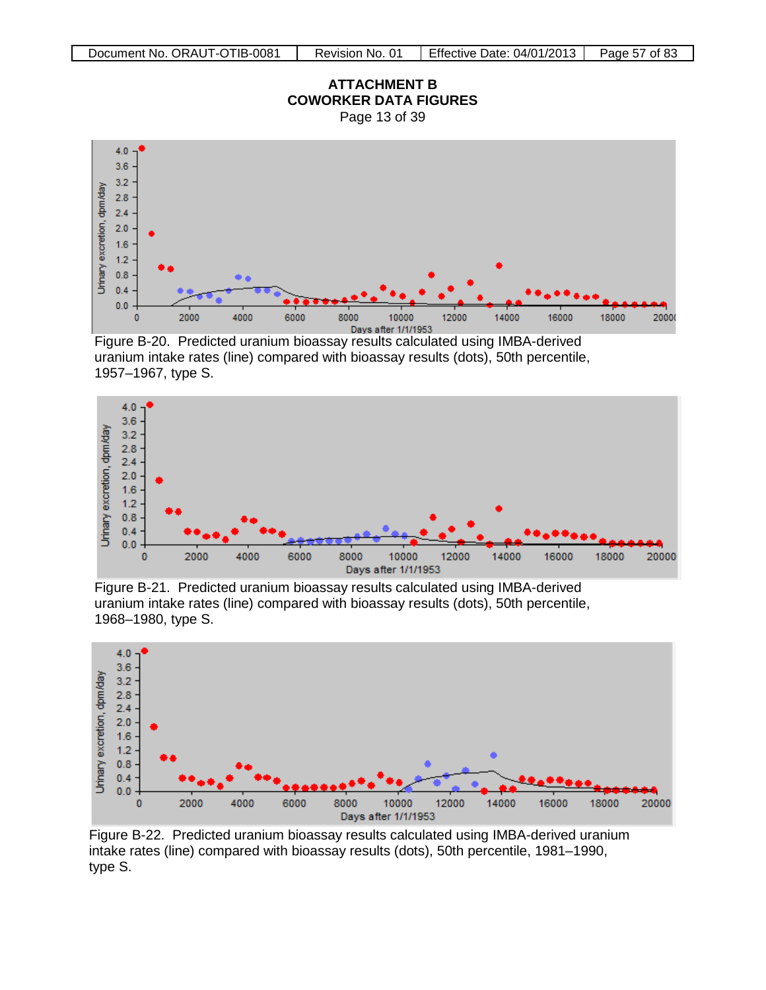

Figure B-20. Predicted uranium bioassay results calculated using IMBA-derived uranium intake rates (line) compared with bioassay results (dots), 50th percentile, 1957–1967, type S.



Figure B-21. Predicted uranium bioassay results calculated using IMBA-derived uranium intake rates (line) compared with bioassay results (dots), 50th percentile, 1968–1980, type S.



Figure B-22. Predicted uranium bioassay results calculated using IMBA-derived uranium intake rates (line) compared with bioassay results (dots), 50th percentile, 1981–1990, type S.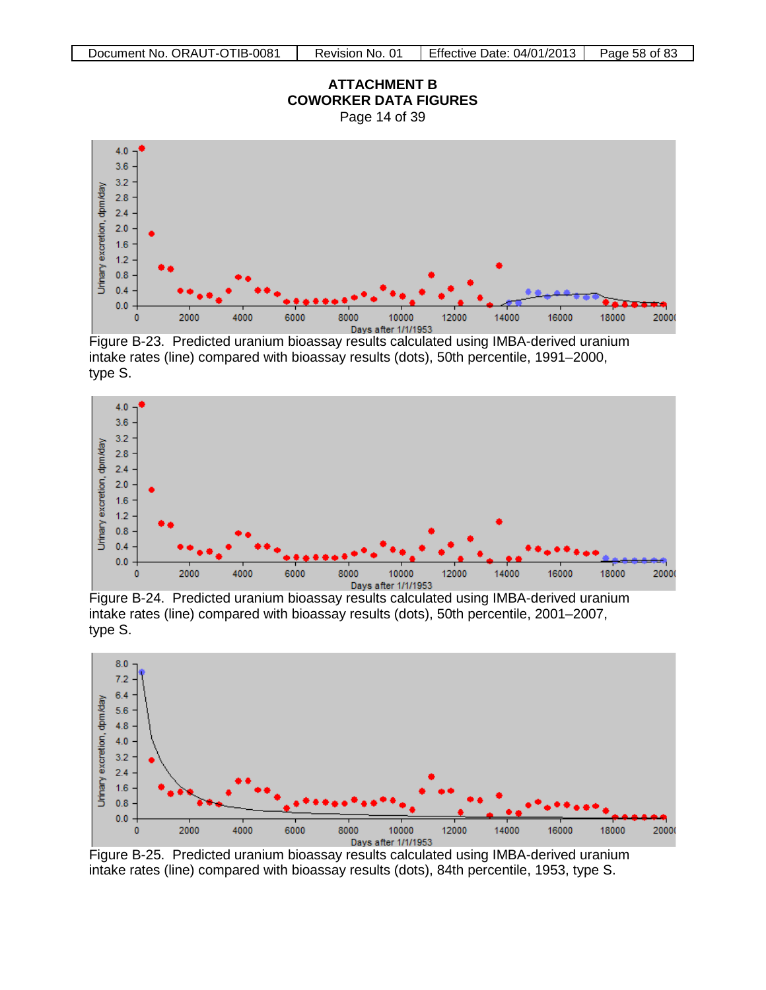

Figure B-23. Predicted uranium bioassay results calculated using IMBA-derived uranium intake rates (line) compared with bioassay results (dots), 50th percentile, 1991–2000, type S.



Figure B-24. Predicted uranium bioassay results calculated using IMBA-derived uranium intake rates (line) compared with bioassay results (dots), 50th percentile, 2001–2007, type S.



Figure B-25. Predicted uranium bioassay results calculated using IMBA-derived uranium intake rates (line) compared with bioassay results (dots), 84th percentile, 1953, type S.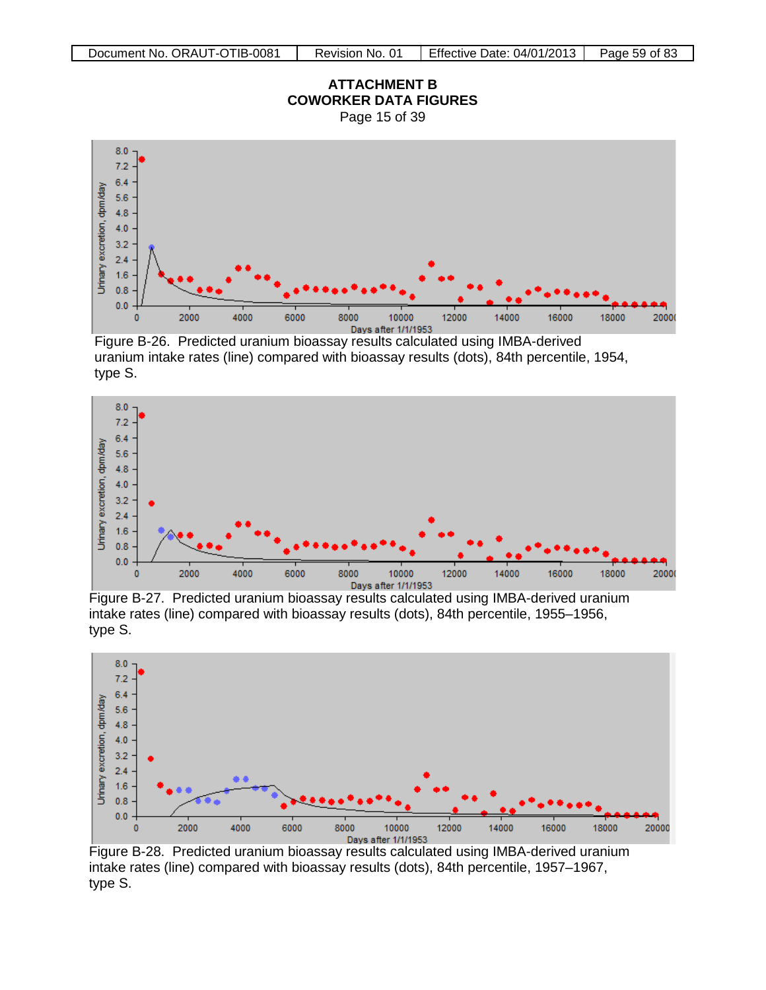

Figure B-26. Predicted uranium bioassay results calculated using IMBA-derived uranium intake rates (line) compared with bioassay results (dots), 84th percentile, 1954, type S.



Figure B-27. Predicted uranium bioassay results calculated using IMBA-derived uranium intake rates (line) compared with bioassay results (dots), 84th percentile, 1955–1956, type S.



Figure B-28. Predicted uranium bioassay results calculated using IMBA-derived uranium intake rates (line) compared with bioassay results (dots), 84th percentile, 1957–1967, type S.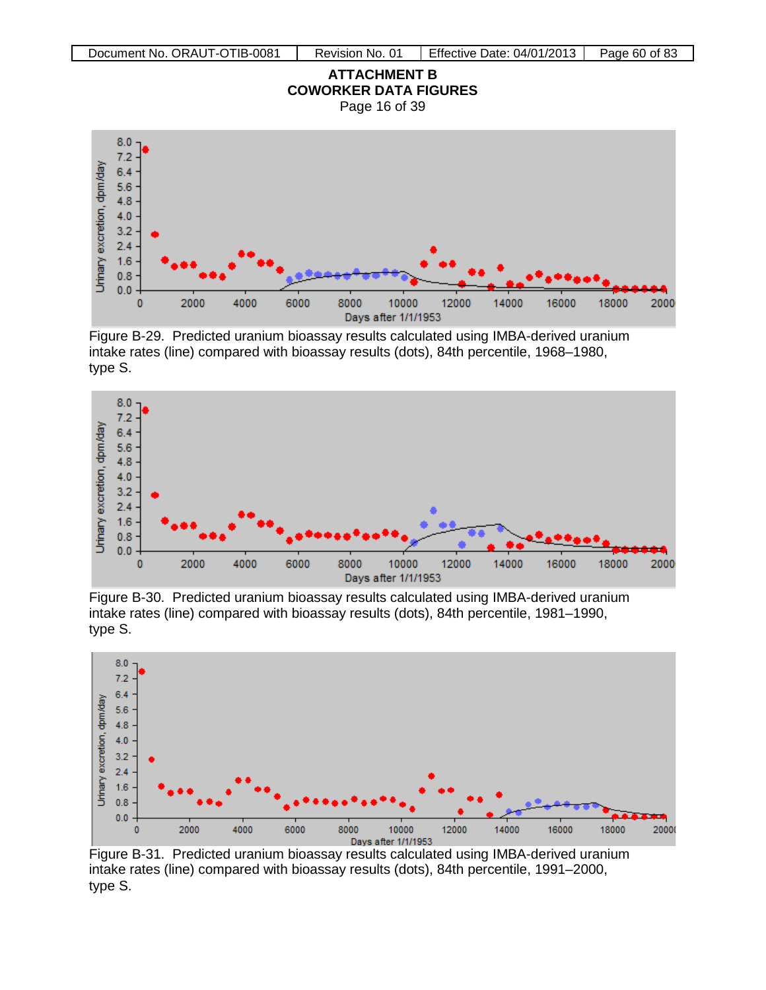



Figure B-29. Predicted uranium bioassay results calculated using IMBA-derived uranium intake rates (line) compared with bioassay results (dots), 84th percentile, 1968–1980, type S.



Figure B-30. Predicted uranium bioassay results calculated using IMBA-derived uranium intake rates (line) compared with bioassay results (dots), 84th percentile, 1981–1990, type S.



Figure B-31. Predicted uranium bioassay results calculated using IMBA-derived uranium intake rates (line) compared with bioassay results (dots), 84th percentile, 1991–2000, type S.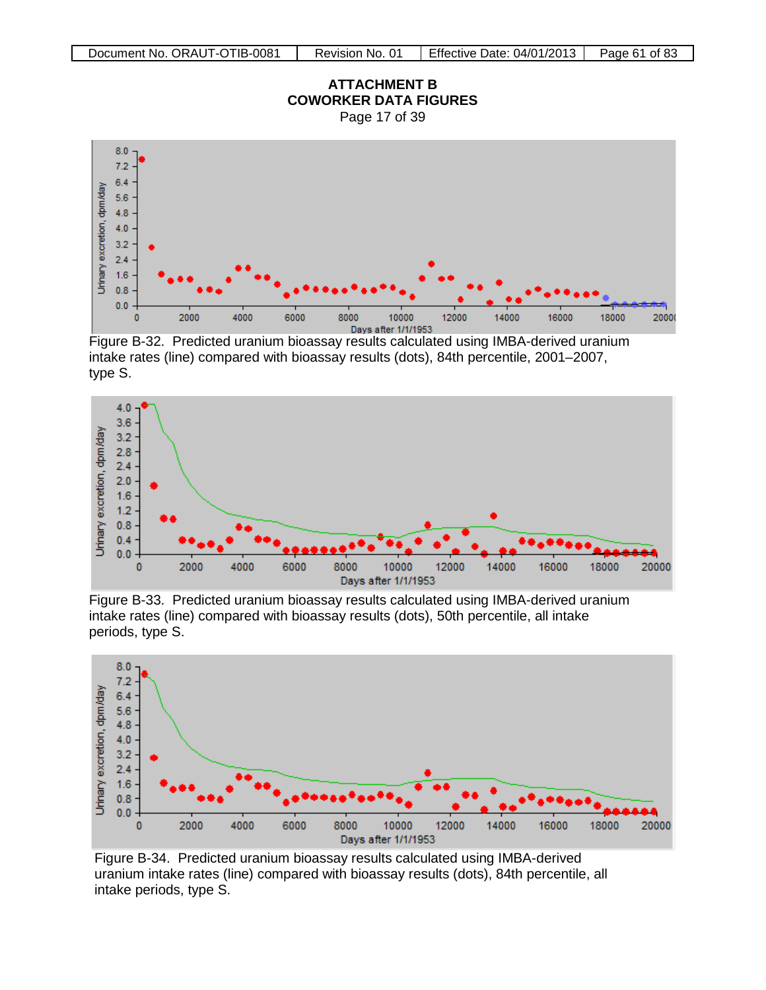

Figure B-32. Predicted uranium bioassay results calculated using IMBA-derived uranium intake rates (line) compared with bioassay results (dots), 84th percentile, 2001–2007, type S.



Figure B-33. Predicted uranium bioassay results calculated using IMBA-derived uranium intake rates (line) compared with bioassay results (dots), 50th percentile, all intake periods, type S.



Figure B-34. Predicted uranium bioassay results calculated using IMBA-derived uranium intake rates (line) compared with bioassay results (dots), 84th percentile, all intake periods, type S.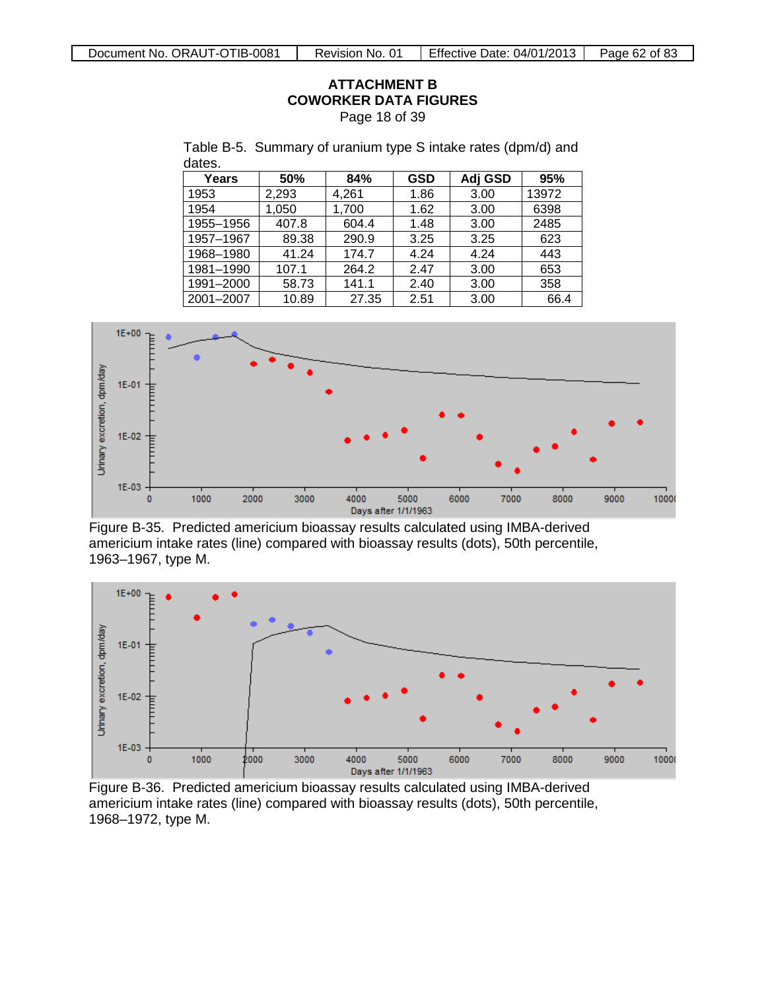# **ATTACHMENT B COWORKER DATA FIGURES**

Page 18 of 39

Table B-5. Summary of uranium type S intake rates (dpm/d) and dates.

| Years     | 50%   | 84%   | <b>GSD</b> | Adj GSD | 95%   |
|-----------|-------|-------|------------|---------|-------|
| 1953      | 2,293 | 4,261 | 1.86       | 3.00    | 13972 |
| 1954      | 1,050 | 1,700 | 1.62       | 3.00    | 6398  |
| 1955-1956 | 407.8 | 604.4 | 1.48       | 3.00    | 2485  |
| 1957-1967 | 89.38 | 290.9 | 3.25       | 3.25    | 623   |
| 1968-1980 | 41.24 | 174.7 | 4.24       | 4.24    | 443   |
| 1981-1990 | 107.1 | 264.2 | 2.47       | 3.00    | 653   |
| 1991-2000 | 58.73 | 141.1 | 2.40       | 3.00    | 358   |
| 2001-2007 | 10.89 | 27.35 | 2.51       | 3.00    | 66.4  |



Figure B-35. Predicted americium bioassay results calculated using IMBA-derived americium intake rates (line) compared with bioassay results (dots), 50th percentile, 1963–1967, type M.



Figure B-36. Predicted americium bioassay results calculated using IMBA-derived americium intake rates (line) compared with bioassay results (dots), 50th percentile, 1968–1972, type M.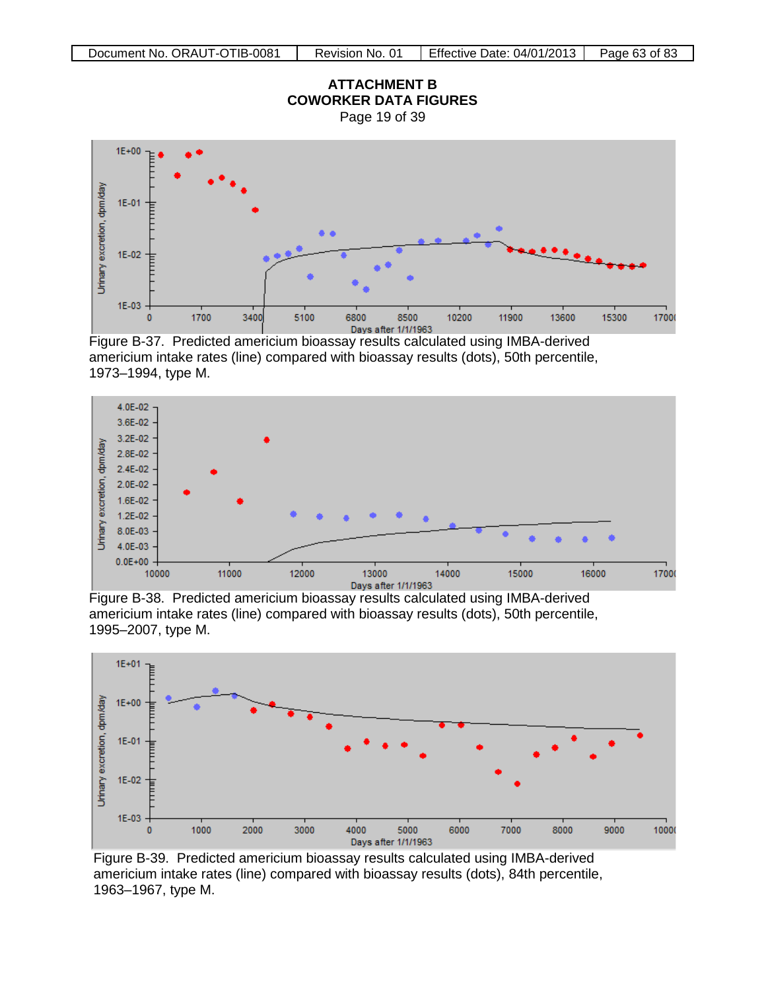

Figure B-37. Predicted americium bioassay results calculated using IMBA-derived americium intake rates (line) compared with bioassay results (dots), 50th percentile, 1973–1994, type M.



Figure B-38. Predicted americium bioassay results calculated using IMBA-derived americium intake rates (line) compared with bioassay results (dots), 50th percentile, 1995–2007, type M.



Figure B-39. Predicted americium bioassay results calculated using IMBA-derived americium intake rates (line) compared with bioassay results (dots), 84th percentile, 1963–1967, type M.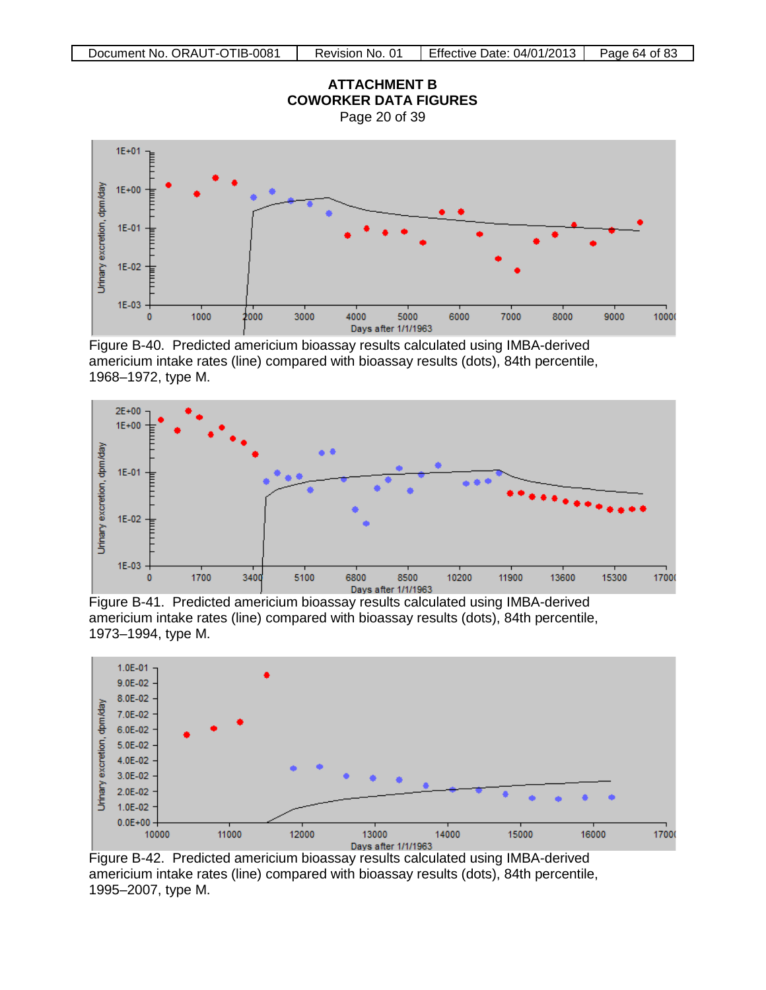

Figure B-40. Predicted americium bioassay results calculated using IMBA-derived americium intake rates (line) compared with bioassay results (dots), 84th percentile, 1968–1972, type M.



Figure B-41. Predicted americium bioassay results calculated using IMBA-derived americium intake rates (line) compared with bioassay results (dots), 84th percentile, 1973–1994, type M.



Figure B-42. Predicted americium bioassay results calculated using IMBA-derived americium intake rates (line) compared with bioassay results (dots), 84th percentile, 1995–2007, type M.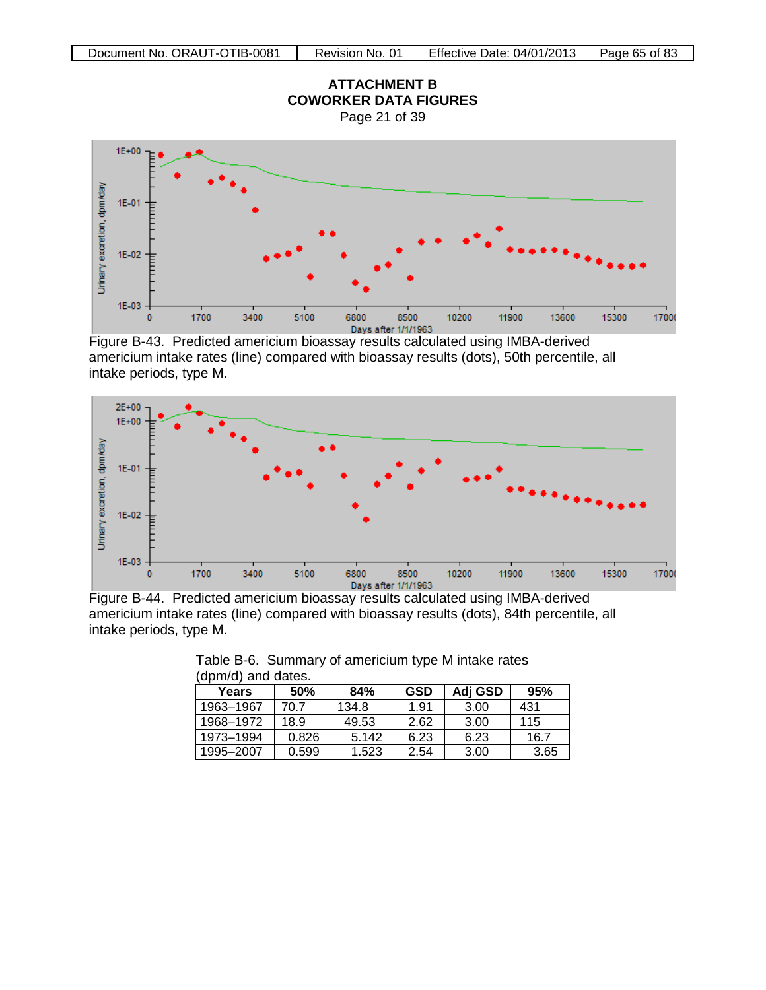

Figure B-43. Predicted americium bioassay results calculated using IMBA-derived americium intake rates (line) compared with bioassay results (dots), 50th percentile, all intake periods, type M.



Figure B-44. Predicted americium bioassay results calculated using IMBA-derived americium intake rates (line) compared with bioassay results (dots), 84th percentile, all intake periods, type M.

| uphivu) anu ualus. |            |       |            |         |      |  |  |
|--------------------|------------|-------|------------|---------|------|--|--|
| Years              | <b>50%</b> | 84%   | <b>GSD</b> | Adj GSD | 95%  |  |  |
| 1963–1967          | 70.7       | 134.8 | 1.91       | 3.00    | 431  |  |  |
| 1968-1972          | 18.9       | 49.53 | 2.62       | 3.00    | 115  |  |  |
| 1973-1994          | 0.826      | 5.142 | 6.23       | 6.23    | 16.7 |  |  |
| 1995-2007          | 0.599      | 1.523 | 2.54       | 3.00    | 3.65 |  |  |

Table B-6. Summary of americium type M intake rates (dpm/d) and dates.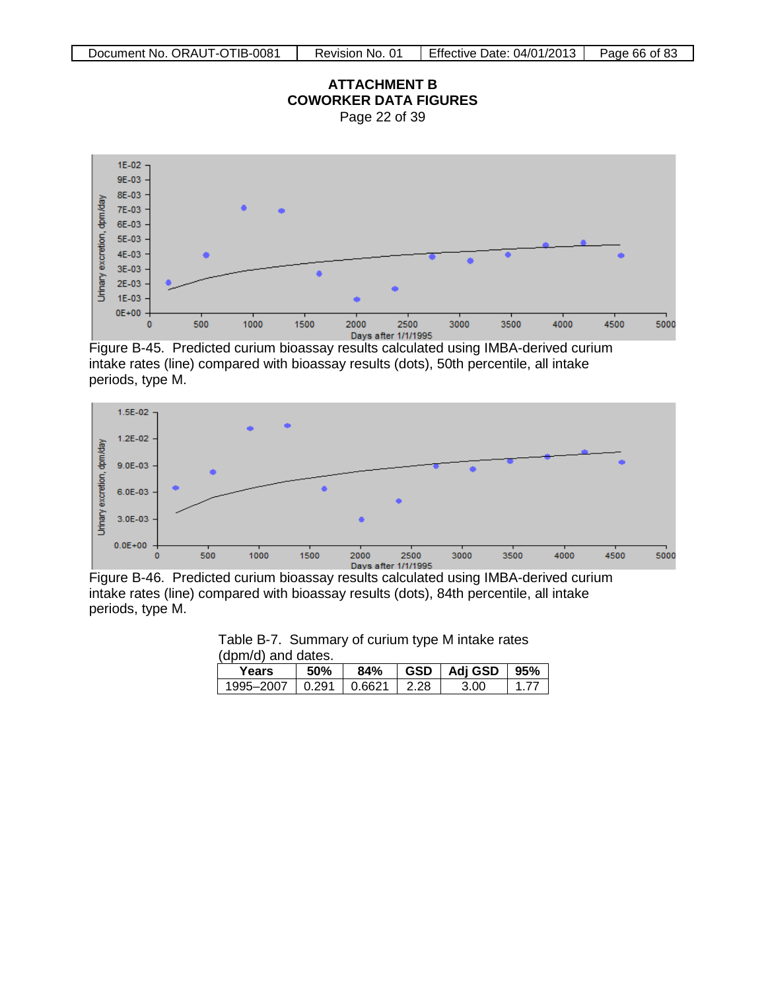# **ATTACHMENT B COWORKER DATA FIGURES**

Page 22 of 39



Figure B-45. Predicted curium bioassay results calculated using IMBA-derived curium intake rates (line) compared with bioassay results (dots), 50th percentile, all intake periods, type M.



Figure B-46. Predicted curium bioassay results calculated using IMBA-derived curium intake rates (line) compared with bioassay results (dots), 84th percentile, all intake periods, type M.

| Table D-7. Odiffingly of current type in intake rates |  |  |  |      |      |  |  |
|-------------------------------------------------------|--|--|--|------|------|--|--|
| (dpm/d) and dates.                                    |  |  |  |      |      |  |  |
| 84%   GSD   Adj GSD   95%<br>50%<br>Years             |  |  |  |      |      |  |  |
| 1995-2007   0.291   0.6621   2.28                     |  |  |  | 3.00 | 1.77 |  |  |

Table B-7. Summary of curium type M intake rates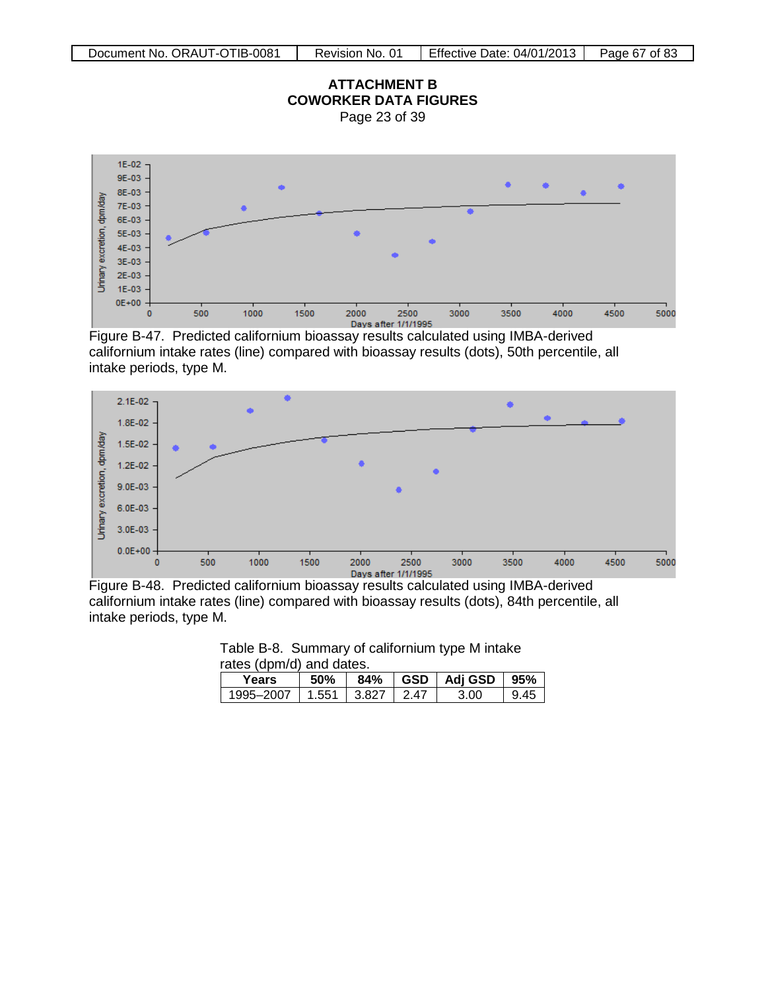

Figure B-47. Predicted californium bioassay results calculated using IMBA-derived californium intake rates (line) compared with bioassay results (dots), 50th percentile, all intake periods, type M.



Figure B-48. Predicted californium bioassay results calculated using IMBA-derived californium intake rates (line) compared with bioassay results (dots), 84th percentile, all intake periods, type M.

|  | Table B-8. Summary of californium type M intake |  |  |
|--|-------------------------------------------------|--|--|
|  | rates (dpm/d) and dates.                        |  |  |

| Years     | .50%  | 84%           |       | $\vert$ GSD $\vert$ Adj GSD $\vert$ 95% |      |
|-----------|-------|---------------|-------|-----------------------------------------|------|
| 1995–2007 | 1.551 | $\sqrt{3}827$ | 2 A 7 | 3 በበ                                    | 9 45 |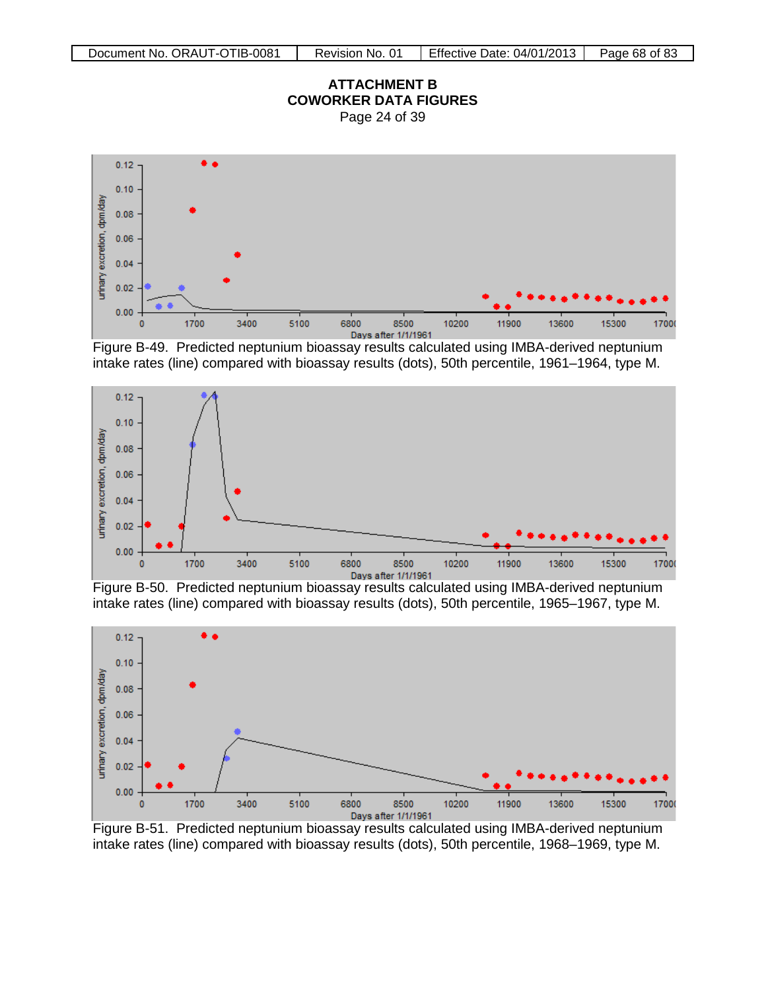



Figure B-49. Predicted neptunium bioassay results calculated using IMBA-derived neptunium intake rates (line) compared with bioassay results (dots), 50th percentile, 1961–1964, type M.



Figure B-50. Predicted neptunium bioassay results calculated using IMBA-derived neptunium intake rates (line) compared with bioassay results (dots), 50th percentile, 1965–1967, type M.



Figure B-51. Predicted neptunium bioassay results calculated using IMBA-derived neptunium intake rates (line) compared with bioassay results (dots), 50th percentile, 1968–1969, type M.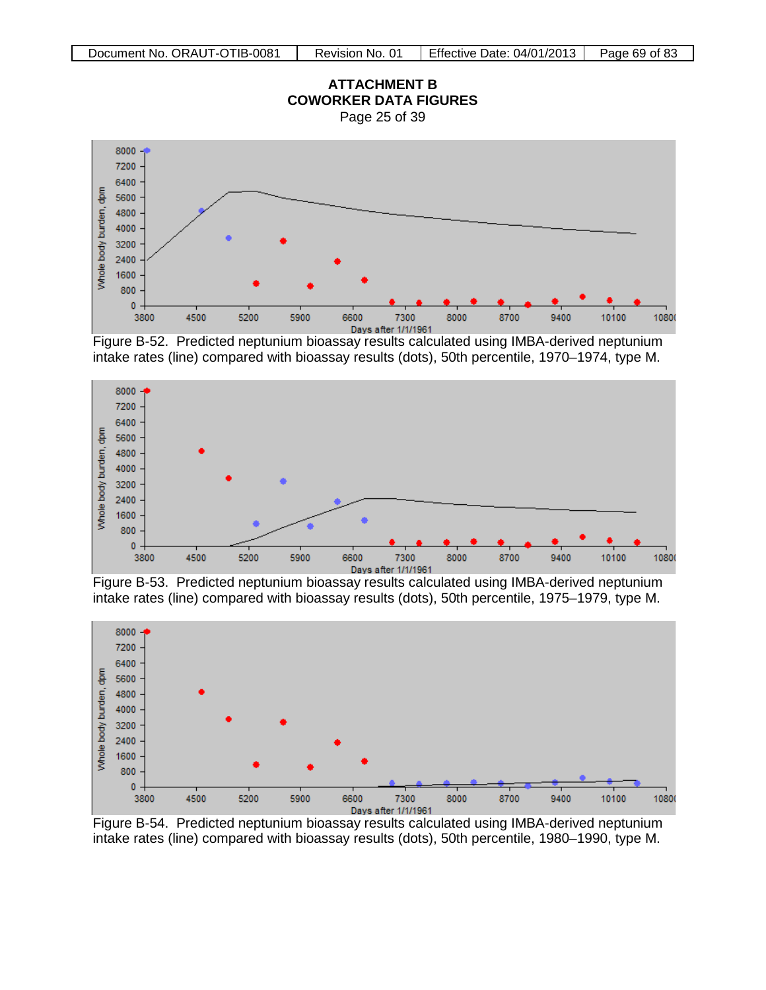

Figure B-52. Predicted neptunium bioassay results calculated using IMBA-derived neptunium intake rates (line) compared with bioassay results (dots), 50th percentile, 1970–1974, type M.



Figure B-53. Predicted neptunium bioassay results calculated using IMBA-derived neptunium intake rates (line) compared with bioassay results (dots), 50th percentile, 1975–1979, type M.



Figure B-54. Predicted neptunium bioassay results calculated using IMBA-derived neptunium intake rates (line) compared with bioassay results (dots), 50th percentile, 1980–1990, type M.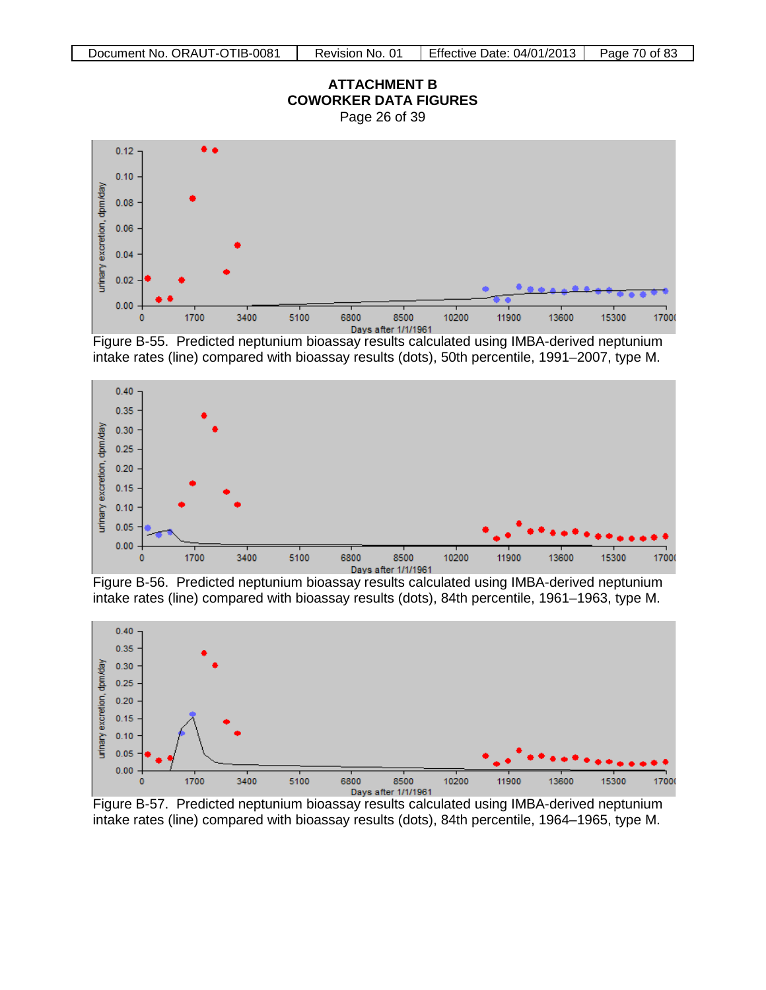

Figure B-55. Predicted neptunium bioassay results calculated using IMBA-derived neptunium intake rates (line) compared with bioassay results (dots), 50th percentile, 1991–2007, type M.



I<br>Figure B-56. Predicted neptunium bioassay results calculated using IMBA-derived neptunium intake rates (line) compared with bioassay results (dots), 84th percentile, 1961–1963, type M.



Figure B-57. Predicted neptunium bioassay results calculated using IMBA-derived neptunium intake rates (line) compared with bioassay results (dots), 84th percentile, 1964–1965, type M.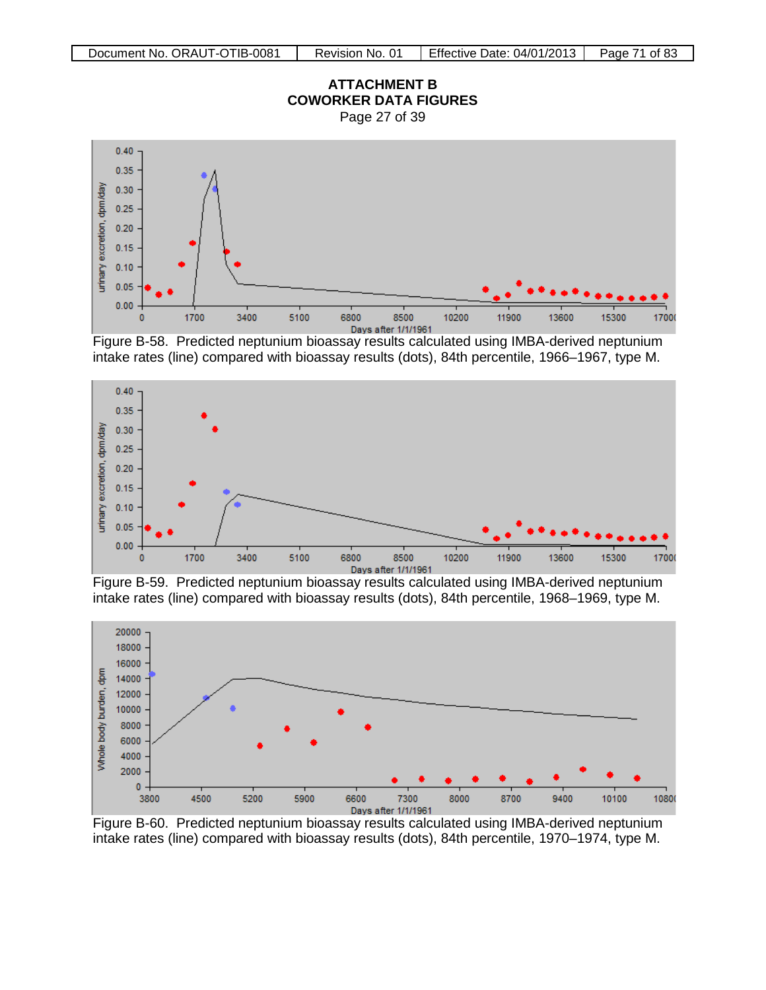## **ATTACHMENT B COWORKER DATA FIGURES**

Page 27 of 39



Figure B-58. Predicted neptunium bioassay results calculated using IMBA-derived neptunium intake rates (line) compared with bioassay results (dots), 84th percentile, 1966–1967, type M.



Figure B-59. Predicted neptunium bioassay results calculated using IMBA-derived neptunium intake rates (line) compared with bioassay results (dots), 84th percentile, 1968–1969, type M.



Figure B-60. Predicted neptunium bioassay results calculated using IMBA-derived neptunium intake rates (line) compared with bioassay results (dots), 84th percentile, 1970–1974, type M.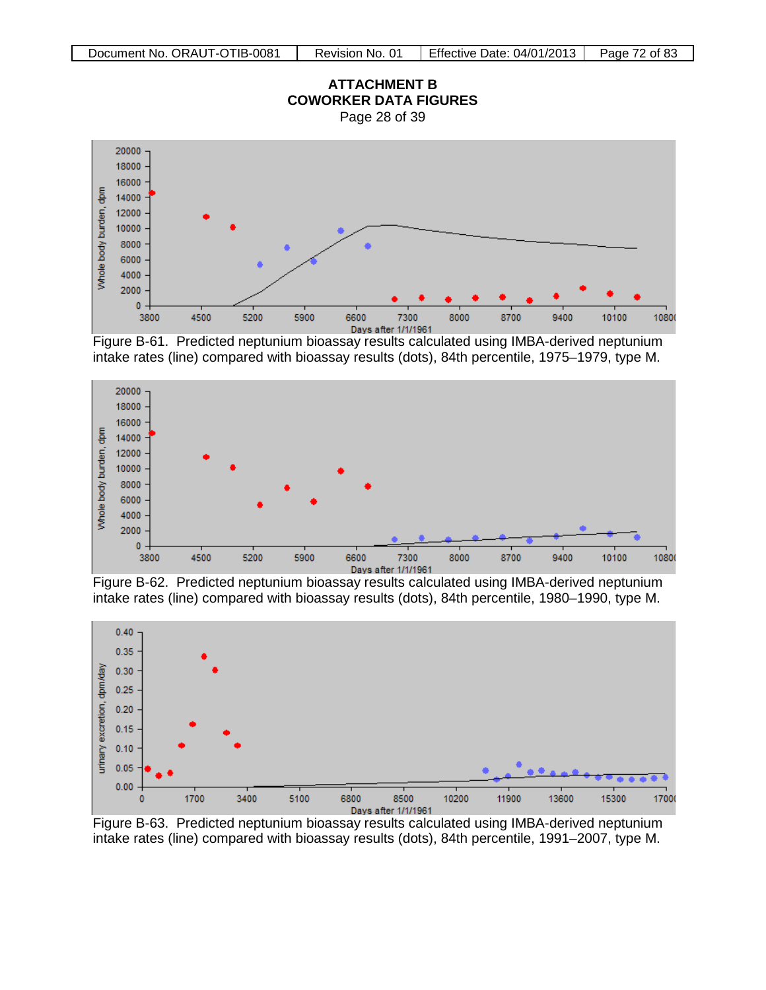

Figure B-61. Predicted neptunium bioassay results calculated using IMBA-derived neptunium intake rates (line) compared with bioassay results (dots), 84th percentile, 1975–1979, type M.



intake rates (line) compared with bioassay results (dots), 84th percentile, 1980–1990, type M.



Figure B-63. Predicted neptunium bioassay results calculated using IMBA-derived neptunium intake rates (line) compared with bioassay results (dots), 84th percentile, 1991–2007, type M.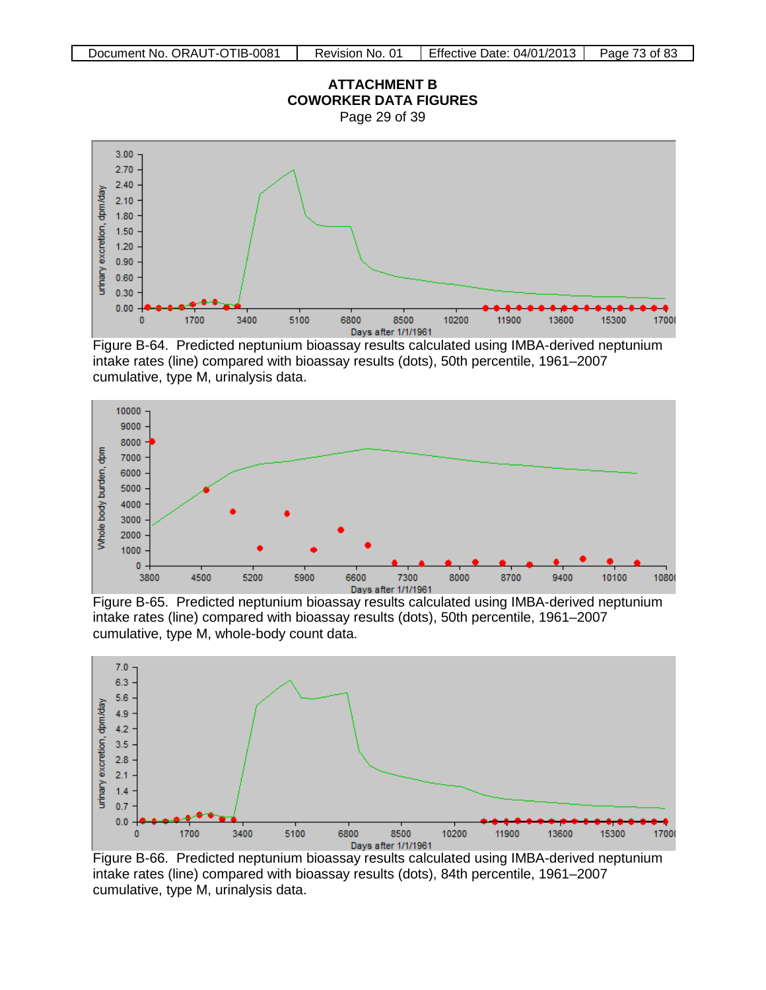Page 29 of 39



Figure B-64. Predicted neptunium bioassay results calculated using IMBA-derived neptunium intake rates (line) compared with bioassay results (dots), 50th percentile, 1961–2007 cumulative, type M, urinalysis data.



Figure B-65. Predicted neptunium bioassay results calculated using IMBA-derived neptunium intake rates (line) compared with bioassay results (dots), 50th percentile, 1961–2007 cumulative, type M, whole-body count data.



Figure B-66. Predicted neptunium bioassay results calculated using IMBA-derived neptunium intake rates (line) compared with bioassay results (dots), 84th percentile, 1961–2007 cumulative, type M, urinalysis data.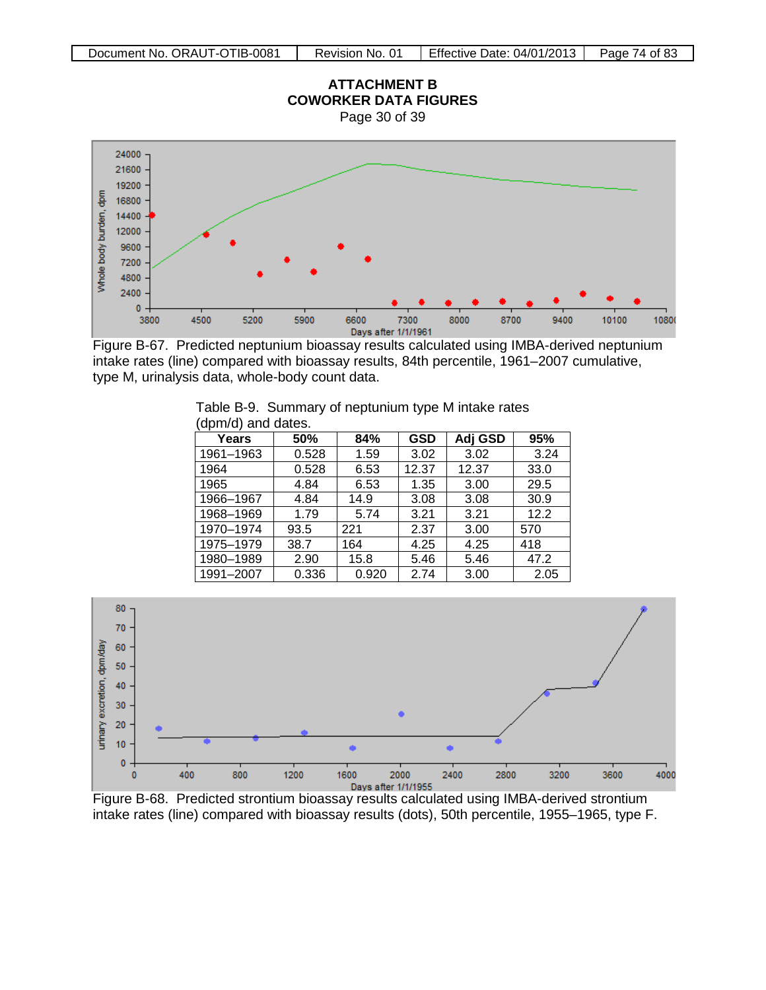

Figure B-67. Predicted neptunium bioassay results calculated using IMBA-derived neptunium intake rates (line) compared with bioassay results, 84th percentile, 1961–2007 cumulative, type M, urinalysis data, whole-body count data.

| Years     | 50%   | 84%   | <b>GSD</b> | Adj GSD | 95%  |
|-----------|-------|-------|------------|---------|------|
| 1961-1963 | 0.528 | 1.59  | 3.02       | 3.02    | 3.24 |
| 1964      | 0.528 | 6.53  | 12.37      | 12.37   | 33.0 |
| 1965      | 4.84  | 6.53  | 1.35       | 3.00    | 29.5 |
| 1966-1967 | 4.84  | 14.9  | 3.08       | 3.08    | 30.9 |
| 1968-1969 | 1.79  | 5.74  | 3.21       | 3.21    | 12.2 |
| 1970-1974 | 93.5  | 221   | 2.37       | 3.00    | 570  |
| 1975-1979 | 38.7  | 164   | 4.25       | 4.25    | 418  |
| 1980-1989 | 2.90  | 15.8  | 5.46       | 5.46    | 47.2 |
| 1991-2007 | 0.336 | 0.920 | 2.74       | 3.00    | 2.05 |

Table B-9. Summary of neptunium type M intake rates (dpm/d) and dates.



intake rates (line) compared with bioassay results (dots), 50th percentile, 1955–1965, type F.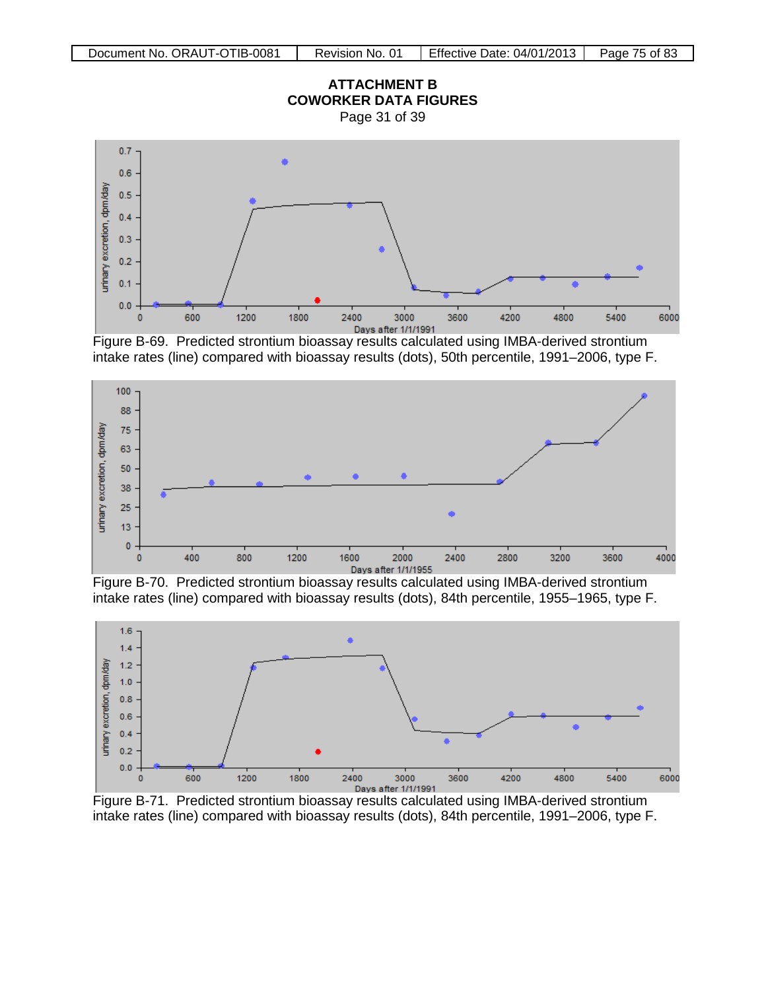





Figure B-69. Predicted strontium bioassay results calculated using IMBA-derived strontium intake rates (line) compared with bioassay results (dots), 50th percentile, 1991–2006, type F.



Figure B-70. Predicted strontium bioassay results calculated using IMBA-derived strontium intake rates (line) compared with bioassay results (dots), 84th percentile, 1955–1965, type F.



Figure B-71. Predicted strontium bioassay results calculated using IMBA-derived strontium intake rates (line) compared with bioassay results (dots), 84th percentile, 1991–2006, type F.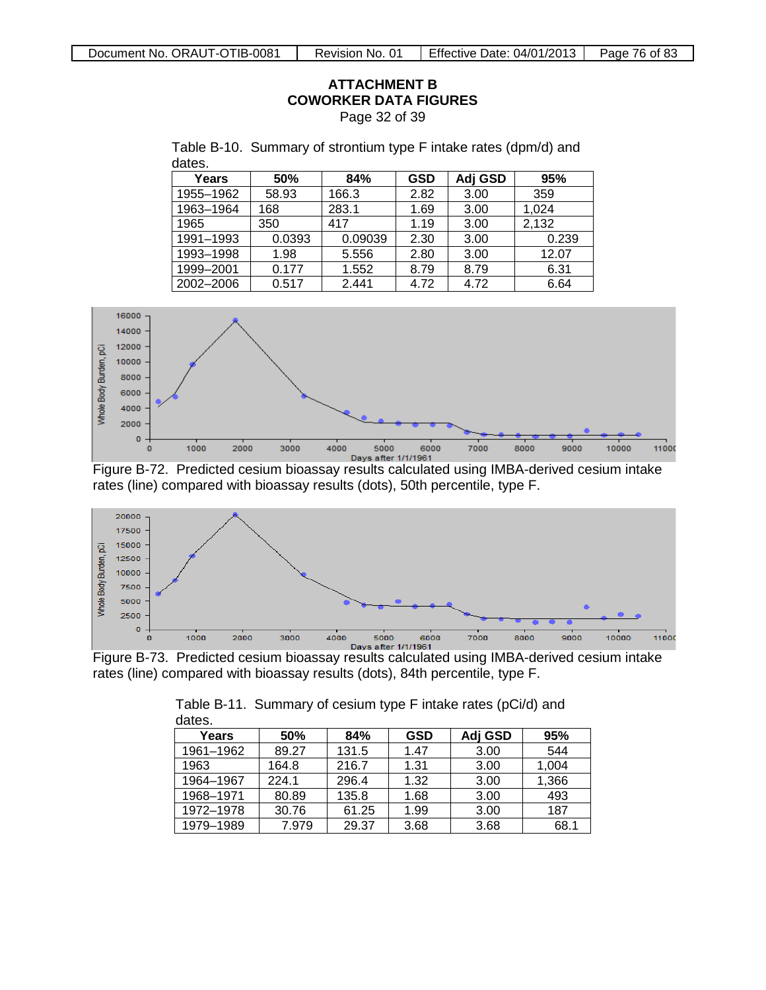**ATTACHMENT B COWORKER DATA FIGURES** Page 32 of 39

| dates.    |        |         |            |         |       |
|-----------|--------|---------|------------|---------|-------|
| Years     | 50%    | 84%     | <b>GSD</b> | Adj GSD | 95%   |
| 1955-1962 | 58.93  | 166.3   | 2.82       | 3.00    | 359   |
| 1963-1964 | 168    | 283.1   | 1.69       | 3.00    | 1,024 |
| 1965      | 350    | 417     | 1.19       | 3.00    | 2,132 |
| 1991-1993 | 0.0393 | 0.09039 | 2.30       | 3.00    | 0.239 |
| 1993-1998 | 1.98   | 5.556   | 2.80       | 3.00    | 12.07 |
| 1999-2001 | 0.177  | 1.552   | 8.79       | 8.79    | 6.31  |
| 2002-2006 | 0.517  | 2.441   | 4.72       | 4.72    | 6.64  |

Table B-10. Summary of strontium type F intake rates (dpm/d) and







rates (line) compared with bioassay results (dots), 84th percentile, type F.

| ualos.    |       |       |            |         |       |  |
|-----------|-------|-------|------------|---------|-------|--|
| Years     | 50%   | 84%   | <b>GSD</b> | Adj GSD | 95%   |  |
| 1961-1962 | 89.27 | 131.5 | 1.47       | 3.00    | 544   |  |
| 1963      | 164.8 | 216.7 | 1.31       | 3.00    | 1,004 |  |
| 1964-1967 | 224.1 | 296.4 | 1.32       | 3.00    | 1,366 |  |
| 1968-1971 | 80.89 | 135.8 | 1.68       | 3.00    | 493   |  |
| 1972-1978 | 30.76 | 61.25 | 1.99       | 3.00    | 187   |  |
| 1979-1989 | 7.979 | 29.37 | 3.68       | 3.68    | 68.1  |  |

Table B-11. Summary of cesium type F intake rates (pCi/d) and dates.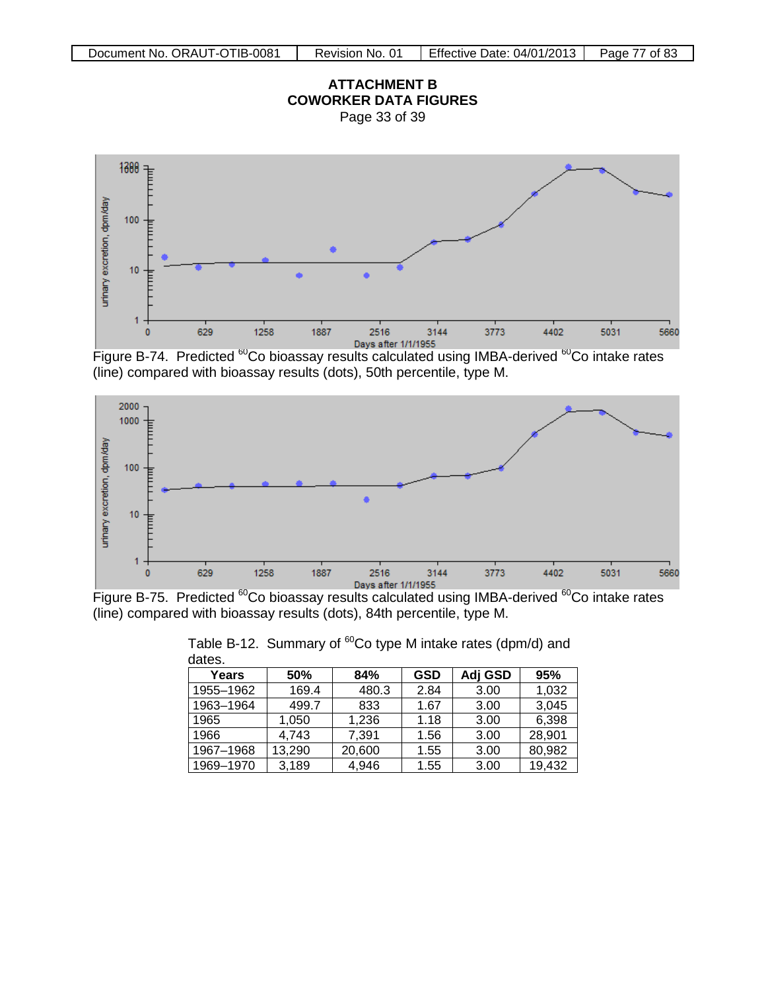



Figure B-74. Predicted <sup>60</sup>Co bioassay results calculated using IMBA-derived <sup>60</sup>Co intake rates (line) compared with bioassay results (dots), 50th percentile, type M.



(line) compared with bioassay results (dots), 84th percentile, type M.

| ualus.    |        |        |            |         |        |
|-----------|--------|--------|------------|---------|--------|
| Years     | 50%    | 84%    | <b>GSD</b> | Adj GSD | 95%    |
| 1955-1962 | 169.4  | 480.3  | 2.84       | 3.00    | 1,032  |
| 1963-1964 | 499.7  | 833    | 1.67       | 3.00    | 3,045  |
| 1965      | 1,050  | 1,236  | 1.18       | 3.00    | 6,398  |
| 1966      | 4,743  | 7,391  | 1.56       | 3.00    | 28,901 |
| 1967-1968 | 13,290 | 20,600 | 1.55       | 3.00    | 80,982 |
| 1969-1970 | 3,189  | 4,946  | 1.55       | 3.00    | 19,432 |

Table B-12. Summary of  ${}^{60}$ Co type M intake rates (dpm/d) and dates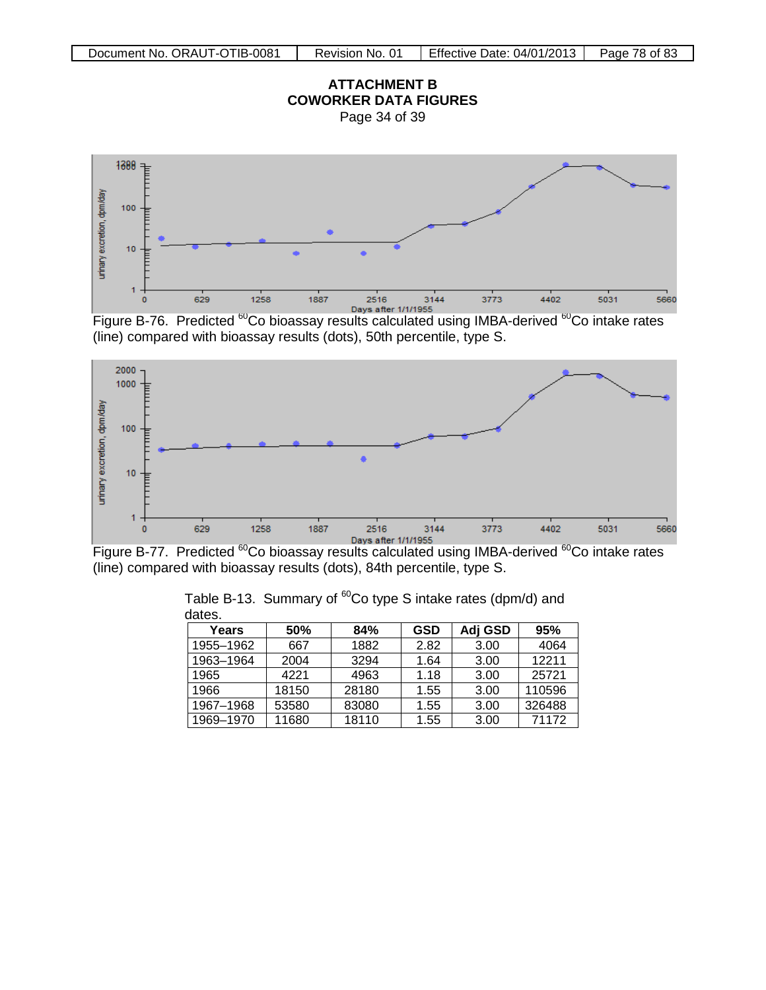



Figure B-76. Predicted <sup>60</sup>Co bioassay results calculated using IMBA-derived <sup>60</sup>Co intake rates (line) compared with bioassay results (dots), 50th percentile, type S.



(line) compared with bioassay results (dots), 84th percentile, type S.

| ualco.    |       |       |      |         |        |
|-----------|-------|-------|------|---------|--------|
| Years     | 50%   | 84%   | GSD  | Adi GSD | 95%    |
| 1955-1962 | 667   | 1882  | 2.82 | 3.00    | 4064   |
| 1963-1964 | 2004  | 3294  | 1.64 | 3.00    | 12211  |
| 1965      | 4221  | 4963  | 1.18 | 3.00    | 25721  |
| 1966      | 18150 | 28180 | 1.55 | 3.00    | 110596 |
| 1967-1968 | 53580 | 83080 | 1.55 | 3.00    | 326488 |
| 1969-1970 | 11680 | 18110 | 1.55 | 3.00    | 71172  |

Table B-13. Summary of  ${}^{60}$ Co type S intake rates (dpm/d) and dates.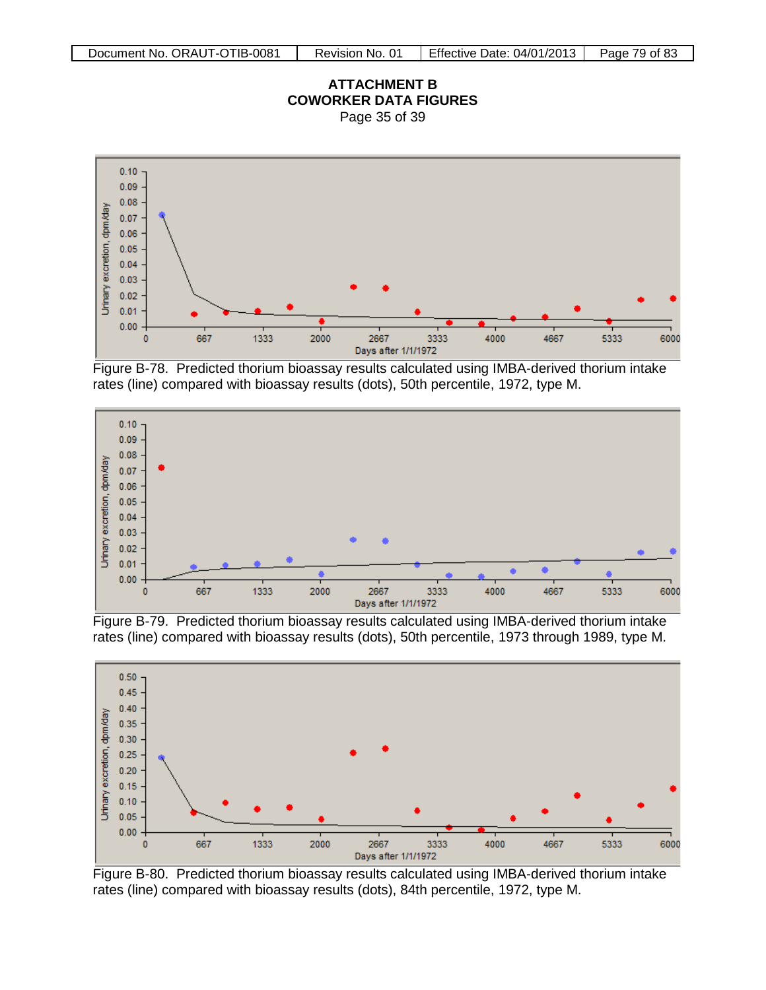#### **ATTACHMENT B COWORKER DATA FIGURES** Page 35 of 39



Figure B-78. Predicted thorium bioassay results calculated using IMBA-derived thorium intake rates (line) compared with bioassay results (dots), 50th percentile, 1972, type M.



Figure B-79. Predicted thorium bioassay results calculated using IMBA-derived thorium intake rates (line) compared with bioassay results (dots), 50th percentile, 1973 through 1989, type M.



Figure B-80. Predicted thorium bioassay results calculated using IMBA-derived thorium intake rates (line) compared with bioassay results (dots), 84th percentile, 1972, type M.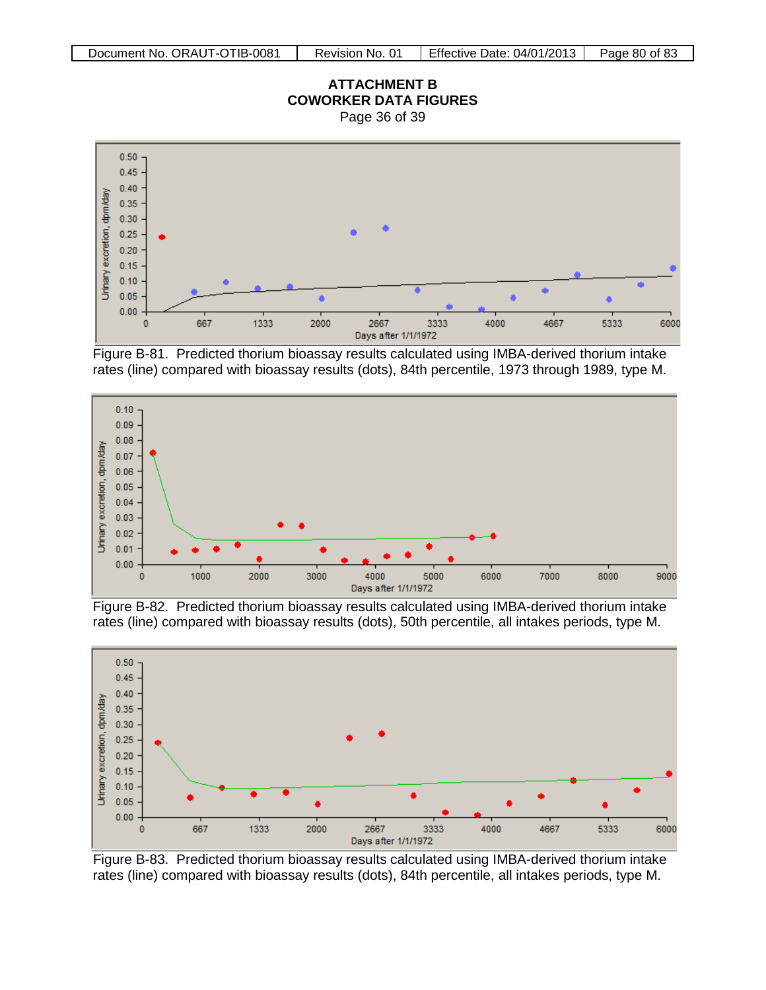



Figure B-81. Predicted thorium bioassay results calculated using IMBA-derived thorium intake rates (line) compared with bioassay results (dots), 84th percentile, 1973 through 1989, type M.



Figure B-82. Predicted thorium bioassay results calculated using IMBA-derived thorium intake rates (line) compared with bioassay results (dots), 50th percentile, all intakes periods, type M.



Figure B-83. Predicted thorium bioassay results calculated using IMBA-derived thorium intake rates (line) compared with bioassay results (dots), 84th percentile, all intakes periods, type M.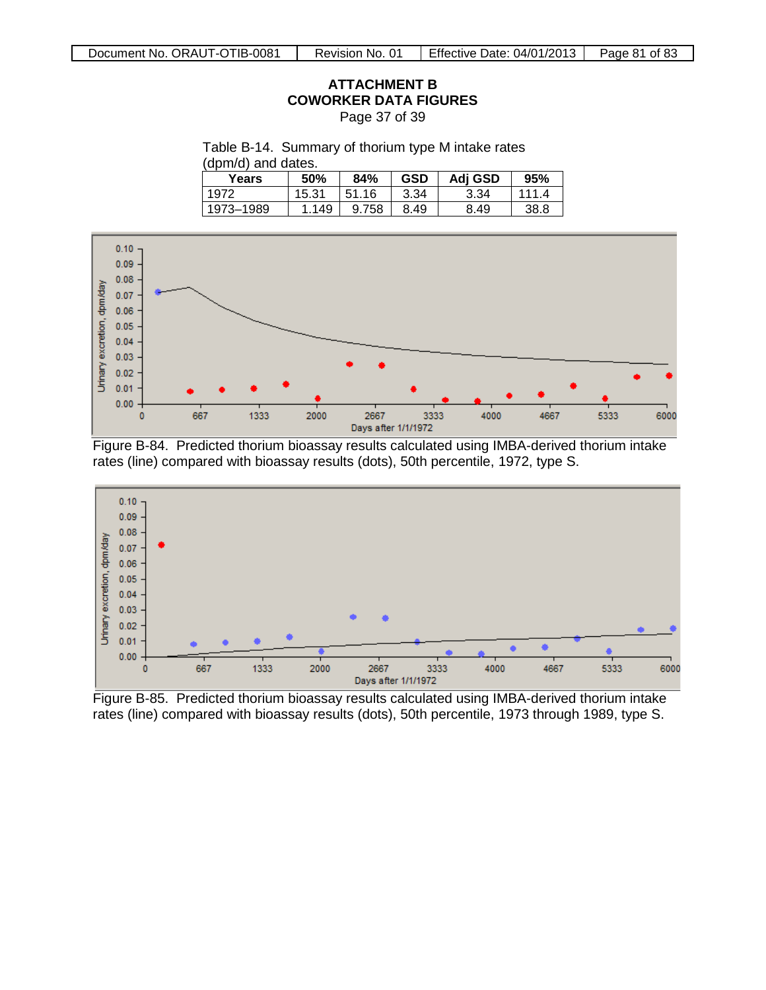Page 37 of 39

Table B-14. Summary of thorium type M intake rates

(dpm/d) and dates.

| Years     | 50%   | 84%   | <b>GSD</b> | Adj GSD | 95%          |
|-----------|-------|-------|------------|---------|--------------|
| 1972      | 15.31 | 51.16 | 3.34       | 3.34    | 111 $\Delta$ |
| 1973-1989 | 1.149 | 9.758 | 8.49       | 8.49    | 38.8         |



Figure B-84. Predicted thorium bioassay results calculated using IMBA-derived thorium intake rates (line) compared with bioassay results (dots), 50th percentile, 1972, type S.



Figure B-85. Predicted thorium bioassay results calculated using IMBA-derived thorium intake rates (line) compared with bioassay results (dots), 50th percentile, 1973 through 1989, type S.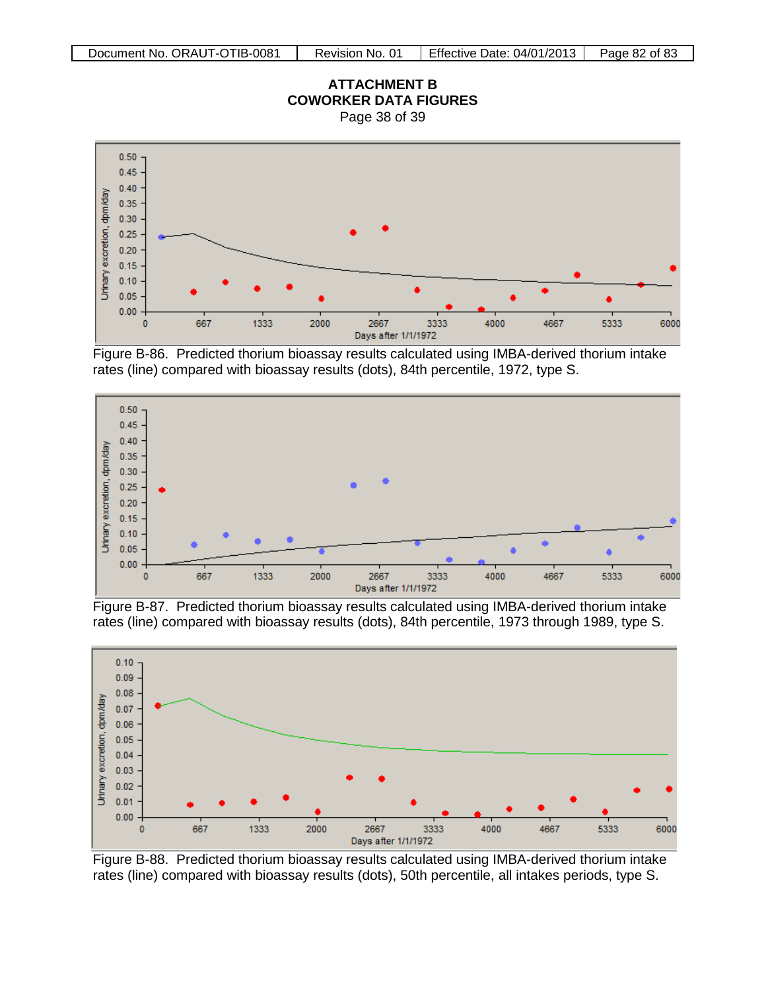



Figure B-86. Predicted thorium bioassay results calculated using IMBA-derived thorium intake rates (line) compared with bioassay results (dots), 84th percentile, 1972, type S.



Figure B-87. Predicted thorium bioassay results calculated using IMBA-derived thorium intake rates (line) compared with bioassay results (dots), 84th percentile, 1973 through 1989, type S.



Figure B-88. Predicted thorium bioassay results calculated using IMBA-derived thorium intake rates (line) compared with bioassay results (dots), 50th percentile, all intakes periods, type S.